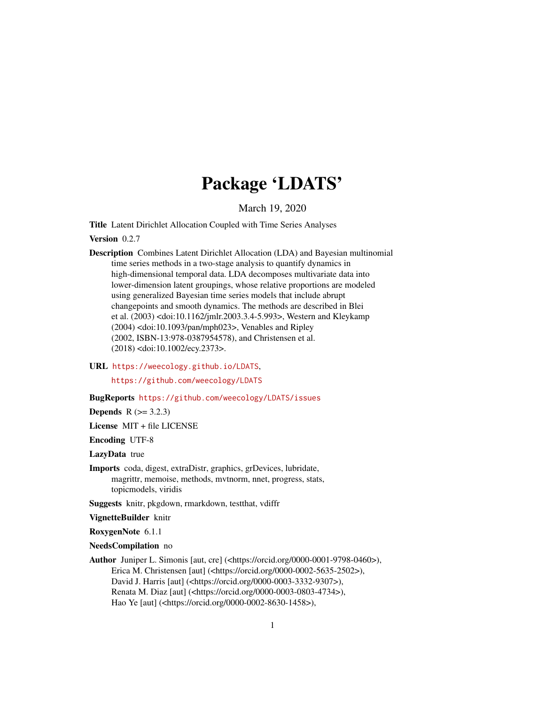# Package 'LDATS'

March 19, 2020

<span id="page-0-0"></span>Title Latent Dirichlet Allocation Coupled with Time Series Analyses

Version 0.2.7

Description Combines Latent Dirichlet Allocation (LDA) and Bayesian multinomial time series methods in a two-stage analysis to quantify dynamics in high-dimensional temporal data. LDA decomposes multivariate data into lower-dimension latent groupings, whose relative proportions are modeled using generalized Bayesian time series models that include abrupt changepoints and smooth dynamics. The methods are described in Blei et al. (2003) <doi:10.1162/jmlr.2003.3.4-5.993>, Western and Kleykamp (2004) <doi:10.1093/pan/mph023>, Venables and Ripley (2002, ISBN-13:978-0387954578), and Christensen et al. (2018) <doi:10.1002/ecy.2373>.

URL <https://weecology.github.io/LDATS>,

<https://github.com/weecology/LDATS>

BugReports <https://github.com/weecology/LDATS/issues>

**Depends** R  $(>= 3.2.3)$ 

License MIT + file LICENSE

Encoding UTF-8

LazyData true

Imports coda, digest, extraDistr, graphics, grDevices, lubridate, magrittr, memoise, methods, mvtnorm, nnet, progress, stats, topicmodels, viridis

Suggests knitr, pkgdown, rmarkdown, testthat, vdiffr

VignetteBuilder knitr

RoxygenNote 6.1.1

NeedsCompilation no

Author Juniper L. Simonis [aut, cre] (<https://orcid.org/0000-0001-9798-0460>), Erica M. Christensen [aut] (<https://orcid.org/0000-0002-5635-2502>), David J. Harris [aut] (<https://orcid.org/0000-0003-3332-9307>), Renata M. Diaz [aut] (<https://orcid.org/0000-0003-0803-4734>), Hao Ye [aut] (<https://orcid.org/0000-0002-8630-1458>),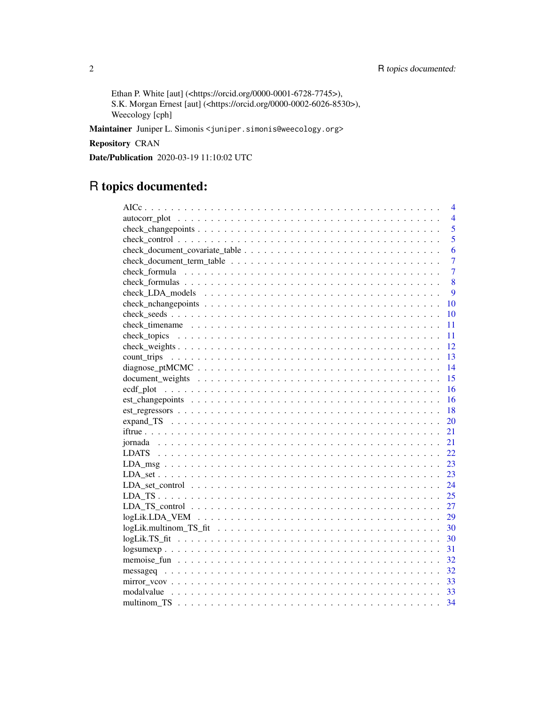Ethan P. White [aut] (<https://orcid.org/0000-0001-6728-7745>), S.K. Morgan Ernest [aut] (<https://orcid.org/0000-0002-6026-8530>), Weecology [cph]

Maintainer Juniper L. Simonis <juniper.simonis@weecology.org>

Repository CRAN

Date/Publication 2020-03-19 11:10:02 UTC

# R topics documented:

| 4                                                                                                                               |
|---------------------------------------------------------------------------------------------------------------------------------|
| $\overline{4}$                                                                                                                  |
| 5                                                                                                                               |
| 5                                                                                                                               |
| 6                                                                                                                               |
| 7                                                                                                                               |
| $\overline{7}$                                                                                                                  |
| 8                                                                                                                               |
| 9                                                                                                                               |
| 10                                                                                                                              |
| 10                                                                                                                              |
| 11                                                                                                                              |
| 11                                                                                                                              |
| 12                                                                                                                              |
| $-13$                                                                                                                           |
| 14                                                                                                                              |
| 15                                                                                                                              |
| 16                                                                                                                              |
|                                                                                                                                 |
| $est\_regressors \dots \dots \dots \dots \dots \dots \dots \dots \dots \dots \dots \dots \dots \dots \dots \dots \dots$<br>- 18 |
| <b>20</b>                                                                                                                       |
| 21                                                                                                                              |
|                                                                                                                                 |
| 22                                                                                                                              |
|                                                                                                                                 |
| 23                                                                                                                              |
| 24                                                                                                                              |
| 25                                                                                                                              |
|                                                                                                                                 |
| 29                                                                                                                              |
| 30                                                                                                                              |
| 30                                                                                                                              |
| 31                                                                                                                              |
| 32                                                                                                                              |
| 32                                                                                                                              |
| 33                                                                                                                              |
|                                                                                                                                 |
|                                                                                                                                 |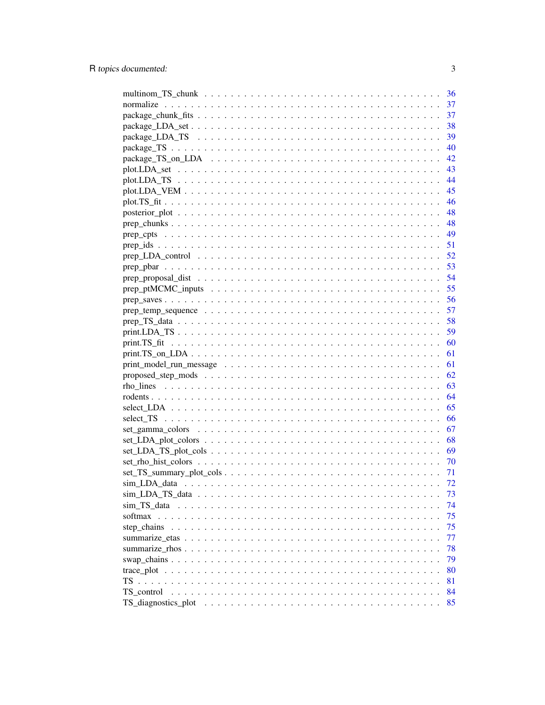|                                                                                                                 | 36  |
|-----------------------------------------------------------------------------------------------------------------|-----|
|                                                                                                                 | 37  |
|                                                                                                                 | 37  |
|                                                                                                                 | 38  |
|                                                                                                                 | 39  |
|                                                                                                                 | 40  |
|                                                                                                                 | 42  |
|                                                                                                                 | 43  |
|                                                                                                                 | 44  |
|                                                                                                                 | 45  |
|                                                                                                                 | 46  |
|                                                                                                                 | 48  |
|                                                                                                                 |     |
|                                                                                                                 |     |
|                                                                                                                 |     |
|                                                                                                                 |     |
|                                                                                                                 |     |
|                                                                                                                 |     |
|                                                                                                                 |     |
|                                                                                                                 |     |
|                                                                                                                 |     |
|                                                                                                                 |     |
|                                                                                                                 | 59  |
|                                                                                                                 | 60  |
|                                                                                                                 | 61  |
|                                                                                                                 | 61  |
|                                                                                                                 |     |
|                                                                                                                 | 62  |
|                                                                                                                 |     |
|                                                                                                                 |     |
|                                                                                                                 |     |
|                                                                                                                 |     |
| $set\_gamma\_colors \ldots \ldots \ldots \ldots \ldots \ldots \ldots \ldots \ldots \ldots \ldots \ldots \ldots$ | 67  |
|                                                                                                                 |     |
|                                                                                                                 |     |
|                                                                                                                 | 70  |
|                                                                                                                 | -71 |
|                                                                                                                 | 72  |
|                                                                                                                 | 73  |
|                                                                                                                 | 74  |
| softmax                                                                                                         | 75  |
| step_chains                                                                                                     | 75  |
|                                                                                                                 | 77  |
|                                                                                                                 | 78  |
|                                                                                                                 | 79  |
|                                                                                                                 | 80  |
| $TS \ldots$                                                                                                     | 81  |
| TS control                                                                                                      | 84  |
|                                                                                                                 | 85  |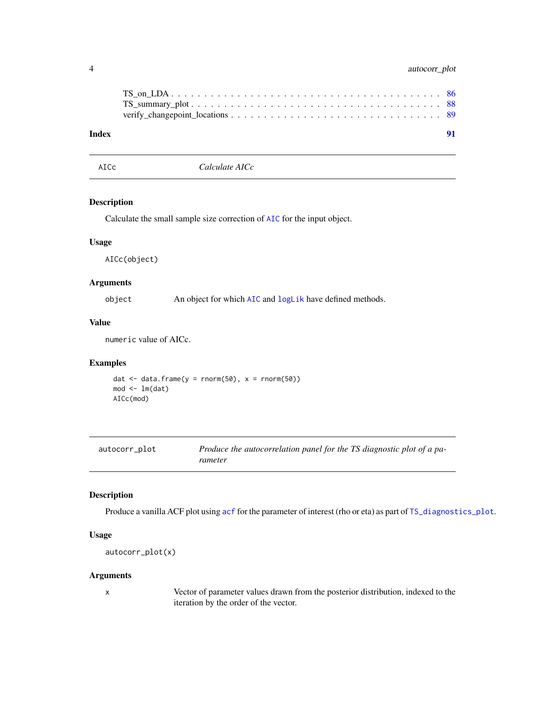# <span id="page-3-0"></span>4 autocorr\_plot

| Index |  |
|-------|--|

AICc *Calculate AICc*

#### Description

Calculate the small sample size correction of [AIC](#page-0-0) for the input object.

#### Usage

AICc(object)

# Arguments

object An object for which [AIC](#page-0-0) and [logLik](#page-0-0) have defined methods.

# Value

numeric value of AICc.

# Examples

```
dat \leftarrow data.frame(y = rnorm(50), x = rnorm(50))
mod < -1m(data)AICc(mod)
```

| autocorr_plot | Produce the autocorrelation panel for the TS diagnostic plot of a pa- |
|---------------|-----------------------------------------------------------------------|
|               | rameter                                                               |

# Description

Produce a vanilla ACF plot using [acf](#page-0-0) for the parameter of interest (rho or eta) as part of [TS\\_diagnostics\\_plot](#page-84-1).

# Usage

autocorr\_plot(x)

#### Arguments

x Vector of parameter values drawn from the posterior distribution, indexed to the iteration by the order of the vector.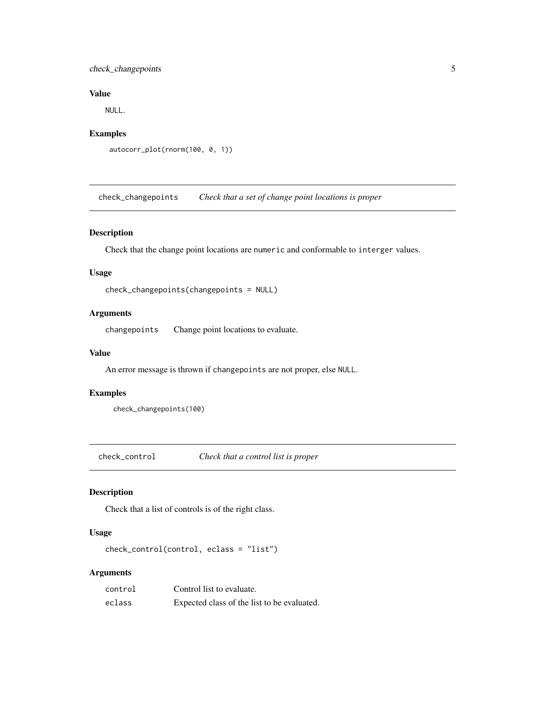# <span id="page-4-0"></span>check\_changepoints 5

# Value

NULL.

# Examples

```
autocorr_plot(rnorm(100, 0, 1))
```
<span id="page-4-1"></span>check\_changepoints *Check that a set of change point locations is proper*

# Description

Check that the change point locations are numeric and conformable to interger values.

#### Usage

```
check_changepoints(changepoints = NULL)
```
# Arguments

changepoints Change point locations to evaluate.

#### Value

An error message is thrown if changepoints are not proper, else NULL.

# Examples

check\_changepoints(100)

check\_control *Check that a control list is proper*

# Description

Check that a list of controls is of the right class.

# Usage

```
check_control(control, eclass = "list")
```
# Arguments

| control | Control list to evaluate.                   |
|---------|---------------------------------------------|
| eclass  | Expected class of the list to be evaluated. |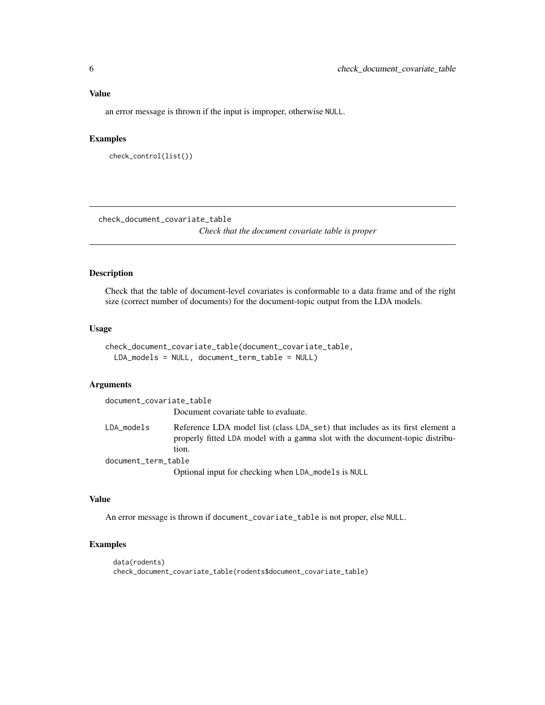# <span id="page-5-0"></span>Value

an error message is thrown if the input is improper, otherwise NULL.

#### Examples

```
check_control(list())
```
<span id="page-5-1"></span>check\_document\_covariate\_table *Check that the document covariate table is proper*

#### Description

Check that the table of document-level covariates is conformable to a data frame and of the right size (correct number of documents) for the document-topic output from the LDA models.

# Usage

```
check_document_covariate_table(document_covariate_table,
 LDA_models = NULL, document_term_table = NULL)
```
#### Arguments

document\_covariate\_table

Document covariate table to evaluate.

LDA\_models Reference LDA model list (class LDA\_set) that includes as its first element a properly fitted LDA model with a gamma slot with the document-topic distribution. document\_term\_table

Optional input for checking when LDA\_models is NULL

# Value

An error message is thrown if document\_covariate\_table is not proper, else NULL.

```
data(rodents)
check_document_covariate_table(rodents$document_covariate_table)
```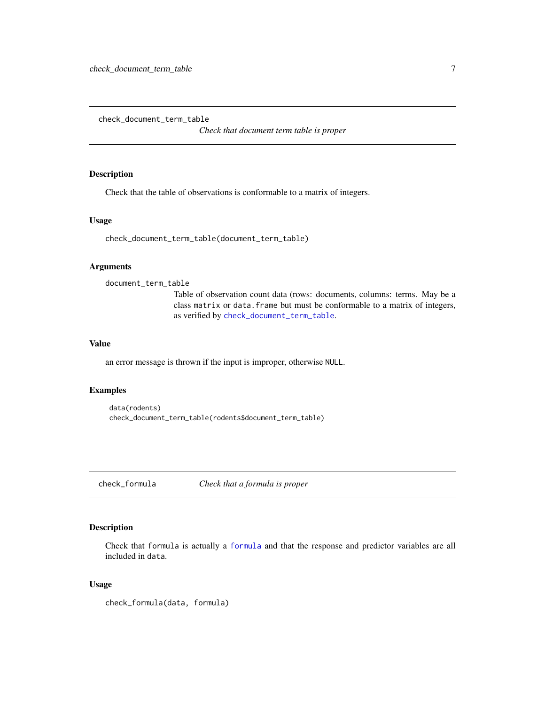<span id="page-6-1"></span><span id="page-6-0"></span>check\_document\_term\_table

*Check that document term table is proper*

# Description

Check that the table of observations is conformable to a matrix of integers.

# Usage

```
check_document_term_table(document_term_table)
```
#### Arguments

```
document_term_table
```
Table of observation count data (rows: documents, columns: terms. May be a class matrix or data.frame but must be conformable to a matrix of integers, as verified by [check\\_document\\_term\\_table](#page-6-1).

# Value

an error message is thrown if the input is improper, otherwise NULL.

#### Examples

```
data(rodents)
check_document_term_table(rodents$document_term_table)
```
<span id="page-6-2"></span>check\_formula *Check that a formula is proper*

# Description

Check that formula is actually a [formula](#page-0-0) and that the response and predictor variables are all included in data.

#### Usage

check\_formula(data, formula)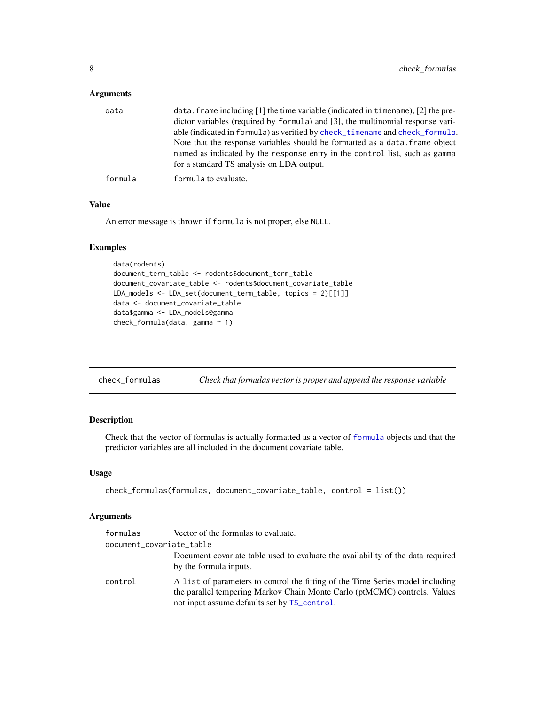<span id="page-7-0"></span>

| data    | data. frame including $[1]$ the time variable (indicated in time ame), $[2]$ the pre-<br>dictor variables (required by formula) and [3], the multinomial response vari-<br>able (indicated in formula) as verified by check_timename and check_formula.<br>Note that the response variables should be formatted as a data. frame object<br>named as indicated by the response entry in the control list, such as gamma<br>for a standard TS analysis on LDA output. |
|---------|---------------------------------------------------------------------------------------------------------------------------------------------------------------------------------------------------------------------------------------------------------------------------------------------------------------------------------------------------------------------------------------------------------------------------------------------------------------------|
| formula | formula to evaluate.                                                                                                                                                                                                                                                                                                                                                                                                                                                |

# Value

An error message is thrown if formula is not proper, else NULL.

# Examples

```
data(rodents)
document_term_table <- rodents$document_term_table
document_covariate_table <- rodents$document_covariate_table
LDA_models <- LDA_set(document_term_table, topics = 2)[[1]]
data <- document_covariate_table
data$gamma <- LDA_models@gamma
check_formula(data, gamma ~ 1)
```

| check_formulas | Check that formulas vector is proper and append the response variable |  |  |
|----------------|-----------------------------------------------------------------------|--|--|
|                |                                                                       |  |  |

# Description

Check that the vector of formulas is actually formatted as a vector of [formula](#page-0-0) objects and that the predictor variables are all included in the document covariate table.

#### Usage

```
check_formulas(formulas, document_covariate_table, control = list())
```
# Arguments

| formulas | Vector of the formulas to evaluate.                                                                                                                                                                         |
|----------|-------------------------------------------------------------------------------------------------------------------------------------------------------------------------------------------------------------|
|          | document_covariate_table                                                                                                                                                                                    |
|          | Document covariate table used to evaluate the availability of the data required<br>by the formula inputs.                                                                                                   |
| control  | A list of parameters to control the fitting of the Time Series model including<br>the parallel tempering Markov Chain Monte Carlo (ptMCMC) controls. Values<br>not input assume defaults set by TS_control. |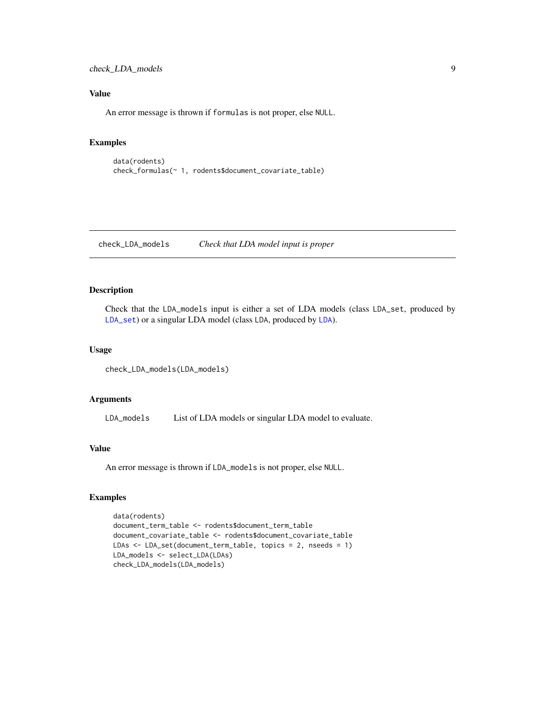<span id="page-8-0"></span>check\_LDA\_models 9

# Value

An error message is thrown if formulas is not proper, else NULL.

# Examples

```
data(rodents)
check_formulas(~ 1, rodents$document_covariate_table)
```
check\_LDA\_models *Check that LDA model input is proper*

# Description

Check that the LDA\_models input is either a set of LDA models (class LDA\_set, produced by [LDA\\_set](#page-22-1)) or a singular LDA model (class LDA, produced by [LDA](#page-0-0)).

#### Usage

```
check_LDA_models(LDA_models)
```
#### Arguments

LDA\_models List of LDA models or singular LDA model to evaluate.

#### Value

An error message is thrown if LDA\_models is not proper, else NULL.

```
data(rodents)
document_term_table <- rodents$document_term_table
document_covariate_table <- rodents$document_covariate_table
LDAs <- LDA_set(document_term_table, topics = 2, nseeds = 1)
LDA_models <- select_LDA(LDAs)
check_LDA_models(LDA_models)
```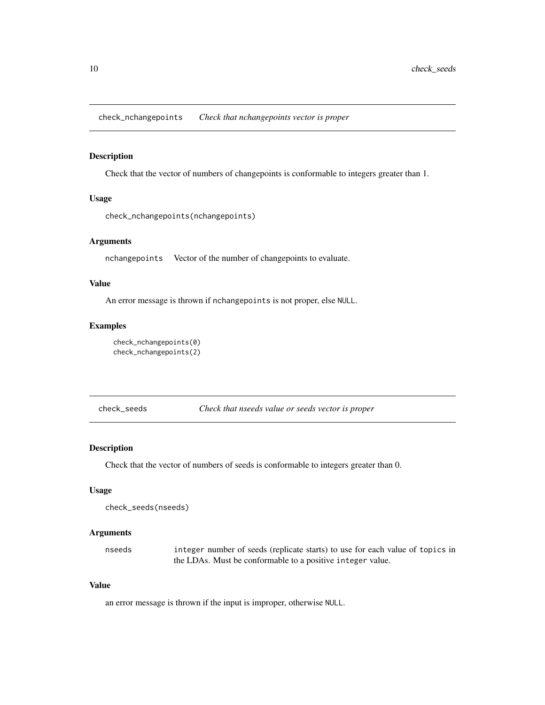<span id="page-9-0"></span>check\_nchangepoints *Check that nchangepoints vector is proper*

# Description

Check that the vector of numbers of changepoints is conformable to integers greater than 1.

#### Usage

```
check_nchangepoints(nchangepoints)
```
# Arguments

nchangepoints Vector of the number of changepoints to evaluate.

# Value

An error message is thrown if nchangepoints is not proper, else NULL.

# Examples

```
check_nchangepoints(0)
check_nchangepoints(2)
```
check\_seeds *Check that nseeds value or seeds vector is proper*

# Description

Check that the vector of numbers of seeds is conformable to integers greater than 0.

#### Usage

```
check_seeds(nseeds)
```
#### Arguments

nseeds integer number of seeds (replicate starts) to use for each value of topics in the LDAs. Must be conformable to a positive integer value.

#### Value

an error message is thrown if the input is improper, otherwise NULL.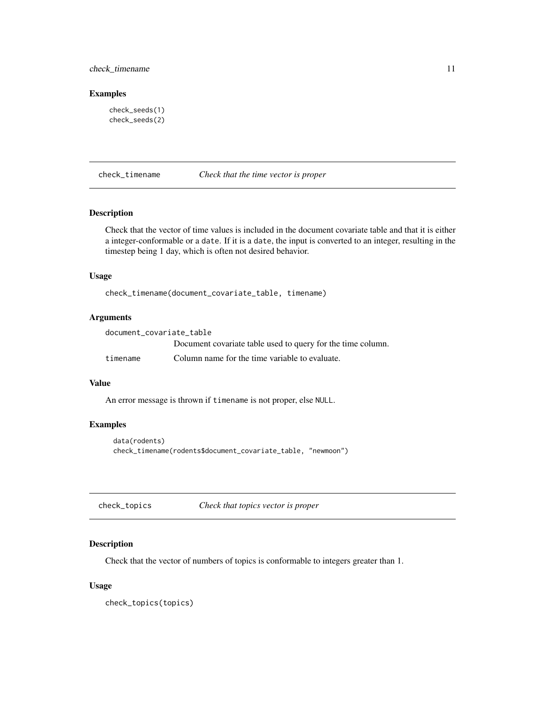# <span id="page-10-0"></span>check\_timename 11

## Examples

```
check_seeds(1)
check_seeds(2)
```
# <span id="page-10-1"></span>check\_timename *Check that the time vector is proper*

# Description

Check that the vector of time values is included in the document covariate table and that it is either a integer-conformable or a date. If it is a date, the input is converted to an integer, resulting in the timestep being 1 day, which is often not desired behavior.

# Usage

check\_timename(document\_covariate\_table, timename)

# Arguments

| document covariate table |                                                             |
|--------------------------|-------------------------------------------------------------|
|                          | Document covariate table used to query for the time column. |
| timename                 | Column name for the time variable to evaluate.              |

#### Value

An error message is thrown if timename is not proper, else NULL.

#### Examples

```
data(rodents)
check_timename(rodents$document_covariate_table, "newmoon")
```
check\_topics *Check that topics vector is proper*

# Description

Check that the vector of numbers of topics is conformable to integers greater than 1.

#### Usage

check\_topics(topics)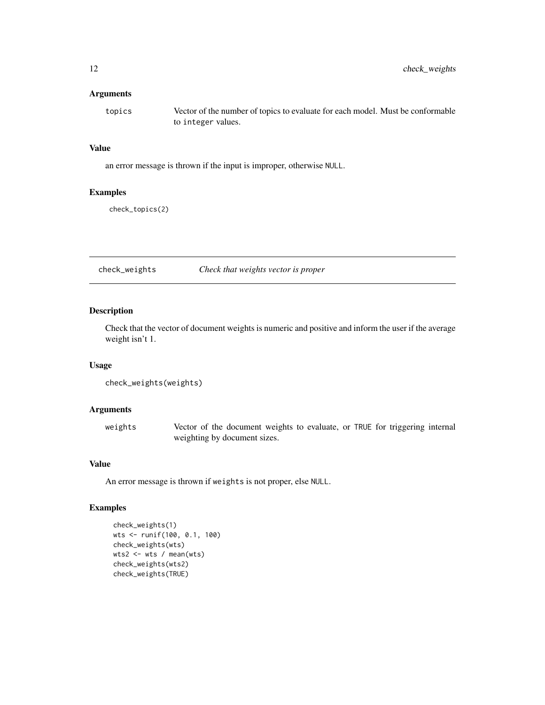<span id="page-11-0"></span>topics Vector of the number of topics to evaluate for each model. Must be conformable to integer values.

# Value

an error message is thrown if the input is improper, otherwise NULL.

#### Examples

check\_topics(2)

check\_weights *Check that weights vector is proper*

# Description

Check that the vector of document weights is numeric and positive and inform the user if the average weight isn't 1.

#### Usage

check\_weights(weights)

#### Arguments

weights Vector of the document weights to evaluate, or TRUE for triggering internal weighting by document sizes.

# Value

An error message is thrown if weights is not proper, else NULL.

```
check_weights(1)
wts <- runif(100, 0.1, 100)
check_weights(wts)
wts2 <- wts / mean(wts)
check_weights(wts2)
check_weights(TRUE)
```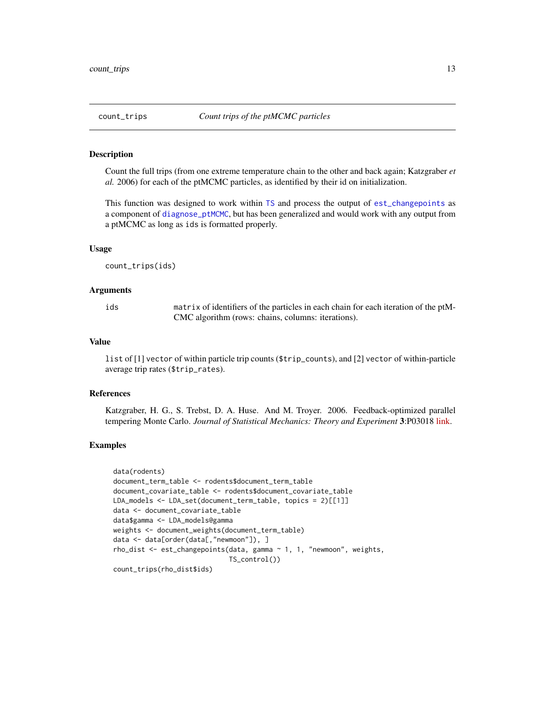#### <span id="page-12-1"></span><span id="page-12-0"></span>Description

Count the full trips (from one extreme temperature chain to the other and back again; Katzgraber *et al.* 2006) for each of the ptMCMC particles, as identified by their id on initialization.

This function was designed to work within [TS](#page-80-1) and process the output of [est\\_changepoints](#page-15-1) as a component of [diagnose\\_ptMCMC](#page-13-1), but has been generalized and would work with any output from a ptMCMC as long as ids is formatted properly.

#### Usage

count\_trips(ids)

#### Arguments

ids matrix of identifiers of the particles in each chain for each iteration of the ptM-CMC algorithm (rows: chains, columns: iterations).

#### Value

list of [1] vector of within particle trip counts (\$trip\_counts), and [2] vector of within-particle average trip rates (\$trip\_rates).

#### References

Katzgraber, H. G., S. Trebst, D. A. Huse. And M. Troyer. 2006. Feedback-optimized parallel tempering Monte Carlo. *Journal of Statistical Mechanics: Theory and Experiment* 3:P03018 [link.](https://bit.ly/2LICGXh)

```
data(rodents)
document_term_table <- rodents$document_term_table
document_covariate_table <- rodents$document_covariate_table
LDA_models <- LDA_set(document_term_table, topics = 2)[[1]]
data <- document_covariate_table
data$gamma <- LDA_models@gamma
weights <- document_weights(document_term_table)
data <- data[order(data[,"newmoon"]), ]
rho_dist <- est_changepoints(data, gamma ~ 1, 1, "newmoon", weights,
                             TS_control())
count_trips(rho_dist$ids)
```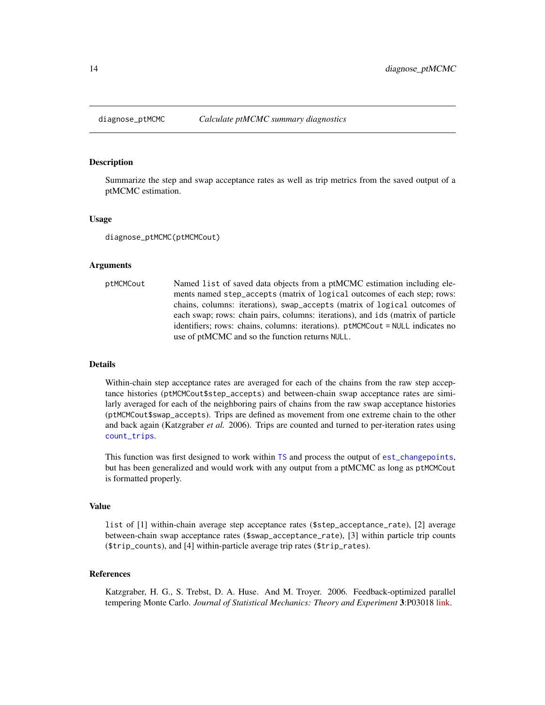<span id="page-13-1"></span><span id="page-13-0"></span>

#### Description

Summarize the step and swap acceptance rates as well as trip metrics from the saved output of a ptMCMC estimation.

#### Usage

diagnose\_ptMCMC(ptMCMCout)

#### Arguments

ptMCMCout Named list of saved data objects from a ptMCMC estimation including elements named step\_accepts (matrix of logical outcomes of each step; rows: chains, columns: iterations), swap\_accepts (matrix of logical outcomes of each swap; rows: chain pairs, columns: iterations), and ids (matrix of particle identifiers; rows: chains, columns: iterations). ptMCMCout = NULL indicates no use of ptMCMC and so the function returns NULL.

#### Details

Within-chain step acceptance rates are averaged for each of the chains from the raw step acceptance histories (ptMCMCout\$step\_accepts) and between-chain swap acceptance rates are similarly averaged for each of the neighboring pairs of chains from the raw swap acceptance histories (ptMCMCout\$swap\_accepts). Trips are defined as movement from one extreme chain to the other and back again (Katzgraber *et al.* 2006). Trips are counted and turned to per-iteration rates using [count\\_trips](#page-12-1).

This function was first designed to work within [TS](#page-80-1) and process the output of [est\\_changepoints](#page-15-1), but has been generalized and would work with any output from a ptMCMC as long as ptMCMCout is formatted properly.

#### Value

list of [1] within-chain average step acceptance rates (\$step\_acceptance\_rate), [2] average between-chain swap acceptance rates (\$swap\_acceptance\_rate), [3] within particle trip counts (\$trip\_counts), and [4] within-particle average trip rates (\$trip\_rates).

# References

Katzgraber, H. G., S. Trebst, D. A. Huse. And M. Troyer. 2006. Feedback-optimized parallel tempering Monte Carlo. *Journal of Statistical Mechanics: Theory and Experiment* 3:P03018 [link.](https://bit.ly/2LICGXh)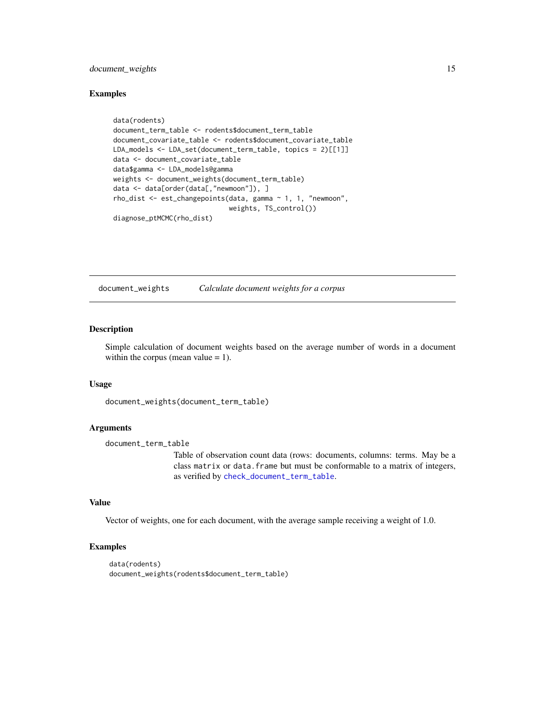# <span id="page-14-0"></span>document\_weights 15

#### Examples

```
data(rodents)
document_term_table <- rodents$document_term_table
document_covariate_table <- rodents$document_covariate_table
LDA_models <- LDA_set(document_term_table, topics = 2)[[1]]
data <- document_covariate_table
data$gamma <- LDA_models@gamma
weights <- document_weights(document_term_table)
data <- data[order(data[,"newmoon"]), ]
rho_dist <- est_changepoints(data, gamma ~ 1, 1, "newmoon",
                             weights, TS_control())
diagnose_ptMCMC(rho_dist)
```
<span id="page-14-1"></span>document\_weights *Calculate document weights for a corpus*

# Description

Simple calculation of document weights based on the average number of words in a document within the corpus (mean value  $= 1$ ).

#### Usage

document\_weights(document\_term\_table)

#### Arguments

document\_term\_table

Table of observation count data (rows: documents, columns: terms. May be a class matrix or data.frame but must be conformable to a matrix of integers, as verified by [check\\_document\\_term\\_table](#page-6-1).

#### Value

Vector of weights, one for each document, with the average sample receiving a weight of 1.0.

```
data(rodents)
document_weights(rodents$document_term_table)
```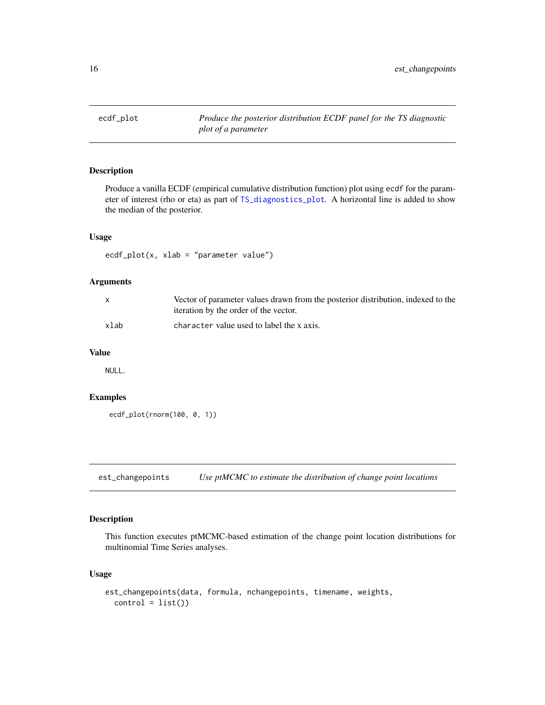<span id="page-15-0"></span>

# Description

Produce a vanilla ECDF (empirical cumulative distribution function) plot using ecdf for the parameter of interest (rho or eta) as part of [TS\\_diagnostics\\_plot](#page-84-1). A horizontal line is added to show the median of the posterior.

#### Usage

 $ecdf_plot(x, xlab = "parameter value")$ 

#### Arguments

|      | Vector of parameter values drawn from the posterior distribution, indexed to the<br>iteration by the order of the vector. |
|------|---------------------------------------------------------------------------------------------------------------------------|
| xlab | character value used to label the x axis.                                                                                 |

#### Value

NULL.

# Examples

```
ecdf_plot(rnorm(100, 0, 1))
```
<span id="page-15-1"></span>est\_changepoints *Use ptMCMC to estimate the distribution of change point locations*

# Description

This function executes ptMCMC-based estimation of the change point location distributions for multinomial Time Series analyses.

# Usage

```
est_changepoints(data, formula, nchangepoints, timename, weights,
  control = list()
```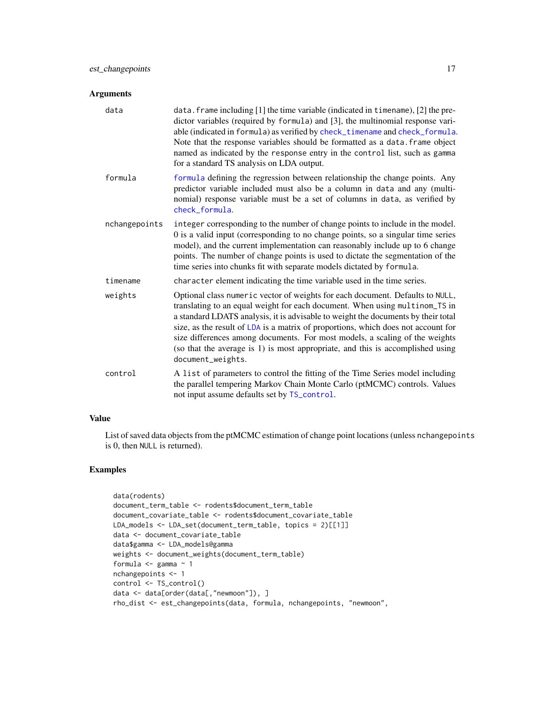| data          | data. frame including [1] the time variable (indicated in timename), [2] the pre-<br>dictor variables (required by formula) and [3], the multinomial response vari-<br>able (indicated in formula) as verified by check_timename and check_formula.<br>Note that the response variables should be formatted as a data. frame object<br>named as indicated by the response entry in the control list, such as gamma<br>for a standard TS analysis on LDA output.                                                              |
|---------------|------------------------------------------------------------------------------------------------------------------------------------------------------------------------------------------------------------------------------------------------------------------------------------------------------------------------------------------------------------------------------------------------------------------------------------------------------------------------------------------------------------------------------|
| formula       | formula defining the regression between relationship the change points. Any<br>predictor variable included must also be a column in data and any (multi-<br>nomial) response variable must be a set of columns in data, as verified by<br>check_formula.                                                                                                                                                                                                                                                                     |
| nchangepoints | integer corresponding to the number of change points to include in the model.<br>0 is a valid input (corresponding to no change points, so a singular time series<br>model), and the current implementation can reasonably include up to 6 change<br>points. The number of change points is used to dictate the segmentation of the<br>time series into chunks fit with separate models dictated by formula.                                                                                                                 |
| timename      | character element indicating the time variable used in the time series.                                                                                                                                                                                                                                                                                                                                                                                                                                                      |
| weights       | Optional class numeric vector of weights for each document. Defaults to NULL,<br>translating to an equal weight for each document. When using multinom_TS in<br>a standard LDATS analysis, it is advisable to weight the documents by their total<br>size, as the result of LDA is a matrix of proportions, which does not account for<br>size differences among documents. For most models, a scaling of the weights<br>(so that the average is 1) is most appropriate, and this is accomplished using<br>document_weights. |
| control       | A list of parameters to control the fitting of the Time Series model including<br>the parallel tempering Markov Chain Monte Carlo (ptMCMC) controls. Values<br>not input assume defaults set by TS_control.                                                                                                                                                                                                                                                                                                                  |

# Value

List of saved data objects from the ptMCMC estimation of change point locations (unless nchangepoints is 0, then NULL is returned).

```
data(rodents)
document_term_table <- rodents$document_term_table
document_covariate_table <- rodents$document_covariate_table
LDA_models <- LDA_set(document_term_table, topics = 2)[[1]]
data <- document_covariate_table
data$gamma <- LDA_models@gamma
weights <- document_weights(document_term_table)
formula \leq gamma \sim 1
nchangepoints <- 1
control <- TS_control()
data <- data[order(data[,"newmoon"]), ]
rho_dist <- est_changepoints(data, formula, nchangepoints, "newmoon",
```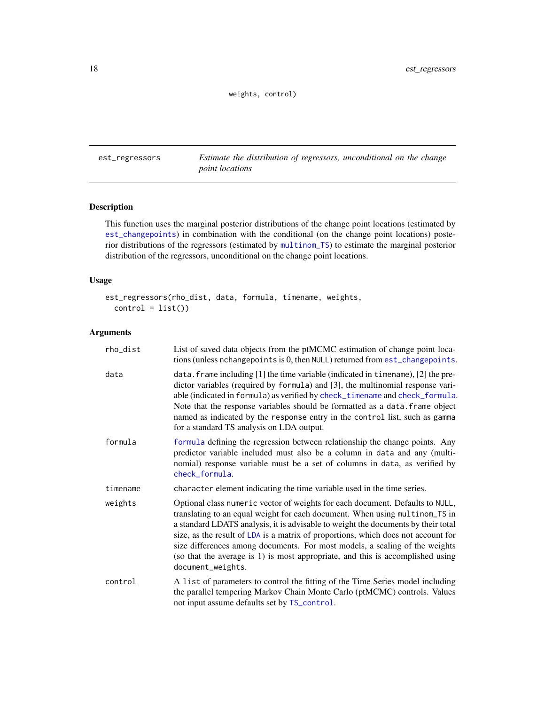weights, control)

<span id="page-17-0"></span>est\_regressors *Estimate the distribution of regressors, unconditional on the change point locations*

# Description

This function uses the marginal posterior distributions of the change point locations (estimated by [est\\_changepoints](#page-15-1)) in combination with the conditional (on the change point locations) posterior distributions of the regressors (estimated by [multinom\\_TS](#page-33-1)) to estimate the marginal posterior distribution of the regressors, unconditional on the change point locations.

# Usage

```
est_regressors(rho_dist, data, formula, timename, weights,
 control = list()
```
# Arguments

| rho_dist | List of saved data objects from the ptMCMC estimation of change point loca-<br>tions (unless nchangepoints is 0, then NULL) returned from est_changepoints.                                                                                                                                                                                                                                                                                                                                                                  |
|----------|------------------------------------------------------------------------------------------------------------------------------------------------------------------------------------------------------------------------------------------------------------------------------------------------------------------------------------------------------------------------------------------------------------------------------------------------------------------------------------------------------------------------------|
| data     | data. frame including $[1]$ the time variable (indicated in timename), $[2]$ the pre-<br>dictor variables (required by formula) and [3], the multinomial response vari-<br>able (indicated in formula) as verified by check_timename and check_formula.<br>Note that the response variables should be formatted as a data. frame object<br>named as indicated by the response entry in the control list, such as gamma<br>for a standard TS analysis on LDA output.                                                          |
| formula  | formula defining the regression between relationship the change points. Any<br>predictor variable included must also be a column in data and any (multi-<br>nomial) response variable must be a set of columns in data, as verified by<br>check_formula.                                                                                                                                                                                                                                                                     |
| timename | character element indicating the time variable used in the time series.                                                                                                                                                                                                                                                                                                                                                                                                                                                      |
| weights  | Optional class numeric vector of weights for each document. Defaults to NULL,<br>translating to an equal weight for each document. When using multinom_TS in<br>a standard LDATS analysis, it is advisable to weight the documents by their total<br>size, as the result of LDA is a matrix of proportions, which does not account for<br>size differences among documents. For most models, a scaling of the weights<br>(so that the average is 1) is most appropriate, and this is accomplished using<br>document_weights. |
| control  | A list of parameters to control the fitting of the Time Series model including<br>the parallel tempering Markov Chain Monte Carlo (ptMCMC) controls. Values<br>not input assume defaults set by TS_control.                                                                                                                                                                                                                                                                                                                  |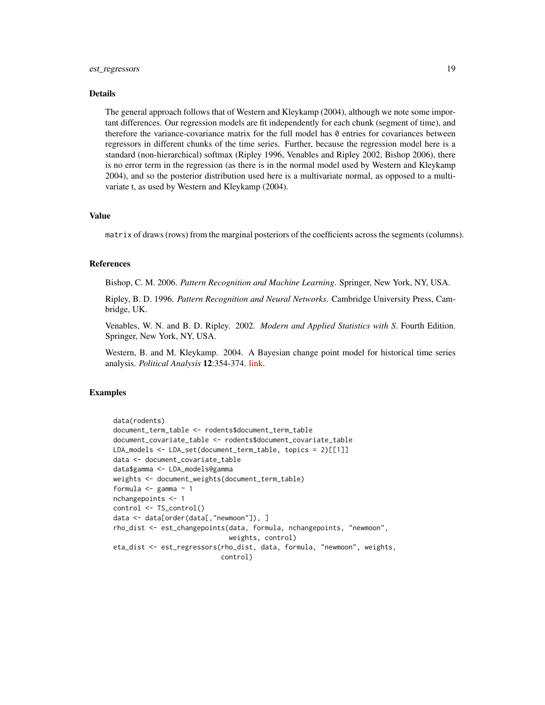# est\_regressors 19

#### Details

The general approach follows that of Western and Kleykamp (2004), although we note some important differences. Our regression models are fit independently for each chunk (segment of time), and therefore the variance-covariance matrix for the full model has 0 entries for covariances between regressors in different chunks of the time series. Further, because the regression model here is a standard (non-hierarchical) softmax (Ripley 1996, Venables and Ripley 2002, Bishop 2006), there is no error term in the regression (as there is in the normal model used by Western and Kleykamp 2004), and so the posterior distribution used here is a multivariate normal, as opposed to a multivariate t, as used by Western and Kleykamp (2004).

#### Value

matrix of draws (rows) from the marginal posteriors of the coefficients across the segments (columns).

# References

Bishop, C. M. 2006. *Pattern Recognition and Machine Learning*. Springer, New York, NY, USA.

Ripley, B. D. 1996. *Pattern Recognition and Neural Networks*. Cambridge University Press, Cambridge, UK.

Venables, W. N. and B. D. Ripley. 2002. *Modern and Applied Statistics with S*. Fourth Edition. Springer, New York, NY, USA.

Western, B. and M. Kleykamp. 2004. A Bayesian change point model for historical time series analysis. *Political Analysis* 12:354-374. [link.](https://doi.org/10.1093/pan/mph023)

```
data(rodents)
document_term_table <- rodents$document_term_table
document_covariate_table <- rodents$document_covariate_table
LDA_models <- LDA_set(document_term_table, topics = 2)[[1]]
data <- document_covariate_table
data$gamma <- LDA_models@gamma
weights <- document_weights(document_term_table)
formula <- gamma ~ 1
nchangepoints <- 1
control <- TS_control()
data <- data[order(data[,"newmoon"]), ]
rho_dist <- est_changepoints(data, formula, nchangepoints, "newmoon",
                             weights, control)
eta_dist <- est_regressors(rho_dist, data, formula, "newmoon", weights,
                           control)
```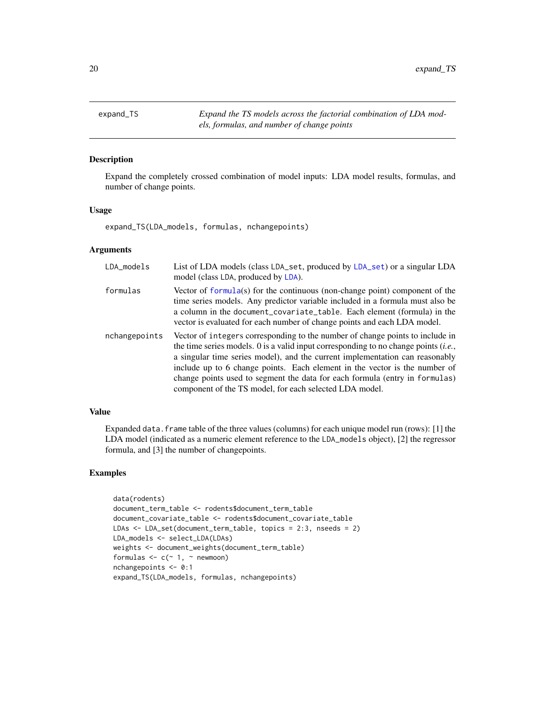<span id="page-19-0"></span>expand\_TS *Expand the TS models across the factorial combination of LDA models, formulas, and number of change points*

#### Description

Expand the completely crossed combination of model inputs: LDA model results, formulas, and number of change points.

# Usage

expand\_TS(LDA\_models, formulas, nchangepoints)

# Arguments

| LDA_models    | List of LDA models (class LDA_set, produced by LDA_set) or a singular LDA<br>model (class LDA, produced by LDA).                                                                                                                                                                                                                                                                                                                                                               |
|---------------|--------------------------------------------------------------------------------------------------------------------------------------------------------------------------------------------------------------------------------------------------------------------------------------------------------------------------------------------------------------------------------------------------------------------------------------------------------------------------------|
| formulas      | Vector of formula(s) for the continuous (non-change point) component of the<br>time series models. Any predictor variable included in a formula must also be<br>a column in the document_covariate_table. Each element (formula) in the<br>vector is evaluated for each number of change points and each LDA model.                                                                                                                                                            |
| nchangepoints | Vector of integers corresponding to the number of change points to include in<br>the time series models. 0 is a valid input corresponding to no change points $(i.e.,$<br>a singular time series model), and the current implementation can reasonably<br>include up to 6 change points. Each element in the vector is the number of<br>change points used to segment the data for each formula (entry in formulas)<br>component of the TS model, for each selected LDA model. |

# Value

Expanded data.frame table of the three values (columns) for each unique model run (rows): [1] the LDA model (indicated as a numeric element reference to the LDA\_models object), [2] the regressor formula, and [3] the number of changepoints.

```
data(rodents)
document_term_table <- rodents$document_term_table
document_covariate_table <- rodents$document_covariate_table
LDAs <- LDA_set(document_term_table, topics = 2:3, nseeds = 2)
LDA_models <- select_LDA(LDAs)
weights <- document_weights(document_term_table)
formulas \leq c (\leq 1, \leq newmoon)
nchangepoints <- 0:1
expand_TS(LDA_models, formulas, nchangepoints)
```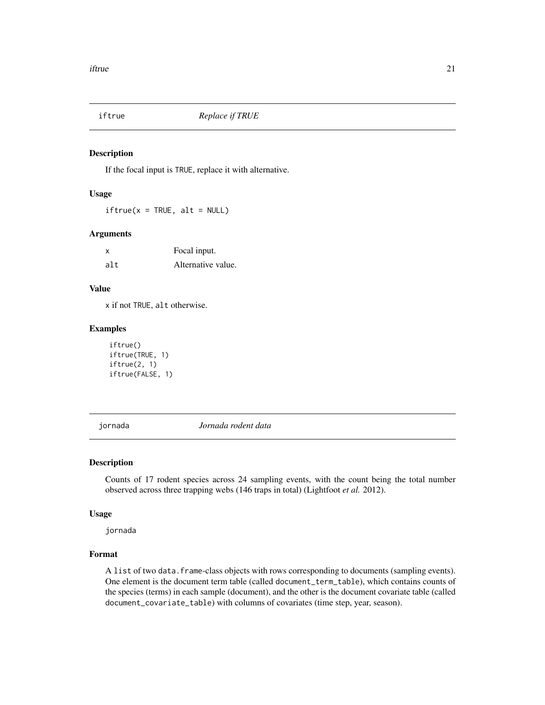<span id="page-20-0"></span>

#### Description

If the focal input is TRUE, replace it with alternative.

#### Usage

 $iftrue(x = TRUE, alt = NULL)$ 

# Arguments

| X   | Focal input.       |
|-----|--------------------|
| alt | Alternative value. |

# Value

x if not TRUE, alt otherwise.

#### Examples

```
iftrue()
iftrue(TRUE, 1)
iftrue(2, 1)
iftrue(FALSE, 1)
```
jornada *Jornada rodent data*

#### Description

Counts of 17 rodent species across 24 sampling events, with the count being the total number observed across three trapping webs (146 traps in total) (Lightfoot *et al.* 2012).

# Usage

jornada

# Format

A list of two data.frame-class objects with rows corresponding to documents (sampling events). One element is the document term table (called document\_term\_table), which contains counts of the species (terms) in each sample (document), and the other is the document covariate table (called document\_covariate\_table) with columns of covariates (time step, year, season).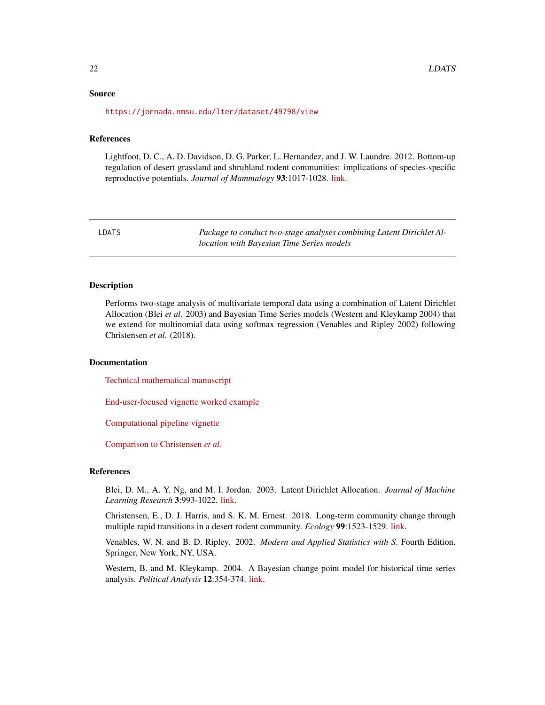#### <span id="page-21-0"></span>Source

<https://jornada.nmsu.edu/lter/dataset/49798/view>

#### References

Lightfoot, D. C., A. D. Davidson, D. G. Parker, L. Hernandez, and J. W. Laundre. 2012. Bottom-up regulation of desert grassland and shrubland rodent communities: implications of species-specific reproductive potentials. *Journal of Mammalogy* 93:1017-1028. [link.](https://doi.org/10.1644/11-MAMM-A-391.1)

LDATS *Package to conduct two-stage analyses combining Latent Dirichlet Allocation with Bayesian Time Series models*

#### Description

Performs two-stage analysis of multivariate temporal data using a combination of Latent Dirichlet Allocation (Blei *et al.* 2003) and Bayesian Time Series models (Western and Kleykamp 2004) that we extend for multinomial data using softmax regression (Venables and Ripley 2002) following Christensen *et al.* (2018).

# Documentation

[Technical mathematical manuscript](https://bit.ly/30n9sRJ)

[End-user-focused vignette worked example](https://bit.ly/2Jvj9GS)

[Computational pipeline vignette](https://bit.ly/2xFzJOW)

[Comparison to Christensen](https://bit.ly/2NFTVLh) *et al.*

#### References

Blei, D. M., A. Y. Ng, and M. I. Jordan. 2003. Latent Dirichlet Allocation. *Journal of Machine Learning Research* 3:993-1022. [link.](http://jmlr.csail.mit.edu/papers/v3/blei03a.html)

Christensen, E., D. J. Harris, and S. K. M. Ernest. 2018. Long-term community change through multiple rapid transitions in a desert rodent community. *Ecology* 99:1523-1529. [link.](https://doi.org/10.1002/ecy.2373)

Venables, W. N. and B. D. Ripley. 2002. *Modern and Applied Statistics with S*. Fourth Edition. Springer, New York, NY, USA.

Western, B. and M. Kleykamp. 2004. A Bayesian change point model for historical time series analysis. *Political Analysis* 12:354-374. [link.](https://doi.org/10.1093/pan/mph023)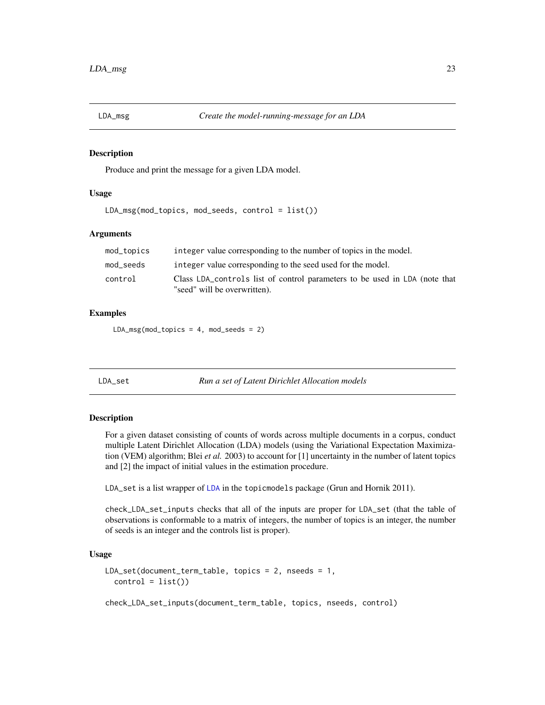<span id="page-22-0"></span>

#### Description

Produce and print the message for a given LDA model.

#### Usage

LDA\_msg(mod\_topics, mod\_seeds, control = list())

# Arguments

| mod_topics | integer value corresponding to the number of topics in the model.                                          |
|------------|------------------------------------------------------------------------------------------------------------|
| mod_seeds  | integer value corresponding to the seed used for the model.                                                |
| control    | Class LDA controls list of control parameters to be used in LDA (note that<br>"seed" will be overwritten). |

# Examples

 $LDA_msg(mod_topics = 4, mod_seeds = 2)$ 

<span id="page-22-1"></span>LDA\_set *Run a set of Latent Dirichlet Allocation models*

#### Description

For a given dataset consisting of counts of words across multiple documents in a corpus, conduct multiple Latent Dirichlet Allocation (LDA) models (using the Variational Expectation Maximization (VEM) algorithm; Blei *et al.* 2003) to account for [1] uncertainty in the number of latent topics and [2] the impact of initial values in the estimation procedure.

LDA\_set is a list wrapper of [LDA](#page-0-0) in the topicmodels package (Grun and Hornik 2011).

check\_LDA\_set\_inputs checks that all of the inputs are proper for LDA\_set (that the table of observations is conformable to a matrix of integers, the number of topics is an integer, the number of seeds is an integer and the controls list is proper).

#### Usage

```
LDA_set(document_term_table, topics = 2, nseeds = 1,
  control = list()
```
check\_LDA\_set\_inputs(document\_term\_table, topics, nseeds, control)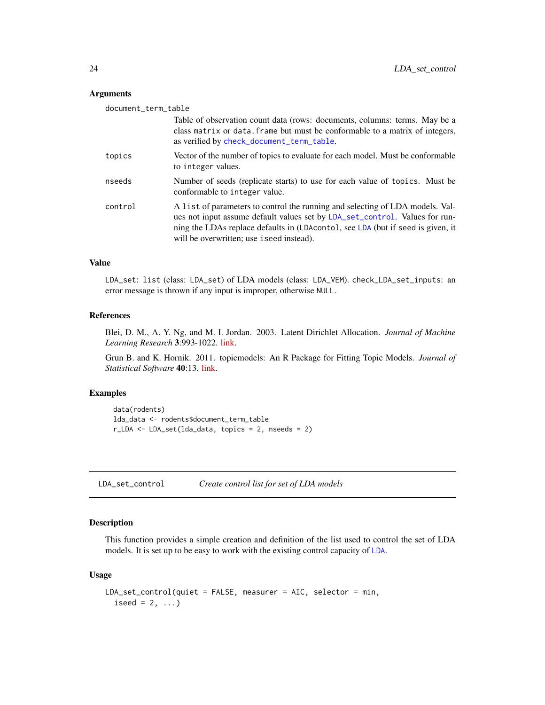<span id="page-23-0"></span>

| document_term_table |                                                                                                                                                                                                                                                                                              |
|---------------------|----------------------------------------------------------------------------------------------------------------------------------------------------------------------------------------------------------------------------------------------------------------------------------------------|
|                     | Table of observation count data (rows: documents, columns: terms. May be a<br>class matrix or data. frame but must be conformable to a matrix of integers,<br>as verified by check_document_term_table.                                                                                      |
| topics              | Vector of the number of topics to evaluate for each model. Must be conformable<br>to integer values.                                                                                                                                                                                         |
| nseeds              | Number of seeds (replicate starts) to use for each value of topics. Must be<br>conformable to integer value.                                                                                                                                                                                 |
| control             | A list of parameters to control the running and selecting of LDA models. Val-<br>ues not input assume default values set by LDA_set_control. Values for run-<br>ning the LDAs replace defaults in (LDAcontol, see LDA (but if seed is given, it<br>will be overwritten; use i seed instead). |

#### Value

LDA\_set: list (class: LDA\_set) of LDA models (class: LDA\_VEM). check\_LDA\_set\_inputs: an error message is thrown if any input is improper, otherwise NULL.

# References

Blei, D. M., A. Y. Ng, and M. I. Jordan. 2003. Latent Dirichlet Allocation. *Journal of Machine Learning Research* 3:993-1022. [link.](http://jmlr.csail.mit.edu/papers/v3/blei03a.html)

Grun B. and K. Hornik. 2011. topicmodels: An R Package for Fitting Topic Models. *Journal of Statistical Software* 40:13. [link.](https://www.jstatsoft.org/article/view/v040i13)

# Examples

```
data(rodents)
lda_data <- rodents$document_term_table
r_LDA <- LDA_set(lda_data, topics = 2, nseeds = 2)
```
<span id="page-23-1"></span>LDA\_set\_control *Create control list for set of LDA models*

#### Description

This function provides a simple creation and definition of the list used to control the set of LDA models. It is set up to be easy to work with the existing control capacity of [LDA](#page-0-0).

#### Usage

```
LDA_set_control(quiet = FALSE, measurer = AIC, selector = min,
  iseed = 2, ...)
```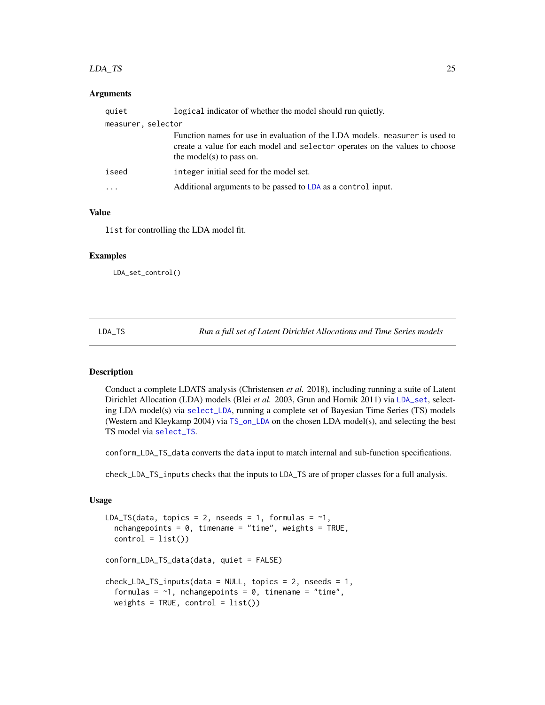#### <span id="page-24-0"></span>LDA\_TS 25

#### **Arguments**

| quiet                   | logical indicator of whether the model should run quietly.                                                                                                                             |
|-------------------------|----------------------------------------------------------------------------------------------------------------------------------------------------------------------------------------|
| measurer, selector      |                                                                                                                                                                                        |
|                         | Function names for use in evaluation of the LDA models. measurer is used to<br>create a value for each model and selector operates on the values to choose<br>the model(s) to pass on. |
| iseed                   | integer initial seed for the model set.                                                                                                                                                |
| $\cdot$ $\cdot$ $\cdot$ | Additional arguments to be passed to LDA as a control input.                                                                                                                           |

# Value

list for controlling the LDA model fit.

#### Examples

LDA\_set\_control()

<span id="page-24-1"></span>LDA\_TS *Run a full set of Latent Dirichlet Allocations and Time Series models*

# **Description**

Conduct a complete LDATS analysis (Christensen *et al.* 2018), including running a suite of Latent Dirichlet Allocation (LDA) models (Blei *et al.* 2003, Grun and Hornik 2011) via [LDA\\_set](#page-22-1), selecting LDA model(s) via [select\\_LDA](#page-64-1), running a complete set of Bayesian Time Series (TS) models (Western and Kleykamp 2004) via [TS\\_on\\_LDA](#page-85-1) on the chosen LDA model(s), and selecting the best TS model via [select\\_TS](#page-65-1).

conform\_LDA\_TS\_data converts the data input to match internal and sub-function specifications.

check\_LDA\_TS\_inputs checks that the inputs to LDA\_TS are of proper classes for a full analysis.

#### Usage

```
LDA_TS(data, topics = 2, nseeds = 1, formulas = \sim1,
  nchangepoints = 0, timename = "time", weights = TRUE,
  control = list()conform_LDA_TS_data(data, quiet = FALSE)
check_LDA_TS_iinputs(data = NULL, topics = 2, nseeds = 1,
  formulas = \sim1, nchangepoints = 0, timename = "time",
  weights = TRUE, control = list()
```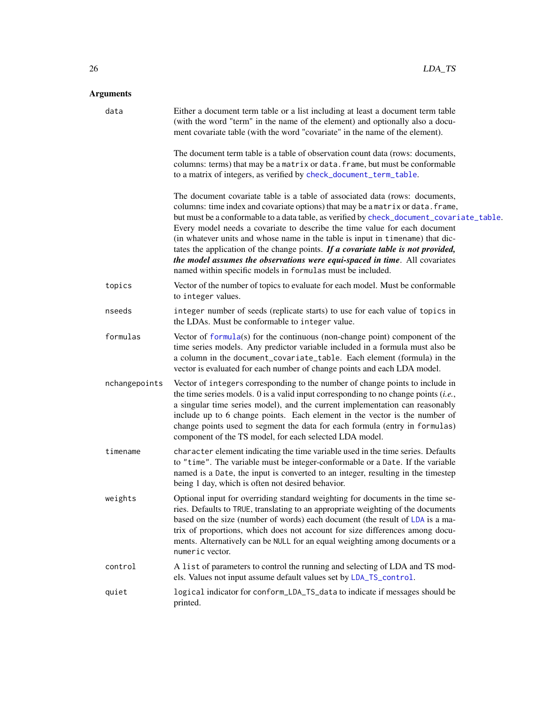| data          | Either a document term table or a list including at least a document term table<br>(with the word "term" in the name of the element) and optionally also a docu-<br>ment covariate table (with the word "covariate" in the name of the element).                                                                                                                                                                                                                                                                                                                                                                                                               |
|---------------|----------------------------------------------------------------------------------------------------------------------------------------------------------------------------------------------------------------------------------------------------------------------------------------------------------------------------------------------------------------------------------------------------------------------------------------------------------------------------------------------------------------------------------------------------------------------------------------------------------------------------------------------------------------|
|               | The document term table is a table of observation count data (rows: documents,<br>columns: terms) that may be a matrix or data. frame, but must be conformable<br>to a matrix of integers, as verified by check_document_term_table.                                                                                                                                                                                                                                                                                                                                                                                                                           |
|               | The document covariate table is a table of associated data (rows: documents,<br>columns: time index and covariate options) that may be a matrix or data. frame,<br>but must be a conformable to a data table, as verified by check_document_covariate_table.<br>Every model needs a covariate to describe the time value for each document<br>(in whatever units and whose name in the table is input in timename) that dic-<br>tates the application of the change points. If a covariate table is not provided,<br>the model assumes the observations were equi-spaced in time. All covariates<br>named within specific models in formulas must be included. |
| topics        | Vector of the number of topics to evaluate for each model. Must be conformable<br>to integer values.                                                                                                                                                                                                                                                                                                                                                                                                                                                                                                                                                           |
| nseeds        | integer number of seeds (replicate starts) to use for each value of topics in<br>the LDAs. Must be conformable to integer value.                                                                                                                                                                                                                                                                                                                                                                                                                                                                                                                               |
| formulas      | Vector of $formula(s)$ for the continuous (non-change point) component of the<br>time series models. Any predictor variable included in a formula must also be<br>a column in the document_covariate_table. Each element (formula) in the<br>vector is evaluated for each number of change points and each LDA model.                                                                                                                                                                                                                                                                                                                                          |
| nchangepoints | Vector of integers corresponding to the number of change points to include in<br>the time series models. $0$ is a valid input corresponding to no change points (i.e.,<br>a singular time series model), and the current implementation can reasonably<br>include up to 6 change points. Each element in the vector is the number of<br>change points used to segment the data for each formula (entry in formulas)<br>component of the TS model, for each selected LDA model.                                                                                                                                                                                 |
| timename      | character element indicating the time variable used in the time series. Defaults<br>to "time". The variable must be integer-conformable or a Date. If the variable<br>named is a Date, the input is converted to an integer, resulting in the timestep<br>being 1 day, which is often not desired behavior.                                                                                                                                                                                                                                                                                                                                                    |
| weights       | Optional input for overriding standard weighting for documents in the time se-<br>ries. Defaults to TRUE, translating to an appropriate weighting of the documents<br>based on the size (number of words) each document (the result of LDA is a ma-<br>trix of proportions, which does not account for size differences among docu-<br>ments. Alternatively can be NULL for an equal weighting among documents or a<br>numeric vector.                                                                                                                                                                                                                         |
| control       | A list of parameters to control the running and selecting of LDA and TS mod-<br>els. Values not input assume default values set by LDA_TS_control.                                                                                                                                                                                                                                                                                                                                                                                                                                                                                                             |
| quiet         | logical indicator for conform_LDA_TS_data to indicate if messages should be<br>printed.                                                                                                                                                                                                                                                                                                                                                                                                                                                                                                                                                                        |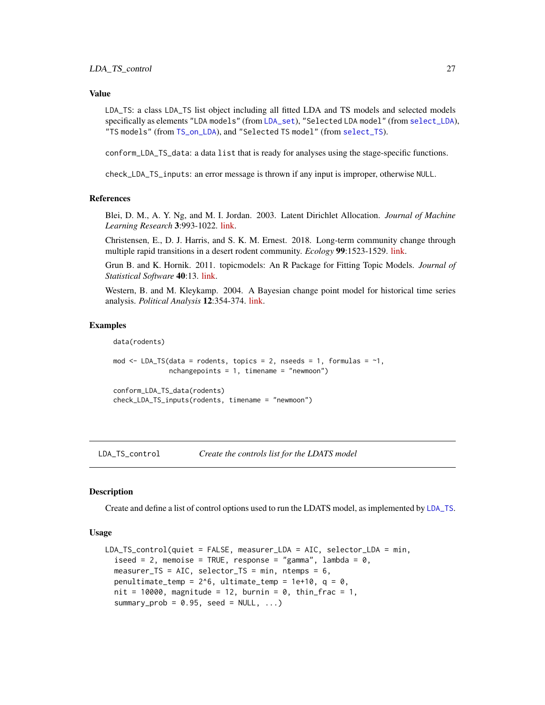#### <span id="page-26-0"></span>Value

LDA\_TS: a class LDA\_TS list object including all fitted LDA and TS models and selected models specifically as elements "LDA models" (from [LDA\\_set](#page-22-1)), "Selected LDA model" (from [select\\_LDA](#page-64-1)), "TS models" (from [TS\\_on\\_LDA](#page-85-1)), and "Selected TS model" (from [select\\_TS](#page-65-1)).

conform\_LDA\_TS\_data: a data list that is ready for analyses using the stage-specific functions.

check\_LDA\_TS\_inputs: an error message is thrown if any input is improper, otherwise NULL.

#### References

Blei, D. M., A. Y. Ng, and M. I. Jordan. 2003. Latent Dirichlet Allocation. *Journal of Machine Learning Research* 3:993-1022. [link.](http://jmlr.csail.mit.edu/papers/v3/blei03a.html)

Christensen, E., D. J. Harris, and S. K. M. Ernest. 2018. Long-term community change through multiple rapid transitions in a desert rodent community. *Ecology* 99:1523-1529. [link.](https://doi.org/10.1002/ecy.2373)

Grun B. and K. Hornik. 2011. topicmodels: An R Package for Fitting Topic Models. *Journal of Statistical Software* 40:13. [link.](https://www.jstatsoft.org/article/view/v040i13)

Western, B. and M. Kleykamp. 2004. A Bayesian change point model for historical time series analysis. *Political Analysis* 12:354-374. [link.](https://doi.org/10.1093/pan/mph023)

#### Examples

```
data(rodents)
mod \leq LDA_TS(data = rodents, topics = 2, nseeds = 1, formulas = \sim1,
              nchangepoints = 1, timename = "newmoon")
conform_LDA_TS_data(rodents)
check_LDA_TS_inputs(rodents, timename = "newmoon")
```
<span id="page-26-1"></span>LDA\_TS\_control *Create the controls list for the LDATS model*

#### Description

Create and define a list of control options used to run the LDATS model, as implemented by [LDA\\_TS](#page-24-1).

#### Usage

```
LDA_TS_control(quiet = FALSE, measurer_LDA = AIC, selector_LDA = min,
  iseed = 2, memoise = TRUE, response = "gamma", lambda = 0,
 measurer_TS = AIC, selector_TS = min, ntemps = 6,
 penultimate_temp = 2^6, ultimate_temp = 1e+10, q = 0,
  nit = 10000, magnitude = 12, burnin = 0, thin_frac = 1,
  summary_prob = 0.95, seed = NULL, ...)
```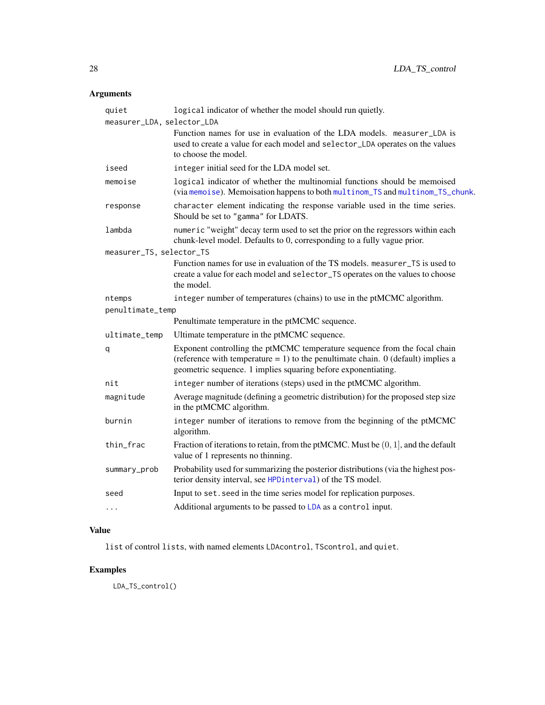| quiet<br>measurer_LDA, selector_LDA | logical indicator of whether the model should run quietly.                                                                                                                                                                        |
|-------------------------------------|-----------------------------------------------------------------------------------------------------------------------------------------------------------------------------------------------------------------------------------|
|                                     | Function names for use in evaluation of the LDA models. measurer_LDA is<br>used to create a value for each model and selector_LDA operates on the values<br>to choose the model.                                                  |
| iseed                               | integer initial seed for the LDA model set.                                                                                                                                                                                       |
| memoise                             | logical indicator of whether the multinomial functions should be memoised<br>(via memoise). Memoisation happens to both multinom_TS and multinom_TS_chunk.                                                                        |
| response                            | character element indicating the response variable used in the time series.<br>Should be set to "gamma" for LDATS.                                                                                                                |
| lambda                              | numeric "weight" decay term used to set the prior on the regressors within each<br>chunk-level model. Defaults to 0, corresponding to a fully vague prior.                                                                        |
| measurer_TS, selector_TS            |                                                                                                                                                                                                                                   |
|                                     | Function names for use in evaluation of the TS models. measurer_TS is used to<br>create a value for each model and selector_TS operates on the values to choose<br>the model.                                                     |
| ntemps                              | integer number of temperatures (chains) to use in the ptMCMC algorithm.                                                                                                                                                           |
| penultimate_temp                    |                                                                                                                                                                                                                                   |
|                                     | Penultimate temperature in the ptMCMC sequence.                                                                                                                                                                                   |
| ultimate_temp                       | Ultimate temperature in the ptMCMC sequence.                                                                                                                                                                                      |
| q                                   | Exponent controlling the ptMCMC temperature sequence from the focal chain<br>(reference with temperature $= 1$ ) to the penultimate chain. 0 (default) implies a<br>geometric sequence. 1 implies squaring before exponentiating. |
| nit                                 | integer number of iterations (steps) used in the ptMCMC algorithm.                                                                                                                                                                |
| magnitude                           | Average magnitude (defining a geometric distribution) for the proposed step size<br>in the ptMCMC algorithm.                                                                                                                      |
| burnin                              | integer number of iterations to remove from the beginning of the ptMCMC<br>algorithm.                                                                                                                                             |
| thin_frac                           | Fraction of iterations to retain, from the ptMCMC. Must be $(0, 1]$ , and the default<br>value of 1 represents no thinning.                                                                                                       |
| summary_prob                        | Probability used for summarizing the posterior distributions (via the highest pos-<br>terior density interval, see HPDinterval) of the TS model.                                                                                  |
| seed                                | Input to set. seed in the time series model for replication purposes.                                                                                                                                                             |
| $\ddotsc$                           | Additional arguments to be passed to LDA as a control input.                                                                                                                                                                      |
|                                     |                                                                                                                                                                                                                                   |

# Value

list of control lists, with named elements LDAcontrol, TScontrol, and quiet.

# Examples

LDA\_TS\_control()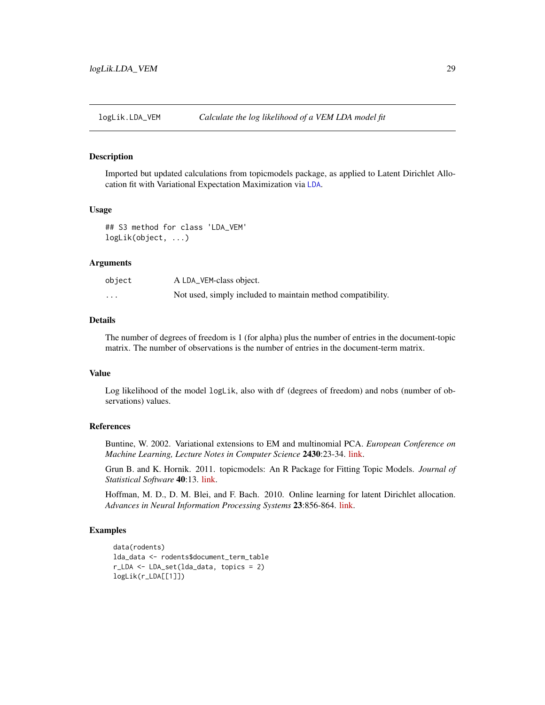<span id="page-28-0"></span>

# Description

Imported but updated calculations from topicmodels package, as applied to Latent Dirichlet Allocation fit with Variational Expectation Maximization via [LDA](#page-0-0).

#### Usage

```
## S3 method for class 'LDA_VEM'
logLik(object, ...)
```
#### Arguments

| object   | A LDA_VEM-class object.                                     |
|----------|-------------------------------------------------------------|
| $\cdots$ | Not used, simply included to maintain method compatibility. |

# Details

The number of degrees of freedom is 1 (for alpha) plus the number of entries in the document-topic matrix. The number of observations is the number of entries in the document-term matrix.

#### Value

Log likelihood of the model logLik, also with df (degrees of freedom) and nobs (number of observations) values.

# References

Buntine, W. 2002. Variational extensions to EM and multinomial PCA. *European Conference on Machine Learning, Lecture Notes in Computer Science* 2430:23-34. [link.](https://bit.ly/327sltH)

Grun B. and K. Hornik. 2011. topicmodels: An R Package for Fitting Topic Models. *Journal of Statistical Software* 40:13. [link.](https://www.jstatsoft.org/article/view/v040i13)

Hoffman, M. D., D. M. Blei, and F. Bach. 2010. Online learning for latent Dirichlet allocation. *Advances in Neural Information Processing Systems* 23:856-864. [link.](https://bit.ly/2LEr5sb)

```
data(rodents)
lda_data <- rodents$document_term_table
r_LDA <- LDA_set(lda_data, topics = 2)
logLik(r_LDA[[1]])
```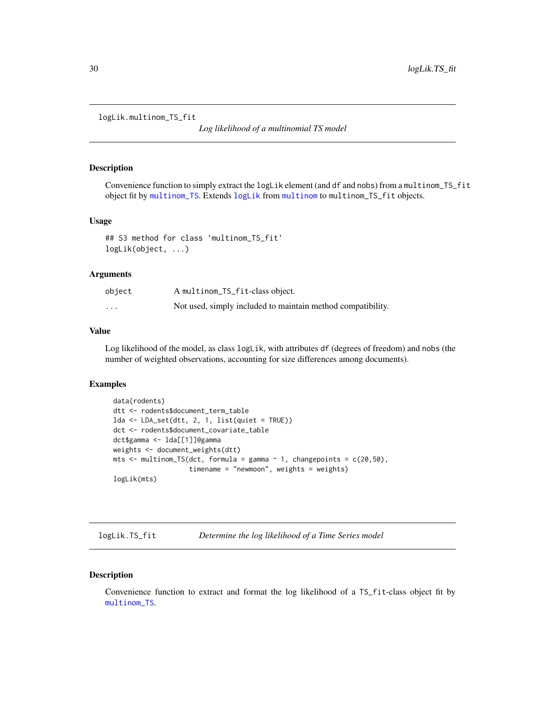<span id="page-29-0"></span>logLik.multinom\_TS\_fit

*Log likelihood of a multinomial TS model*

#### Description

Convenience function to simply extract the logLik element (and df and nobs) from a multinom\_TS\_fit object fit by [multinom\\_TS](#page-33-1). Extends [logLik](#page-0-0) from [multinom](#page-0-0) to multinom\_TS\_fit objects.

#### Usage

```
## S3 method for class 'multinom_TS_fit'
logLik(object, ...)
```
#### Arguments

| object   | A multinom_TS_fit-class object.                             |
|----------|-------------------------------------------------------------|
| $\cdots$ | Not used, simply included to maintain method compatibility. |

#### Value

Log likelihood of the model, as class logLik, with attributes df (degrees of freedom) and nobs (the number of weighted observations, accounting for size differences among documents).

# Examples

```
data(rodents)
dtt <- rodents$document_term_table
lda <- LDA_set(dtt, 2, 1, list(quiet = TRUE))
dct <- rodents$document_covariate_table
dct$gamma <- lda[[1]]@gamma
weights <- document_weights(dtt)
mts \le multinom_TS(dct, formula = gamma \sim 1, changepoints = c(20,50),
                   timename = "newmoon", weights = weights)
logLik(mts)
```
logLik.TS\_fit *Determine the log likelihood of a Time Series model*

#### Description

Convenience function to extract and format the log likelihood of a TS\_fit-class object fit by [multinom\\_TS](#page-33-1).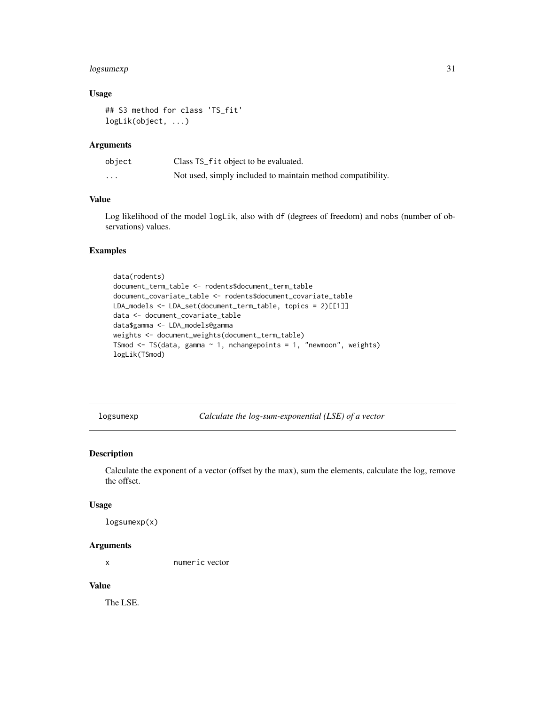# <span id="page-30-0"></span>logsumexp 31

# Usage

```
## S3 method for class 'TS_fit'
logLik(object, ...)
```
#### Arguments

| object   | Class TS_fit object to be evaluated.                        |
|----------|-------------------------------------------------------------|
| $\cdots$ | Not used, simply included to maintain method compatibility. |

# Value

Log likelihood of the model logLik, also with df (degrees of freedom) and nobs (number of observations) values.

#### Examples

```
data(rodents)
document_term_table <- rodents$document_term_table
document_covariate_table <- rodents$document_covariate_table
LDA_models <- LDA_set(document_term_table, topics = 2)[[1]]
data <- document_covariate_table
data$gamma <- LDA_models@gamma
weights <- document_weights(document_term_table)
TSmod \leq TS(data, gamma \sim 1, nchangepoints = 1, "newmoon", weights)
logLik(TSmod)
```
logsumexp *Calculate the log-sum-exponential (LSE) of a vector*

#### Description

Calculate the exponent of a vector (offset by the max), sum the elements, calculate the log, remove the offset.

#### Usage

logsumexp(x)

#### Arguments

x numeric vector

# Value

The LSE.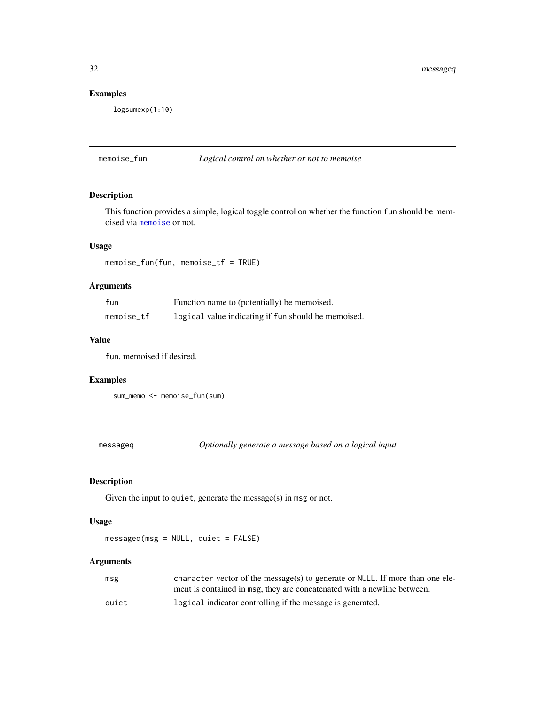<span id="page-31-0"></span>32 messageq

# Examples

logsumexp(1:10)

#### memoise\_fun *Logical control on whether or not to memoise*

# Description

This function provides a simple, logical toggle control on whether the function fun should be memoised via [memoise](#page-0-0) or not.

# Usage

memoise\_fun(fun, memoise\_tf = TRUE)

# Arguments

| fun        | Function name to (potentially) be memoised.         |
|------------|-----------------------------------------------------|
| memoise tf | logical value indicating if fun should be memoised. |

# Value

fun, memoised if desired.

## Examples

sum\_memo <- memoise\_fun(sum)

messageq *Optionally generate a message based on a logical input*

# Description

Given the input to quiet, generate the message(s) in msg or not.

#### Usage

messageq(msg = NULL, quiet = FALSE)

# Arguments

| msg   | character vector of the message(s) to generate or NULL. If more than one ele- |
|-------|-------------------------------------------------------------------------------|
|       | ment is contained in msg, they are concatenated with a newline between.       |
| quiet | logical indicator controlling if the message is generated.                    |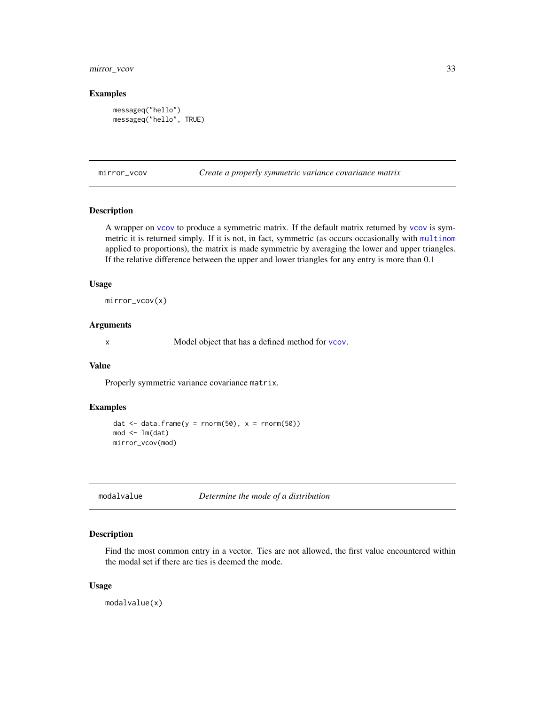# <span id="page-32-0"></span>mirror\_vcov 33

# Examples

```
messageq("hello")
messageq("hello", TRUE)
```
mirror\_vcov *Create a properly symmetric variance covariance matrix*

# Description

A wrapper on [vcov](#page-0-0) to produce a symmetric matrix. If the default matrix returned by [vcov](#page-0-0) is symmetric it is returned simply. If it is not, in fact, symmetric (as occurs occasionally with [multinom](#page-0-0) applied to proportions), the matrix is made symmetric by averaging the lower and upper triangles. If the relative difference between the upper and lower triangles for any entry is more than 0.1

#### Usage

mirror\_vcov(x)

#### Arguments

x Model object that has a defined method for [vcov](#page-0-0).

#### Value

Properly symmetric variance covariance matrix.

# Examples

```
dat \le data.frame(y = rnorm(50), x = rnorm(50))
mod < -1m(data)mirror_vcov(mod)
```

```
modalvalue Determine the mode of a distribution
```
## Description

Find the most common entry in a vector. Ties are not allowed, the first value encountered within the modal set if there are ties is deemed the mode.

#### Usage

modalvalue(x)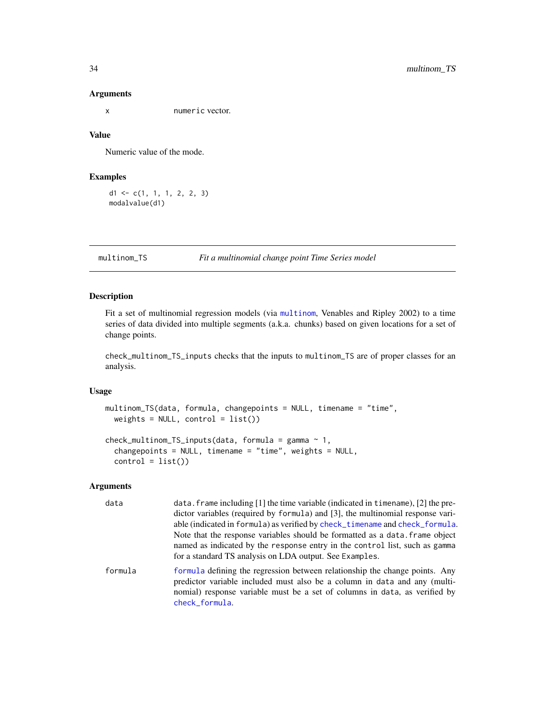x numeric vector.

# Value

Numeric value of the mode.

# Examples

 $d1 \leftarrow c(1, 1, 1, 2, 2, 3)$ modalvalue(d1)

<span id="page-33-1"></span>multinom\_TS *Fit a multinomial change point Time Series model*

# Description

Fit a set of multinomial regression models (via [multinom](#page-0-0), Venables and Ripley 2002) to a time series of data divided into multiple segments (a.k.a. chunks) based on given locations for a set of change points.

check\_multinom\_TS\_inputs checks that the inputs to multinom\_TS are of proper classes for an analysis.

# Usage

```
multinom_TS(data, formula, changepoints = NULL, timename = "time",
 weights = NULL, control = list()
```

```
check_multinom_TS_inputs(data, formula = gamma ~ 1,
 changepoints = NULL, timename = "time", weights = NULL,
 control = list()
```
[check\\_formula](#page-6-2).

# Arguments

| data    | data. frame including [1] the time variable (indicated in timename), [2] the pre-<br>dictor variables (required by formula) and [3], the multinomial response vari-<br>able (indicated in formula) as verified by check_timename and check_formula.<br>Note that the response variables should be formatted as a data, frame object<br>named as indicated by the response entry in the control list, such as gamma |
|---------|--------------------------------------------------------------------------------------------------------------------------------------------------------------------------------------------------------------------------------------------------------------------------------------------------------------------------------------------------------------------------------------------------------------------|
|         | for a standard TS analysis on LDA output. See Examples.                                                                                                                                                                                                                                                                                                                                                            |
| formula | formula defining the regression between relationship the change points. Any<br>predictor variable included must also be a column in data and any (multi-<br>nomial) response variable must be a set of columns in data, as verified by                                                                                                                                                                             |

<span id="page-33-0"></span>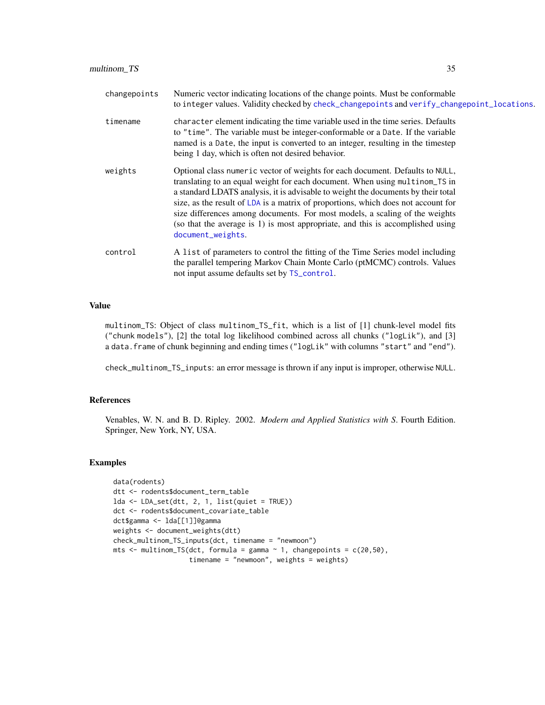| changepoints | Numeric vector indicating locations of the change points. Must be conformable<br>to integer values. Validity checked by check_changepoints and verify_changepoint_locations.                                                                                                                                                                                                                                                                                                                                                 |
|--------------|------------------------------------------------------------------------------------------------------------------------------------------------------------------------------------------------------------------------------------------------------------------------------------------------------------------------------------------------------------------------------------------------------------------------------------------------------------------------------------------------------------------------------|
| timename     | character element indicating the time variable used in the time series. Defaults<br>to "time". The variable must be integer-conformable or a Date. If the variable<br>named is a Date, the input is converted to an integer, resulting in the timestep<br>being 1 day, which is often not desired behavior.                                                                                                                                                                                                                  |
| weights      | Optional class numeric vector of weights for each document. Defaults to NULL,<br>translating to an equal weight for each document. When using multinom_TS in<br>a standard LDATS analysis, it is advisable to weight the documents by their total<br>size, as the result of LDA is a matrix of proportions, which does not account for<br>size differences among documents. For most models, a scaling of the weights<br>(so that the average is 1) is most appropriate, and this is accomplished using<br>document_weights. |
| control      | A list of parameters to control the fitting of the Time Series model including<br>the parallel tempering Markov Chain Monte Carlo (ptMCMC) controls. Values<br>not input assume defaults set by TS_control.                                                                                                                                                                                                                                                                                                                  |

#### Value

multinom\_TS: Object of class multinom\_TS\_fit, which is a list of [1] chunk-level model fits ("chunk models"), [2] the total log likelihood combined across all chunks ("logLik"), and [3] a data. frame of chunk beginning and ending times ("logLik" with columns "start" and "end").

check\_multinom\_TS\_inputs: an error message is thrown if any input is improper, otherwise NULL.

#### References

Venables, W. N. and B. D. Ripley. 2002. *Modern and Applied Statistics with S*. Fourth Edition. Springer, New York, NY, USA.

```
data(rodents)
dtt <- rodents$document_term_table
lda <- LDA_set(dtt, 2, 1, list(quiet = TRUE))
dct <- rodents$document_covariate_table
dct$gamma <- lda[[1]]@gamma
weights <- document_weights(dtt)
check_multinom_TS_inputs(dct, timename = "newmoon")
mts \le multinom_TS(dct, formula = gamma \sim 1, changepoints = c(20,50),
                   timename = "newmoon", weights = weights)
```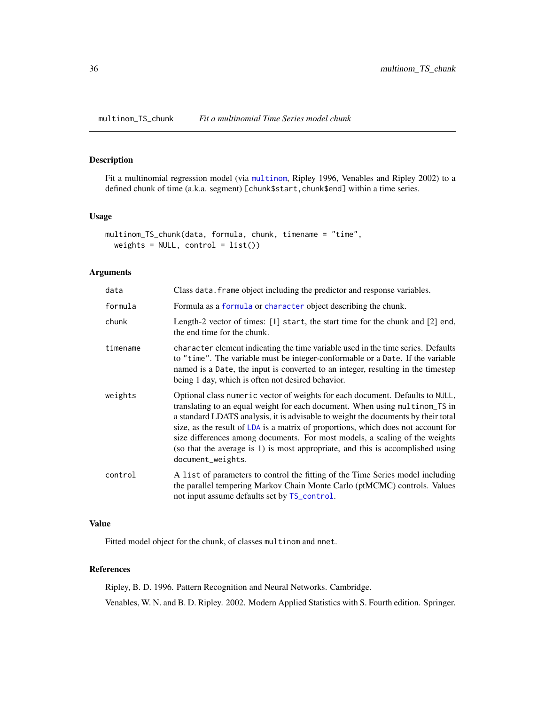<span id="page-35-1"></span><span id="page-35-0"></span>multinom\_TS\_chunk *Fit a multinomial Time Series model chunk*

# Description

Fit a multinomial regression model (via [multinom](#page-0-0), Ripley 1996, Venables and Ripley 2002) to a defined chunk of time (a.k.a. segment) [chunk\$start, chunk\$end] within a time series.

# Usage

```
multinom_TS_chunk(data, formula, chunk, timename = "time",
 weights = NULL, control = list()
```
#### Arguments

| data     | Class data. frame object including the predictor and response variables.                                                                                                                                                                                                                                                                                                                                                                                                                                                     |
|----------|------------------------------------------------------------------------------------------------------------------------------------------------------------------------------------------------------------------------------------------------------------------------------------------------------------------------------------------------------------------------------------------------------------------------------------------------------------------------------------------------------------------------------|
| formula  | Formula as a formula or character object describing the chunk.                                                                                                                                                                                                                                                                                                                                                                                                                                                               |
| chunk    | Length-2 vector of times: [1] start, the start time for the chunk and [2] end,<br>the end time for the chunk.                                                                                                                                                                                                                                                                                                                                                                                                                |
| timename | character element indicating the time variable used in the time series. Defaults<br>to "time". The variable must be integer-conformable or a Date. If the variable<br>named is a Date, the input is converted to an integer, resulting in the timestep<br>being 1 day, which is often not desired behavior.                                                                                                                                                                                                                  |
| weights  | Optional class numeric vector of weights for each document. Defaults to NULL,<br>translating to an equal weight for each document. When using multinom_TS in<br>a standard LDATS analysis, it is advisable to weight the documents by their total<br>size, as the result of LDA is a matrix of proportions, which does not account for<br>size differences among documents. For most models, a scaling of the weights<br>(so that the average is 1) is most appropriate, and this is accomplished using<br>document_weights. |
| control  | A list of parameters to control the fitting of the Time Series model including<br>the parallel tempering Markov Chain Monte Carlo (ptMCMC) controls. Values<br>not input assume defaults set by TS_control.                                                                                                                                                                                                                                                                                                                  |

# Value

Fitted model object for the chunk, of classes multinom and nnet.

# References

Ripley, B. D. 1996. Pattern Recognition and Neural Networks. Cambridge. Venables, W. N. and B. D. Ripley. 2002. Modern Applied Statistics with S. Fourth edition. Springer.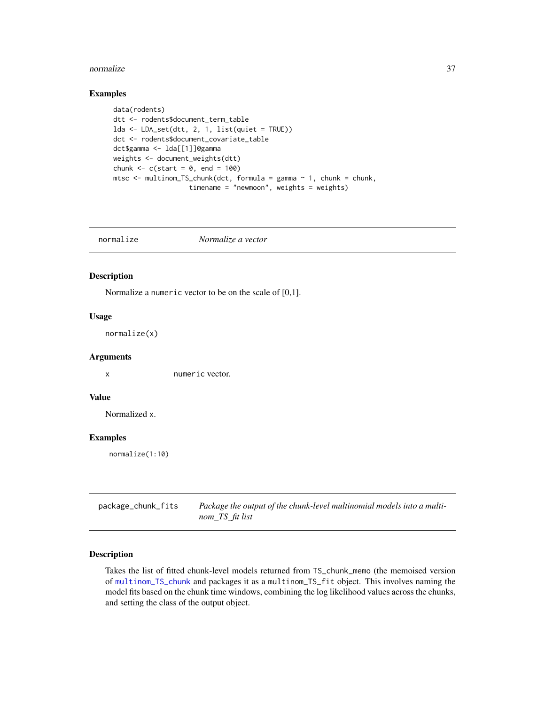#### normalize 37

## Examples

```
data(rodents)
dtt <- rodents$document_term_table
lda < - LDA_set(dt, 2, 1, list-quiet = TRUE))dct <- rodents$document_covariate_table
dct$gamma <- lda[[1]]@gamma
weights <- document_weights(dtt)
chunk <-c(start = 0, end = 100)
mtsc \le multinom_TS_chunk(dct, formula = gamma \sim 1, chunk = chunk,
                   timename = "newmoon", weights = weights)
```
normalize *Normalize a vector*

## Description

Normalize a numeric vector to be on the scale of [0,1].

### Usage

normalize(x)

### Arguments

x numeric vector.

### Value

Normalized x.

## Examples

normalize(1:10)

| package_chunk_fits | Package the output of the chunk-level multinomial models into a multi- |
|--------------------|------------------------------------------------------------------------|
|                    | nom_TS_fit list                                                        |

### Description

Takes the list of fitted chunk-level models returned from TS\_chunk\_memo (the memoised version of [multinom\\_TS\\_chunk](#page-35-0) and packages it as a multinom\_TS\_fit object. This involves naming the model fits based on the chunk time windows, combining the log likelihood values across the chunks, and setting the class of the output object.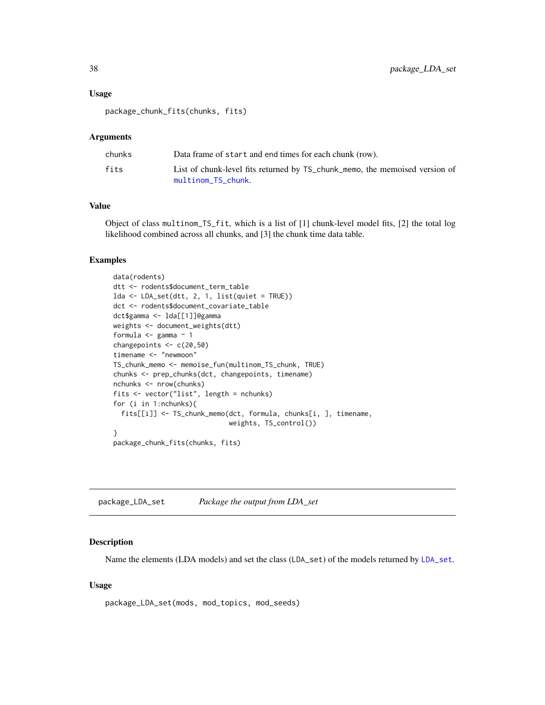#### Usage

package\_chunk\_fits(chunks, fits)

### Arguments

| chunks | Data frame of start and end times for each chunk (row).                                           |
|--------|---------------------------------------------------------------------------------------------------|
| fits   | List of chunk-level fits returned by TS_chunk_memo, the memoised version of<br>multinom_TS_chunk. |

## Value

Object of class multinom\_TS\_fit, which is a list of [1] chunk-level model fits, [2] the total log likelihood combined across all chunks, and [3] the chunk time data table.

# Examples

```
data(rodents)
dtt <- rodents$document_term_table
lda <- LDA_set(dtt, 2, 1, list(quiet = TRUE))
dct <- rodents$document_covariate_table
dct$gamma <- lda[[1]]@gamma
weights <- document_weights(dtt)
formula \leq gamma \approx 1
changepoints <- c(20,50)
timename <- "newmoon"
TS_chunk_memo <- memoise_fun(multinom_TS_chunk, TRUE)
chunks <- prep_chunks(dct, changepoints, timename)
nchunks <- nrow(chunks)
fits <- vector("list", length = nchunks)
for (i in 1:nchunks){
  fits[[i]] <- TS_chunk_memo(dct, formula, chunks[i, ], timename,
                             weights, TS_control())
}
package_chunk_fits(chunks, fits)
```
package\_LDA\_set *Package the output from LDA\_set*

#### Description

Name the elements (LDA models) and set the class (LDA\_set) of the models returned by [LDA\\_set](#page-22-0).

### Usage

package\_LDA\_set(mods, mod\_topics, mod\_seeds)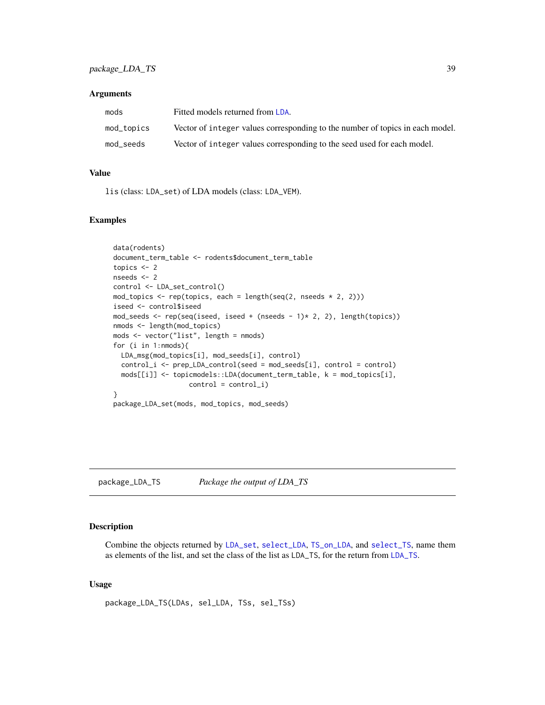#### **Arguments**

| mods       | Fitted models returned from LDA.                                              |
|------------|-------------------------------------------------------------------------------|
| mod_topics | Vector of integer values corresponding to the number of topics in each model. |
| mod seeds  | Vector of integer values corresponding to the seed used for each model.       |

## Value

lis (class: LDA\_set) of LDA models (class: LDA\_VEM).

## Examples

```
data(rodents)
document_term_table <- rodents$document_term_table
topics <-2nseeds <- 2
control <- LDA_set_control()
mod_topics <- rep(topics, each = length(seq(2, nseeds * 2, 2)))
iseed <- control$iseed
mod_seeds <- rep(seq(iseed, iseed + (nseeds - 1)* 2, 2), length(topics))
nmods <- length(mod_topics)
mods <- vector("list", length = nmods)
for (i in 1:nmods){
 LDA_msg(mod_topics[i], mod_seeds[i], control)
 control_i \leftarrow prep\_LDA\_control(seed = mod\_seeds[i], control = control)mods[[i]] <- topicmodels::LDA(document_term_table, k = mod_topics[i],
                   control = control_i)
}
package_LDA_set(mods, mod_topics, mod_seeds)
```
package\_LDA\_TS *Package the output of LDA\_TS*

#### Description

Combine the objects returned by [LDA\\_set](#page-22-0), [select\\_LDA](#page-64-0), [TS\\_on\\_LDA](#page-85-0), and [select\\_TS](#page-65-0), name them as elements of the list, and set the class of the list as LDA\_TS, for the return from [LDA\\_TS](#page-24-0).

### Usage

package\_LDA\_TS(LDAs, sel\_LDA, TSs, sel\_TSs)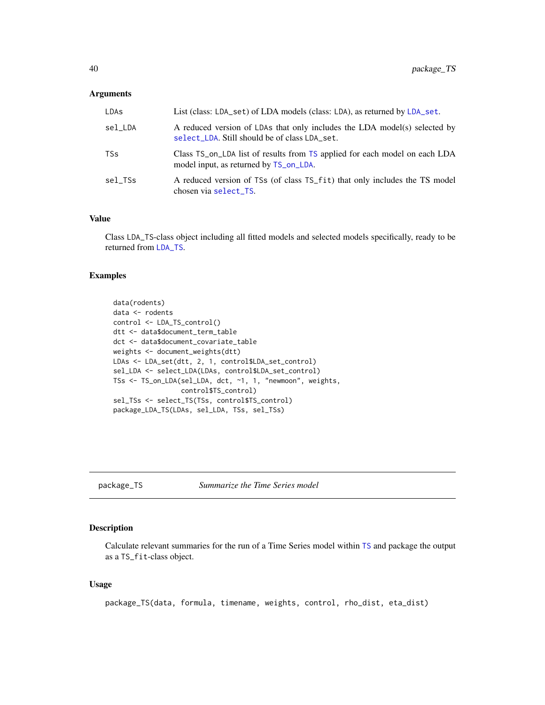### **Arguments**

| LDAs    | List (class: LDA_set) of LDA models (class: LDA), as returned by LDA_set.                                                  |
|---------|----------------------------------------------------------------------------------------------------------------------------|
| sel LDA | A reduced version of LDAs that only includes the LDA model(s) selected by<br>select_LDA. Still should be of class LDA_set. |
| TSs     | Class TS_on_LDA list of results from TS applied for each model on each LDA<br>model input, as returned by TS_on_LDA.       |
| sel TSs | A reduced version of TSs (of class TS_fit) that only includes the TS model<br>chosen via select_TS.                        |

### Value

Class LDA\_TS-class object including all fitted models and selected models specifically, ready to be returned from [LDA\\_TS](#page-24-0).

### Examples

```
data(rodents)
data <- rodents
control <- LDA_TS_control()
dtt <- data$document_term_table
dct <- data$document_covariate_table
weights <- document_weights(dtt)
LDAs <- LDA_set(dtt, 2, 1, control$LDA_set_control)
sel_LDA <- select_LDA(LDAs, control$LDA_set_control)
TSs <- TS_on_LDA(sel_LDA, dct, ~1, 1, "newmoon", weights,
                 control$TS_control)
sel_TSs <- select_TS(TSs, control$TS_control)
package_LDA_TS(LDAs, sel_LDA, TSs, sel_TSs)
```
package\_TS *Summarize the Time Series model*

## Description

Calculate relevant summaries for the run of a Time Series model within [TS](#page-80-0) and package the output as a TS\_fit-class object.

### Usage

package\_TS(data, formula, timename, weights, control, rho\_dist, eta\_dist)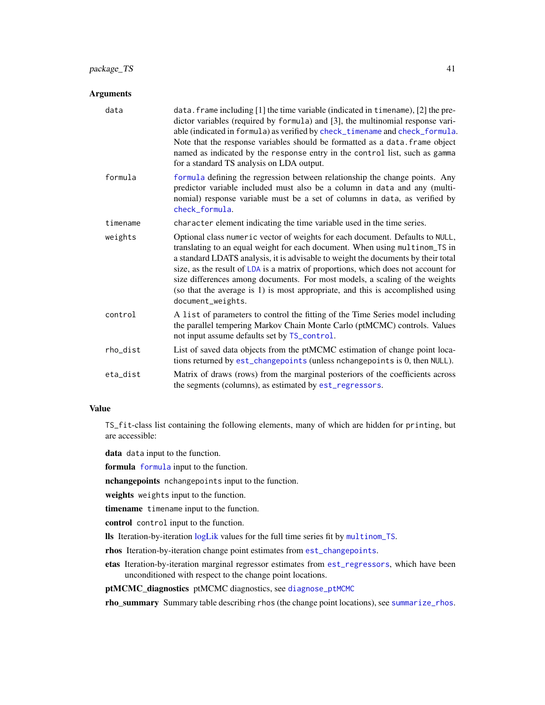## package\_TS 41

### Arguments

| data     | data. frame including [1] the time variable (indicated in timename), [2] the pre-<br>dictor variables (required by formula) and [3], the multinomial response vari-<br>able (indicated in formula) as verified by check_timename and check_formula.<br>Note that the response variables should be formatted as a data. frame object<br>named as indicated by the response entry in the control list, such as gamma<br>for a standard TS analysis on LDA output.                                                              |
|----------|------------------------------------------------------------------------------------------------------------------------------------------------------------------------------------------------------------------------------------------------------------------------------------------------------------------------------------------------------------------------------------------------------------------------------------------------------------------------------------------------------------------------------|
| formula  | formula defining the regression between relationship the change points. Any<br>predictor variable included must also be a column in data and any (multi-<br>nomial) response variable must be a set of columns in data, as verified by<br>check formula.                                                                                                                                                                                                                                                                     |
| timename | character element indicating the time variable used in the time series.                                                                                                                                                                                                                                                                                                                                                                                                                                                      |
| weights  | Optional class numeric vector of weights for each document. Defaults to NULL,<br>translating to an equal weight for each document. When using multinom_TS in<br>a standard LDATS analysis, it is advisable to weight the documents by their total<br>size, as the result of LDA is a matrix of proportions, which does not account for<br>size differences among documents. For most models, a scaling of the weights<br>(so that the average is 1) is most appropriate, and this is accomplished using<br>document_weights. |
| control  | A list of parameters to control the fitting of the Time Series model including<br>the parallel tempering Markov Chain Monte Carlo (ptMCMC) controls. Values<br>not input assume defaults set by TS_control.                                                                                                                                                                                                                                                                                                                  |
| rho_dist | List of saved data objects from the ptMCMC estimation of change point loca-<br>tions returned by est_changepoints (unless nchangepoints is 0, then NULL).                                                                                                                                                                                                                                                                                                                                                                    |
| eta_dist | Matrix of draws (rows) from the marginal posteriors of the coefficients across<br>the segments (columns), as estimated by est_regressors.                                                                                                                                                                                                                                                                                                                                                                                    |

### Value

TS\_fit-class list containing the following elements, many of which are hidden for printing, but are accessible:

data data input to the function.

formula [formula](#page-0-0) input to the function.

nchangepoints nchangepoints input to the function.

weights weights input to the function.

timename timename input to the function.

control control input to the function.

lls Iteration-by-iteration [logLik](#page-29-0) values for the full time series fit by [multinom\\_TS](#page-33-0).

rhos Iteration-by-iteration change point estimates from [est\\_changepoints](#page-15-0).

etas Iteration-by-iteration marginal regressor estimates from [est\\_regressors](#page-17-0), which have been unconditioned with respect to the change point locations.

ptMCMC\_diagnostics ptMCMC diagnostics, see [diagnose\\_ptMCMC](#page-13-0)

rho\_summary Summary table describing rhos (the change point locations), see [summarize\\_rhos](#page-77-0).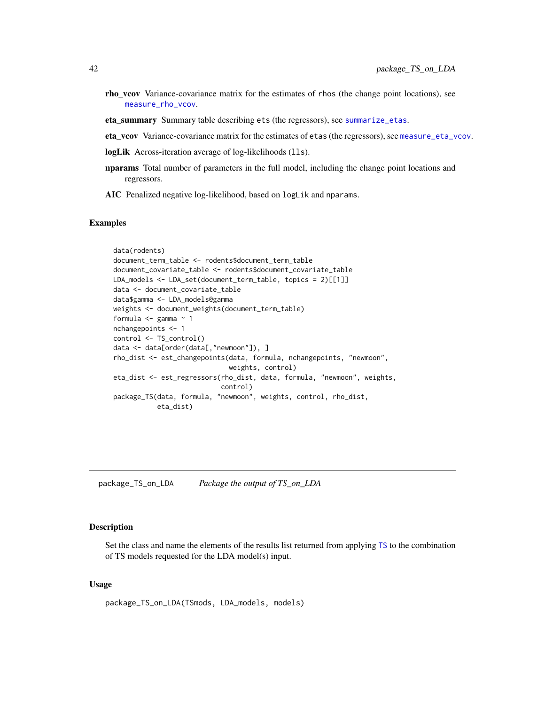- rho\_vcov Variance-covariance matrix for the estimates of rhos (the change point locations), see [measure\\_rho\\_vcov](#page-77-1).
- eta\_summary Summary table describing ets (the regressors), see [summarize\\_etas](#page-76-0).
- eta\_vcov Variance-covariance matrix for the estimates of etas (the regressors), see [measure\\_eta\\_vcov](#page-76-1).
- logLik Across-iteration average of log-likelihoods (11s).
- nparams Total number of parameters in the full model, including the change point locations and regressors.
- AIC Penalized negative log-likelihood, based on logLik and nparams.

### Examples

```
data(rodents)
document_term_table <- rodents$document_term_table
document_covariate_table <- rodents$document_covariate_table
LDA_models <- LDA_set(document_term_table, topics = 2)[[1]]
data <- document_covariate_table
data$gamma <- LDA_models@gamma
weights <- document_weights(document_term_table)
formula <- gamma ~ 1
nchangepoints <- 1
control <- TS_control()
data <- data[order(data[,"newmoon"]), ]
rho_dist <- est_changepoints(data, formula, nchangepoints, "newmoon",
                             weights, control)
eta_dist <- est_regressors(rho_dist, data, formula, "newmoon", weights,
                           control)
package_TS(data, formula, "newmoon", weights, control, rho_dist,
           eta_dist)
```
package\_TS\_on\_LDA *Package the output of TS\_on\_LDA*

#### Description

Set the class and name the elements of the results list returned from applying [TS](#page-80-0) to the combination of TS models requested for the LDA model(s) input.

#### Usage

package\_TS\_on\_LDA(TSmods, LDA\_models, models)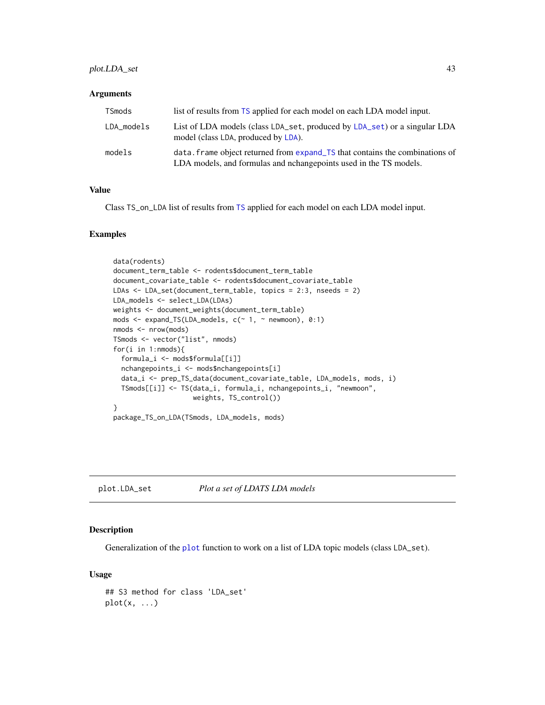## plot.LDA\_set 43

#### **Arguments**

| TSmods     | list of results from TS applied for each model on each LDA model input.                                                                           |
|------------|---------------------------------------------------------------------------------------------------------------------------------------------------|
| LDA_models | List of LDA models (class LDA set, produced by LDA set) or a singular LDA<br>model (class LDA, produced by LDA).                                  |
| models     | data. frame object returned from expand TS that contains the combinations of<br>LDA models, and formulas and nchangepoints used in the TS models. |

#### Value

Class TS\_on\_LDA list of results from [TS](#page-80-0) applied for each model on each LDA model input.

## Examples

```
data(rodents)
document_term_table <- rodents$document_term_table
document_covariate_table <- rodents$document_covariate_table
LDAs <- LDA_set(document_term_table, topics = 2:3, nseeds = 2)
LDA_models <- select_LDA(LDAs)
weights <- document_weights(document_term_table)
mods <- expand_TS(LDA_models, c(~ 1, ~ newmoon), 0:1)
nmods <- nrow(mods)
TSmods <- vector("list", nmods)
for(i in 1:nmods){
 formula_i <- mods$formula[[i]]
 nchangepoints_i <- mods$nchangepoints[i]
 data_i <- prep_TS_data(document_covariate_table, LDA_models, mods, i)
 TSmods[[i]] <- TS(data_i, formula_i, nchangepoints_i, "newmoon",
                    weights, TS_control())
}
package_TS_on_LDA(TSmods, LDA_models, mods)
```
plot.LDA\_set *Plot a set of LDATS LDA models*

## Description

Generalization of the [plot](#page-0-0) function to work on a list of LDA topic models (class LDA\_set).

#### Usage

```
## S3 method for class 'LDA_set'
plot(x, \ldots)
```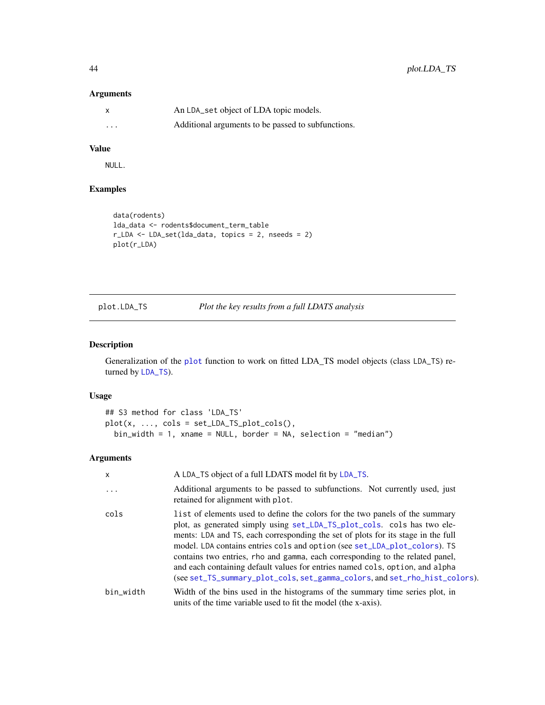### Arguments

|          | An LDA_set object of LDA topic models.             |
|----------|----------------------------------------------------|
| $\cdots$ | Additional arguments to be passed to subfunctions. |

## Value

NULL.

### Examples

```
data(rodents)
lda_data <- rodents$document_term_table
r_LDA <- LDA_set(lda_data, topics = 2, nseeds = 2)
plot(r_LDA)
```
<span id="page-43-0"></span>plot.LDA\_TS *Plot the key results from a full LDATS analysis*

### Description

Generalization of the [plot](#page-0-0) function to work on fitted LDA\_TS model objects (class LDA\_TS) returned by [LDA\\_TS](#page-24-0)).

## Usage

```
## S3 method for class 'LDA_TS'
plot(x, ..., \text{cols} = set\_LDA_TS_plot_cols(),bin_width = 1, xname = NULL, border = NA, selection = "median")
```
## Arguments

| $\mathsf{x}$ | A LDA_TS object of a full LDATS model fit by LDA_TS.                                                                                                                                                                                                                                                                                                                                                                                                                                                                                                                    |
|--------------|-------------------------------------------------------------------------------------------------------------------------------------------------------------------------------------------------------------------------------------------------------------------------------------------------------------------------------------------------------------------------------------------------------------------------------------------------------------------------------------------------------------------------------------------------------------------------|
| $\cdot$      | Additional arguments to be passed to subfunctions. Not currently used, just<br>retained for alignment with plot.                                                                                                                                                                                                                                                                                                                                                                                                                                                        |
| cols         | list of elements used to define the colors for the two panels of the summary<br>plot, as generated simply using set_LDA_TS_plot_cols. cols has two ele-<br>ments: LDA and TS, each corresponding the set of plots for its stage in the full<br>model. LDA contains entries cols and option (see set_LDA_plot_colors). TS<br>contains two entries, rho and gamma, each corresponding to the related panel,<br>and each containing default values for entries named cols, option, and alpha<br>(see set_TS_summary_plot_cols, set_gamma_colors, and set_rho_hist_colors). |
| bin_width    | Width of the bins used in the histograms of the summary time series plot, in<br>units of the time variable used to fit the model (the x-axis).                                                                                                                                                                                                                                                                                                                                                                                                                          |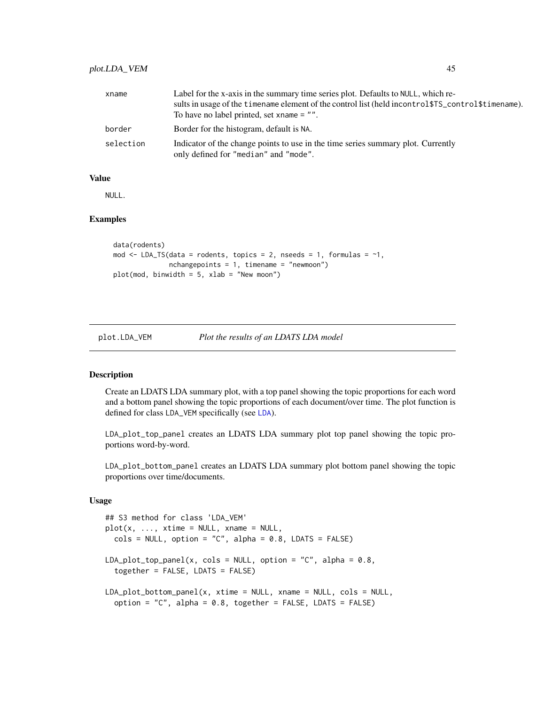## plot.LDA\_VEM 45

| xname     | Label for the x-axis in the summary time series plot. Defaults to NULL, which re-                                         |
|-----------|---------------------------------------------------------------------------------------------------------------------------|
|           | sults in usage of the timename element of the control list (held incontrol \$TS_control \$timename).                      |
|           | To have no label printed, set xname $=$ "".                                                                               |
| border    | Border for the histogram, default is NA.                                                                                  |
| selection | Indicator of the change points to use in the time series summary plot. Currently<br>only defined for "median" and "mode". |

#### Value

NULL.

## Examples

```
data(rodents)
mod \leq LDA_TS(data = rodents, topics = 2, nseeds = 1, formulas = \sim1,
              nchangepoints = 1, timename = "newmoon")
plot(mod, binwidth = 5, xlab = "New moon")
```

```
plot.LDA_VEM Plot the results of an LDATS LDA model
```
### Description

Create an LDATS LDA summary plot, with a top panel showing the topic proportions for each word and a bottom panel showing the topic proportions of each document/over time. The plot function is defined for class LDA\_VEM specifically (see [LDA](#page-0-0)).

LDA\_plot\_top\_panel creates an LDATS LDA summary plot top panel showing the topic proportions word-by-word.

LDA\_plot\_bottom\_panel creates an LDATS LDA summary plot bottom panel showing the topic proportions over time/documents.

### Usage

```
## S3 method for class 'LDA_VEM'
plot(x, ..., xtime = NULL, xname = NULL,cols = NULL, option = "C", alpha = 0.8, LDATS = FALSE)
LDA_plot_top_pane1(x, coils = NULL, option = "C", alpha = 0.8,together = FALSE, LDATS = FALSE)
LDA_plot_bottom_panel(x, xtime = NULL, xname = NULL, cols = NULL,
  option = "C", alpha = 0.8, together = FALSE, LDATS = FALSE)
```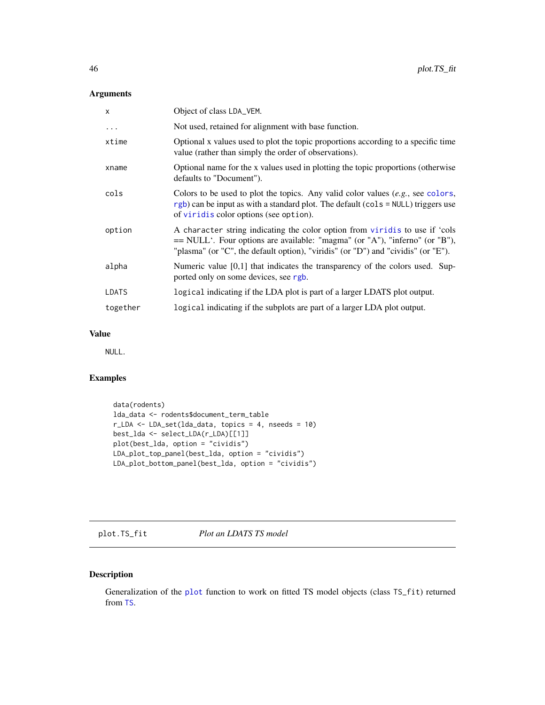### Arguments

| X            | Object of class LDA_VEM.                                                                                                                                                                                                                         |
|--------------|--------------------------------------------------------------------------------------------------------------------------------------------------------------------------------------------------------------------------------------------------|
| $\cdots$     | Not used, retained for alignment with base function.                                                                                                                                                                                             |
| xtime        | Optional x values used to plot the topic proportions according to a specific time<br>value (rather than simply the order of observations).                                                                                                       |
| xname        | Optional name for the x values used in plotting the topic proportions (otherwise<br>defaults to "Document").                                                                                                                                     |
| cols         | Colors to be used to plot the topics. Any valid color values $(e.g.,\, see\, colors,$<br>$rgb$ ) can be input as with a standard plot. The default (cols = NULL) triggers use<br>of viridis color options (see option).                          |
| option       | A character string indicating the color option from viridis to use if 'cols<br>$=$ NULL'. Four options are available: "magma" (or "A"), "inferno" (or "B"),<br>"plasma" (or "C", the default option), "viridis" (or "D") and "cividis" (or "E"). |
| alpha        | Numeric value $[0,1]$ that indicates the transparency of the colors used. Sup-<br>ported only on some devices, see rgb.                                                                                                                          |
| <b>LDATS</b> | logical indicating if the LDA plot is part of a larger LDATS plot output.                                                                                                                                                                        |
| together     | logical indicating if the subplots are part of a larger LDA plot output.                                                                                                                                                                         |

### Value

NULL.

## Examples

```
data(rodents)
lda_data <- rodents$document_term_table
r_LDA <- LDA_set(lda_data, topics = 4, nseeds = 10)
best_lda <- select_LDA(r_LDA)[[1]]
plot(best_lda, option = "cividis")
LDA_plot_top_panel(best_lda, option = "cividis")
LDA_plot_bottom_panel(best_lda, option = "cividis")
```
plot.TS\_fit *Plot an LDATS TS model*

# Description

Generalization of the [plot](#page-0-0) function to work on fitted TS model objects (class TS\_fit) returned from [TS](#page-80-0).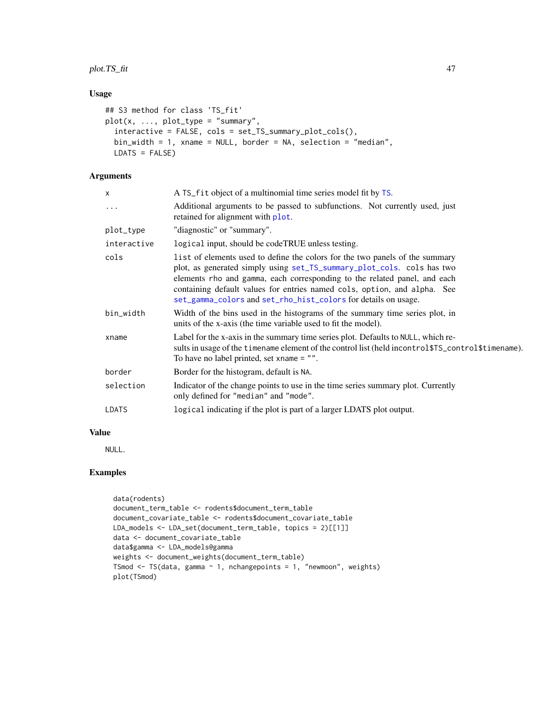plot.TS\_fit 47

## Usage

```
## S3 method for class 'TS_fit'
plot(x, ..., plot_type = "summary",interactive = FALSE, cols = set_TS_summary_plot_cols(),
 bin_width = 1, xname = NULL, border = NA, selection = "median",
 LDATS = FALSE)
```
# Arguments

| X           | A TS_fit object of a multinomial time series model fit by TS.                                                                                                                                                                                                                                                                                                                     |
|-------------|-----------------------------------------------------------------------------------------------------------------------------------------------------------------------------------------------------------------------------------------------------------------------------------------------------------------------------------------------------------------------------------|
| .           | Additional arguments to be passed to subfunctions. Not currently used, just<br>retained for alignment with plot.                                                                                                                                                                                                                                                                  |
| plot_type   | "diagnostic" or "summary".                                                                                                                                                                                                                                                                                                                                                        |
| interactive | logical input, should be codeTRUE unless testing.                                                                                                                                                                                                                                                                                                                                 |
| cols        | list of elements used to define the colors for the two panels of the summary<br>plot, as generated simply using set_TS_summary_plot_cols. cols has two<br>elements rho and gamma, each corresponding to the related panel, and each<br>containing default values for entries named cols, option, and alpha. See<br>set_gamma_colors and set_rho_hist_colors for details on usage. |
| bin_width   | Width of the bins used in the histograms of the summary time series plot, in<br>units of the x-axis (the time variable used to fit the model).                                                                                                                                                                                                                                    |
| xname       | Label for the x-axis in the summary time series plot. Defaults to NULL, which re-<br>sults in usage of the timename element of the control list (held incontrol\$TS_control\$timename).<br>To have no label printed, set xname $=$ "".                                                                                                                                            |
| border      | Border for the histogram, default is NA.                                                                                                                                                                                                                                                                                                                                          |
| selection   | Indicator of the change points to use in the time series summary plot. Currently<br>only defined for "median" and "mode".                                                                                                                                                                                                                                                         |
| LDATS       | logical indicating if the plot is part of a larger LDATS plot output.                                                                                                                                                                                                                                                                                                             |
|             |                                                                                                                                                                                                                                                                                                                                                                                   |

## Value

NULL.

```
data(rodents)
document_term_table <- rodents$document_term_table
document_covariate_table <- rodents$document_covariate_table
LDA_models <- LDA_set(document_term_table, topics = 2)[[1]]
data <- document_covariate_table
data$gamma <- LDA_models@gamma
weights <- document_weights(document_term_table)
TSmod <- TS(data, gamma ~ 1, nchangepoints = 1, "newmoon", weights)
plot(TSmod)
```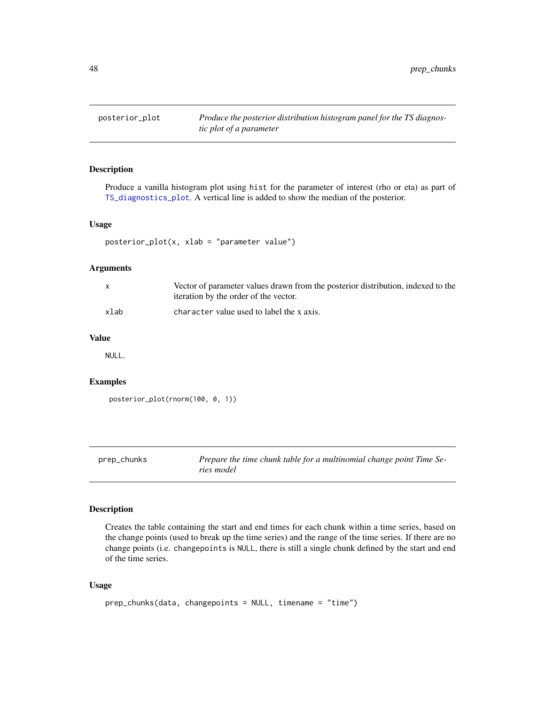posterior\_plot *Produce the posterior distribution histogram panel for the TS diagnostic plot of a parameter*

### Description

Produce a vanilla histogram plot using hist for the parameter of interest (rho or eta) as part of [TS\\_diagnostics\\_plot](#page-84-0). A vertical line is added to show the median of the posterior.

#### Usage

```
posterior_plot(x, xlab = "parameter value")
```
#### Arguments

|      | Vector of parameter values drawn from the posterior distribution, indexed to the<br>iteration by the order of the vector. |
|------|---------------------------------------------------------------------------------------------------------------------------|
| xlab | character value used to label the x axis.                                                                                 |

### Value

NULL.

## Examples

```
posterior_plot(rnorm(100, 0, 1))
```

| prep_chunks | Prepare the time chunk table for a multinomial change point Time Se- |
|-------------|----------------------------------------------------------------------|
|             | ries model                                                           |

## Description

Creates the table containing the start and end times for each chunk within a time series, based on the change points (used to break up the time series) and the range of the time series. If there are no change points (i.e. changepoints is NULL, there is still a single chunk defined by the start and end of the time series.

### Usage

```
prep_chunks(data, changepoints = NULL, timename = "time")
```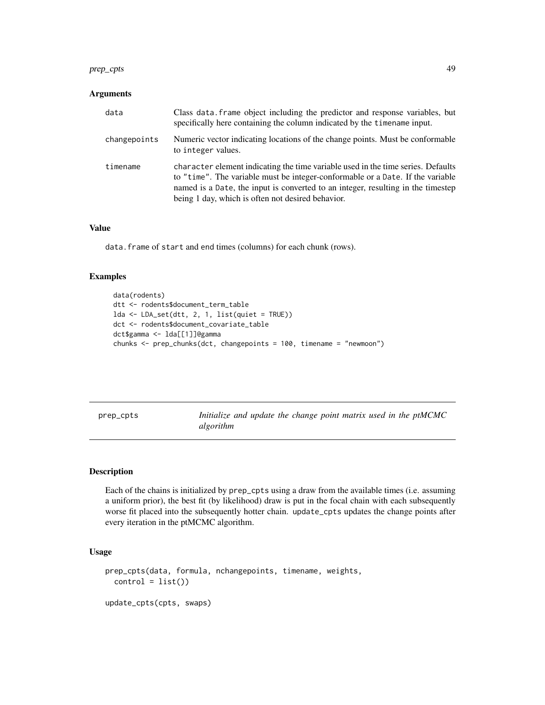#### prep\_cpts 49

### **Arguments**

| data         | Class data, frame object including the predictor and response variables, but<br>specifically here containing the column indicated by the time name input.                                                                                                                                                   |
|--------------|-------------------------------------------------------------------------------------------------------------------------------------------------------------------------------------------------------------------------------------------------------------------------------------------------------------|
| changepoints | Numeric vector indicating locations of the change points. Must be conformable<br>to integer values.                                                                                                                                                                                                         |
| timename     | character element indicating the time variable used in the time series. Defaults<br>to "time". The variable must be integer-conformable or a Date. If the variable<br>named is a Date, the input is converted to an integer, resulting in the timestep<br>being 1 day, which is often not desired behavior. |

#### Value

data.frame of start and end times (columns) for each chunk (rows).

### Examples

```
data(rodents)
dtt <- rodents$document_term_table
lda <- LDA_set(dtt, 2, 1, list(quiet = TRUE))
dct <- rodents$document_covariate_table
dct$gamma <- lda[[1]]@gamma
chunks <- prep_chunks(dct, changepoints = 100, timename = "newmoon")
```
prep\_cpts *Initialize and update the change point matrix used in the ptMCMC algorithm*

#### Description

Each of the chains is initialized by prep\_cpts using a draw from the available times (i.e. assuming a uniform prior), the best fit (by likelihood) draw is put in the focal chain with each subsequently worse fit placed into the subsequently hotter chain. update\_cpts updates the change points after every iteration in the ptMCMC algorithm.

### Usage

```
prep_cpts(data, formula, nchangepoints, timename, weights,
  control = list()update_cpts(cpts, swaps)
```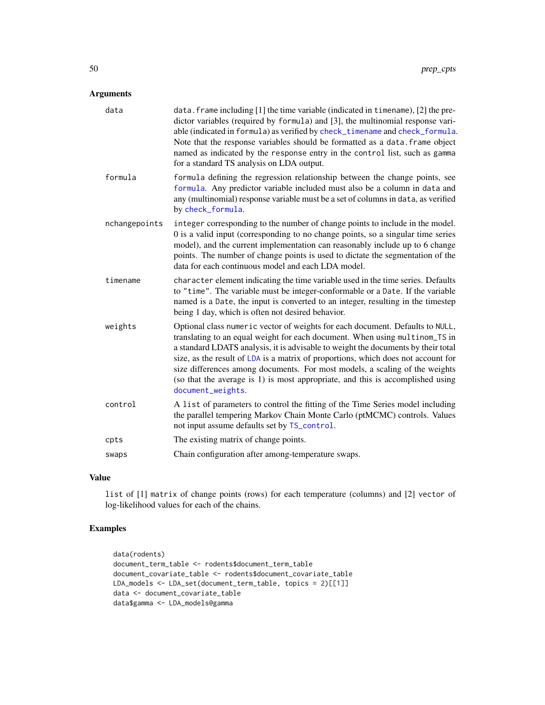## Arguments

| data          | data. frame including [1] the time variable (indicated in timename), [2] the pre-<br>dictor variables (required by formula) and [3], the multinomial response vari-<br>able (indicated in formula) as verified by check_timename and check_formula.<br>Note that the response variables should be formatted as a data. frame object<br>named as indicated by the response entry in the control list, such as gamma<br>for a standard TS analysis on LDA output.                                                              |
|---------------|------------------------------------------------------------------------------------------------------------------------------------------------------------------------------------------------------------------------------------------------------------------------------------------------------------------------------------------------------------------------------------------------------------------------------------------------------------------------------------------------------------------------------|
| formula       | formula defining the regression relationship between the change points, see<br>formula. Any predictor variable included must also be a column in data and<br>any (multinomial) response variable must be a set of columns in data, as verified<br>by check_formula.                                                                                                                                                                                                                                                          |
| nchangepoints | integer corresponding to the number of change points to include in the model.<br>0 is a valid input (corresponding to no change points, so a singular time series<br>model), and the current implementation can reasonably include up to 6 change<br>points. The number of change points is used to dictate the segmentation of the<br>data for each continuous model and each LDA model.                                                                                                                                    |
| timename      | character element indicating the time variable used in the time series. Defaults<br>to "time". The variable must be integer-conformable or a Date. If the variable<br>named is a Date, the input is converted to an integer, resulting in the timestep<br>being 1 day, which is often not desired behavior.                                                                                                                                                                                                                  |
| weights       | Optional class numeric vector of weights for each document. Defaults to NULL,<br>translating to an equal weight for each document. When using multinom_TS in<br>a standard LDATS analysis, it is advisable to weight the documents by their total<br>size, as the result of LDA is a matrix of proportions, which does not account for<br>size differences among documents. For most models, a scaling of the weights<br>(so that the average is 1) is most appropriate, and this is accomplished using<br>document_weights. |
| control       | A list of parameters to control the fitting of the Time Series model including<br>the parallel tempering Markov Chain Monte Carlo (ptMCMC) controls. Values<br>not input assume defaults set by TS_control.                                                                                                                                                                                                                                                                                                                  |
| cpts          | The existing matrix of change points.                                                                                                                                                                                                                                                                                                                                                                                                                                                                                        |
| swaps         | Chain configuration after among-temperature swaps.                                                                                                                                                                                                                                                                                                                                                                                                                                                                           |

### Value

list of [1] matrix of change points (rows) for each temperature (columns) and [2] vector of log-likelihood values for each of the chains.

```
data(rodents)
document_term_table <- rodents$document_term_table
document_covariate_table <- rodents$document_covariate_table
LDA_models <- LDA_set(document_term_table, topics = 2)[[1]]
data <- document_covariate_table
data$gamma <- LDA_models@gamma
```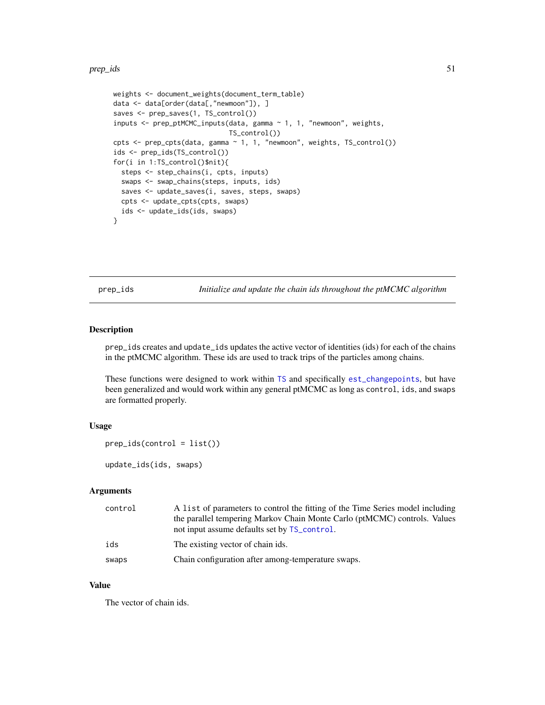#### prep\_ids 51

```
weights <- document_weights(document_term_table)
data <- data[order(data[,"newmoon"]), ]
saves <- prep_saves(1, TS_control())
inputs \leq prep_ptMCMC_inputs(data, gamma \sim 1, 1, "newmoon", weights,
                             TS_control())
cpts <- prep_cpts(data, gamma ~ 1, 1, "newmoon", weights, TS_control())
ids <- prep_ids(TS_control())
for(i in 1:TS_control()$nit){
  steps <- step_chains(i, cpts, inputs)
  swaps <- swap_chains(steps, inputs, ids)
  saves <- update_saves(i, saves, steps, swaps)
  cpts <- update_cpts(cpts, swaps)
  ids <- update_ids(ids, swaps)
}
```
prep\_ids *Initialize and update the chain ids throughout the ptMCMC algorithm*

### Description

prep\_ids creates and update\_ids updates the active vector of identities (ids) for each of the chains in the ptMCMC algorithm. These ids are used to track trips of the particles among chains.

These functions were designed to work within [TS](#page-80-0) and specifically [est\\_changepoints](#page-15-0), but have been generalized and would work within any general ptMCMC as long as control, ids, and swaps are formatted properly.

### Usage

```
prep\_ids(control = list())
```
update\_ids(ids, swaps)

### Arguments

| control | A list of parameters to control the fitting of the Time Series model including<br>the parallel tempering Markov Chain Monte Carlo (ptMCMC) controls. Values<br>not input assume defaults set by TS_control. |
|---------|-------------------------------------------------------------------------------------------------------------------------------------------------------------------------------------------------------------|
| ids     | The existing vector of chain ids.                                                                                                                                                                           |
| swaps   | Chain configuration after among-temperature swaps.                                                                                                                                                          |

### Value

The vector of chain ids.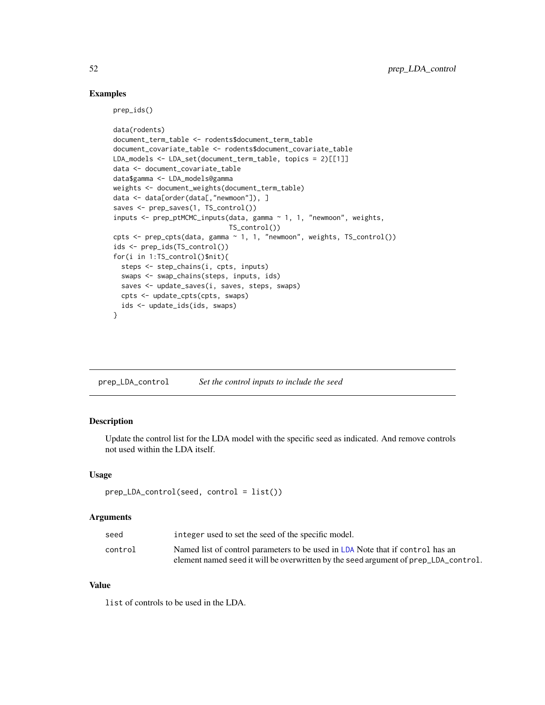### Examples

prep\_ids()

```
data(rodents)
document_term_table <- rodents$document_term_table
document_covariate_table <- rodents$document_covariate_table
LDA_models <- LDA_set(document_term_table, topics = 2)[[1]]
data <- document_covariate_table
data$gamma <- LDA_models@gamma
weights <- document_weights(document_term_table)
data <- data[order(data[,"newmoon"]), ]
saves <- prep_saves(1, TS_control())
inputs <- prep_ptMCMC_inputs(data, gamma ~ 1, 1, "newmoon", weights,
                             TS_control())
cpts <- prep_cpts(data, gamma ~ 1, 1, "newmoon", weights, TS_control())
ids <- prep_ids(TS_control())
for(i in 1:TS_control()$nit){
  steps <- step_chains(i, cpts, inputs)
 swaps <- swap_chains(steps, inputs, ids)
 saves <- update_saves(i, saves, steps, swaps)
  cpts <- update_cpts(cpts, swaps)
  ids <- update_ids(ids, swaps)
}
```
prep\_LDA\_control *Set the control inputs to include the seed*

## Description

Update the control list for the LDA model with the specific seed as indicated. And remove controls not used within the LDA itself.

### Usage

```
prep_LDA_control(seed, control = list())
```
### **Arguments**

| seed    | integer used to set the seed of the specific model.                                 |
|---------|-------------------------------------------------------------------------------------|
| control | Named list of control parameters to be used in LDA Note that if control has an      |
|         | element named seed it will be overwritten by the seed argument of prep_LDA_control. |

#### Value

list of controls to be used in the LDA.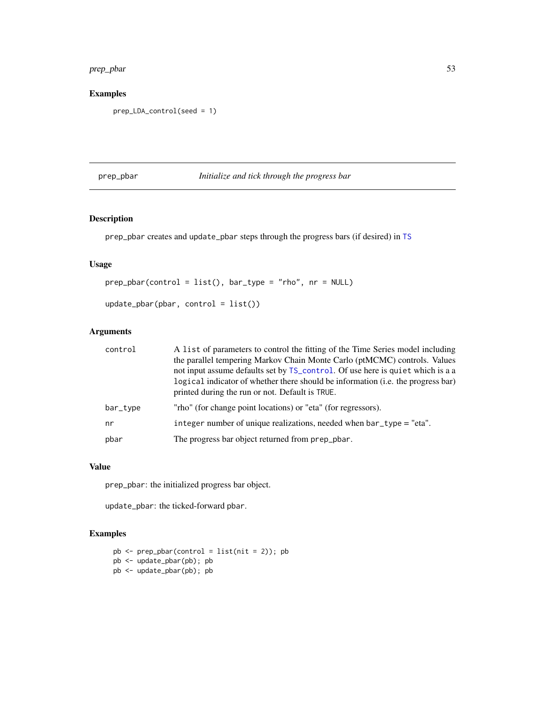## prep\_pbar 53

# Examples

```
prep_LDA_control(seed = 1)
```
## prep\_pbar *Initialize and tick through the progress bar*

## Description

prep\_pbar creates and update\_pbar steps through the progress bars (if desired) in [TS](#page-80-0)

## Usage

```
prep_pbar(control = list(), bar_type = "rho", nr = NULL)
```

```
update_pbar(pbar, control = list())
```
## Arguments

| control  | A list of parameters to control the fitting of the Time Series model including   |
|----------|----------------------------------------------------------------------------------|
|          | the parallel tempering Markov Chain Monte Carlo (ptMCMC) controls. Values        |
|          | not input assume defaults set by TS_control. Of use here is quiet which is a a   |
|          | logical indicator of whether there should be information (i.e. the progress bar) |
|          | printed during the run or not. Default is TRUE.                                  |
| bar_type | "rho" (for change point locations) or "eta" (for regressors).                    |
| nr       | integer number of unique realizations, needed when $bar\_type = "eta".$          |
| pbar     | The progress bar object returned from prep_pbar.                                 |
|          |                                                                                  |

## Value

prep\_pbar: the initialized progress bar object.

update\_pbar: the ticked-forward pbar.

```
pb \leftarrow prep\_pbar(control = list(nit = 2)); pbpb <- update_pbar(pb); pb
pb <- update_pbar(pb); pb
```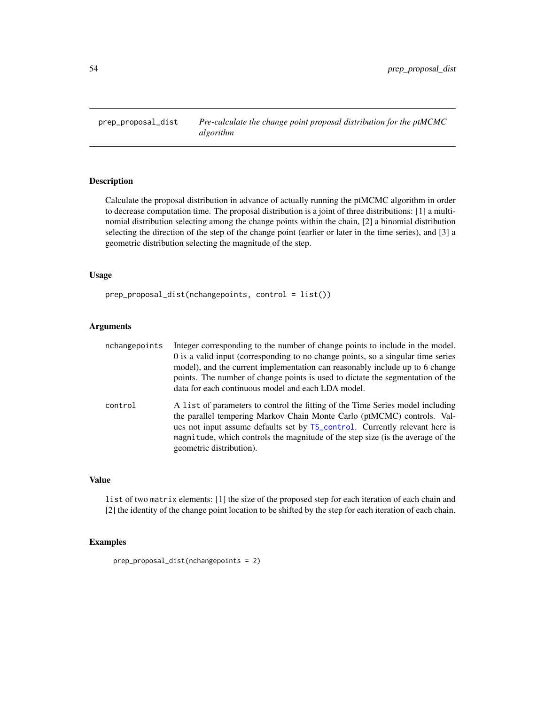### Description

Calculate the proposal distribution in advance of actually running the ptMCMC algorithm in order to decrease computation time. The proposal distribution is a joint of three distributions: [1] a multinomial distribution selecting among the change points within the chain, [2] a binomial distribution selecting the direction of the step of the change point (earlier or later in the time series), and [3] a geometric distribution selecting the magnitude of the step.

### Usage

prep\_proposal\_dist(nchangepoints, control = list())

### Arguments

| nchangepoints | Integer corresponding to the number of change points to include in the model.                                                                             |
|---------------|-----------------------------------------------------------------------------------------------------------------------------------------------------------|
|               | 0 is a valid input (corresponding to no change points, so a singular time series                                                                          |
|               | model), and the current implementation can reasonably include up to 6 change                                                                              |
|               | points. The number of change points is used to dictate the segmentation of the                                                                            |
|               | data for each continuous model and each LDA model.                                                                                                        |
| control       | A list of parameters to control the fitting of the Time Series model including<br>the parallel tempering Markov Chain Monte Carlo (ptMCMC) controls. Val- |
|               | ues not input assume defaults set by TS_control. Currently relevant here is                                                                               |
|               | magnitude, which controls the magnitude of the step size (is the average of the                                                                           |
|               | geometric distribution).                                                                                                                                  |

## Value

list of two matrix elements: [1] the size of the proposed step for each iteration of each chain and [2] the identity of the change point location to be shifted by the step for each iteration of each chain.

## Examples

prep\_proposal\_dist(nchangepoints = 2)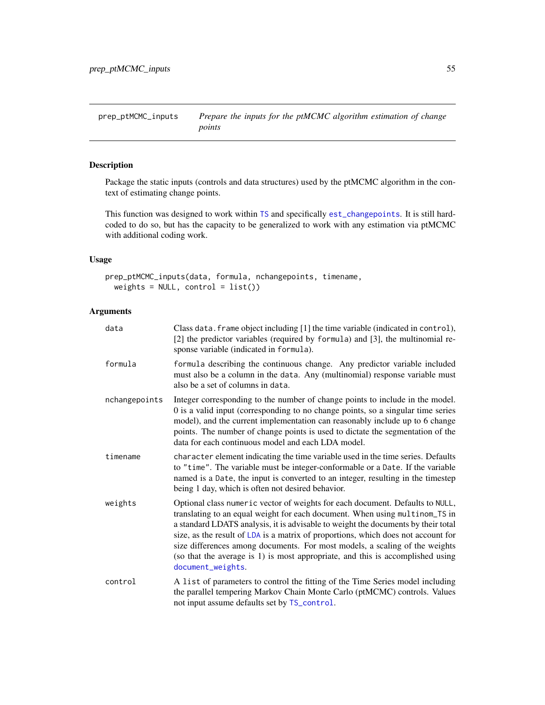prep\_ptMCMC\_inputs *Prepare the inputs for the ptMCMC algorithm estimation of change points*

## Description

Package the static inputs (controls and data structures) used by the ptMCMC algorithm in the context of estimating change points.

This function was designed to work within [TS](#page-80-0) and specifically [est\\_changepoints](#page-15-0). It is still hardcoded to do so, but has the capacity to be generalized to work with any estimation via ptMCMC with additional coding work.

## Usage

```
prep_ptMCMC_inputs(data, formula, nchangepoints, timename,
 weights = NULL, control = list()
```
## Arguments

| data          | Class data. frame object including [1] the time variable (indicated in control),<br>[2] the predictor variables (required by formula) and [3], the multinomial re-<br>sponse variable (indicated in formula).                                                                                                                                                                                                                                                                                                                |
|---------------|------------------------------------------------------------------------------------------------------------------------------------------------------------------------------------------------------------------------------------------------------------------------------------------------------------------------------------------------------------------------------------------------------------------------------------------------------------------------------------------------------------------------------|
| formula       | formula describing the continuous change. Any predictor variable included<br>must also be a column in the data. Any (multinomial) response variable must<br>also be a set of columns in data.                                                                                                                                                                                                                                                                                                                                |
| nchangepoints | Integer corresponding to the number of change points to include in the model.<br>0 is a valid input (corresponding to no change points, so a singular time series<br>model), and the current implementation can reasonably include up to 6 change<br>points. The number of change points is used to dictate the segmentation of the<br>data for each continuous model and each LDA model.                                                                                                                                    |
| timename      | character element indicating the time variable used in the time series. Defaults<br>to "time". The variable must be integer-conformable or a Date. If the variable<br>named is a Date, the input is converted to an integer, resulting in the timestep<br>being 1 day, which is often not desired behavior.                                                                                                                                                                                                                  |
| weights       | Optional class numeric vector of weights for each document. Defaults to NULL,<br>translating to an equal weight for each document. When using multinom_TS in<br>a standard LDATS analysis, it is advisable to weight the documents by their total<br>size, as the result of LDA is a matrix of proportions, which does not account for<br>size differences among documents. For most models, a scaling of the weights<br>(so that the average is 1) is most appropriate, and this is accomplished using<br>document_weights. |
| control       | A list of parameters to control the fitting of the Time Series model including<br>the parallel tempering Markov Chain Monte Carlo (ptMCMC) controls. Values<br>not input assume defaults set by TS_control.                                                                                                                                                                                                                                                                                                                  |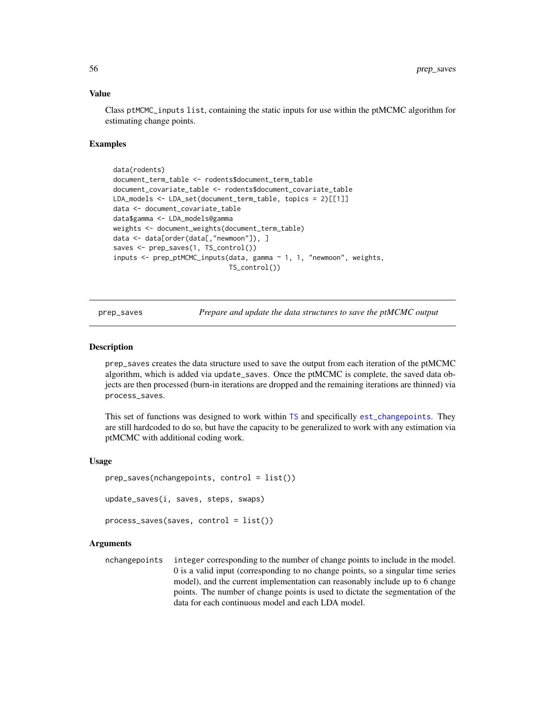#### Value

Class ptMCMC\_inputs list, containing the static inputs for use within the ptMCMC algorithm for estimating change points.

### Examples

```
data(rodents)
document_term_table <- rodents$document_term_table
document_covariate_table <- rodents$document_covariate_table
LDA_models <- LDA_set(document_term_table, topics = 2)[[1]]
data <- document_covariate_table
data$gamma <- LDA_models@gamma
weights <- document_weights(document_term_table)
data <- data[order(data[,"newmoon"]), ]
saves <- prep_saves(1, TS_control())
inputs <- prep_ptMCMC_inputs(data, gamma ~ 1, 1, "newmoon", weights,
                             TS_control())
```
prep\_saves *Prepare and update the data structures to save the ptMCMC output*

#### Description

prep\_saves creates the data structure used to save the output from each iteration of the ptMCMC algorithm, which is added via update\_saves. Once the ptMCMC is complete, the saved data objects are then processed (burn-in iterations are dropped and the remaining iterations are thinned) via process\_saves.

This set of functions was designed to work within [TS](#page-80-0) and specifically [est\\_changepoints](#page-15-0). They are still hardcoded to do so, but have the capacity to be generalized to work with any estimation via ptMCMC with additional coding work.

#### Usage

```
prep_saves(nchangepoints, control = list())
update_saves(i, saves, steps, swaps)
process_saves(saves, control = list())
```
## Arguments

nchangepoints integer corresponding to the number of change points to include in the model. 0 is a valid input (corresponding to no change points, so a singular time series model), and the current implementation can reasonably include up to 6 change points. The number of change points is used to dictate the segmentation of the data for each continuous model and each LDA model.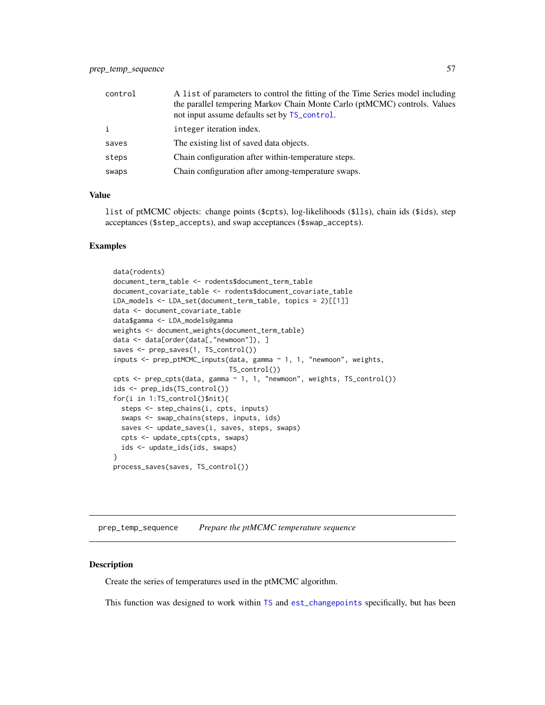| control      | A list of parameters to control the fitting of the Time Series model including<br>the parallel tempering Markov Chain Monte Carlo (ptMCMC) controls. Values<br>not input assume defaults set by TS_control. |
|--------------|-------------------------------------------------------------------------------------------------------------------------------------------------------------------------------------------------------------|
| $\mathbf{i}$ | integer iteration index.                                                                                                                                                                                    |
| saves        | The existing list of saved data objects.                                                                                                                                                                    |
| steps        | Chain configuration after within-temperature steps.                                                                                                                                                         |
| swaps        | Chain configuration after among-temperature swaps.                                                                                                                                                          |

### Value

list of ptMCMC objects: change points (\$cpts), log-likelihoods (\$lls), chain ids (\$ids), step acceptances (\$step\_accepts), and swap acceptances (\$swap\_accepts).

#### Examples

```
data(rodents)
document_term_table <- rodents$document_term_table
document_covariate_table <- rodents$document_covariate_table
LDA_models <- LDA_set(document_term_table, topics = 2)[[1]]
data <- document_covariate_table
data$gamma <- LDA_models@gamma
weights <- document_weights(document_term_table)
data <- data[order(data[,"newmoon"]), ]
saves <- prep_saves(1, TS_control())
inputs <- prep_ptMCMC_inputs(data, gamma ~ 1, 1, "newmoon", weights,
                             TS_control())
cpts <- prep_cpts(data, gamma ~ 1, 1, "newmoon", weights, TS_control())
ids <- prep_ids(TS_control())
for(i in 1:TS_control()$nit){
  steps <- step_chains(i, cpts, inputs)
  swaps <- swap_chains(steps, inputs, ids)
  saves <- update_saves(i, saves, steps, swaps)
 cpts <- update_cpts(cpts, swaps)
  ids <- update_ids(ids, swaps)
}
process_saves(saves, TS_control())
```
prep\_temp\_sequence *Prepare the ptMCMC temperature sequence*

### Description

Create the series of temperatures used in the ptMCMC algorithm.

This function was designed to work within [TS](#page-80-0) and [est\\_changepoints](#page-15-0) specifically, but has been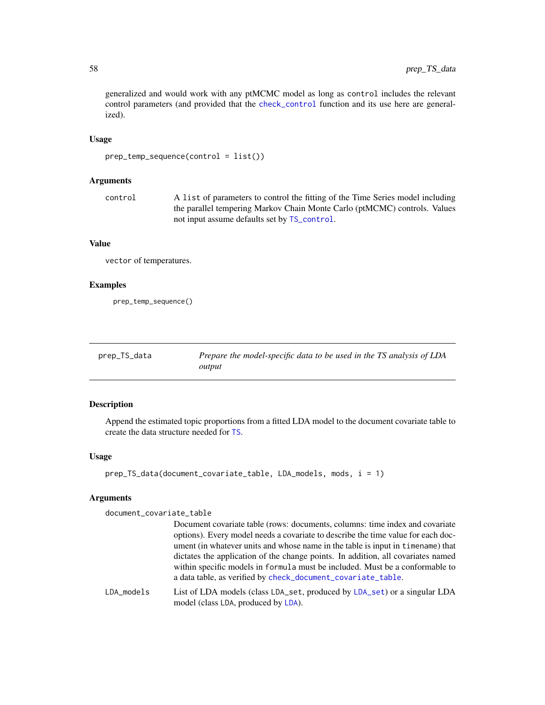generalized and would work with any ptMCMC model as long as control includes the relevant control parameters (and provided that the [check\\_control](#page-4-0) function and its use here are generalized).

## Usage

```
prep_temp_sequence(control = list())
```
## Arguments

control A list of parameters to control the fitting of the Time Series model including the parallel tempering Markov Chain Monte Carlo (ptMCMC) controls. Values not input assume defaults set by [TS\\_control](#page-83-0).

## Value

vector of temperatures.

## Examples

prep\_temp\_sequence()

| prep_TS_data | Prepare the model-specific data to be used in the TS analysis of LDA |
|--------------|----------------------------------------------------------------------|
|              | output                                                               |

# Description

Append the estimated topic proportions from a fitted LDA model to the document covariate table to create the data structure needed for [TS](#page-80-0).

## Usage

```
prep_TS_data(document_covariate_table, LDA_models, mods, i = 1)
```
### Arguments

document\_covariate\_table

|            | Document covariate table (rows: documents, columns: time index and covariate<br>options). Every model needs a covariate to describe the time value for each doc-<br>ument (in whatever units and whose name in the table is input in timename) that |
|------------|-----------------------------------------------------------------------------------------------------------------------------------------------------------------------------------------------------------------------------------------------------|
|            | dictates the application of the change points. In addition, all covariates named<br>within specific models in formula must be included. Must be a conformable to<br>a data table, as verified by check_document_covariate_table.                    |
| LDA models | List of LDA models (class LDA_set, produced by LDA_set) or a singular LDA<br>model (class LDA, produced by LDA).                                                                                                                                    |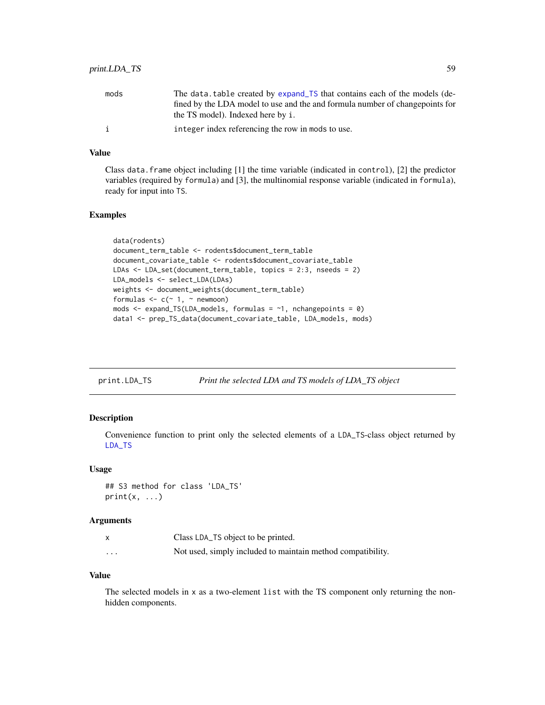## print.LDA\_TS 59

| mods | The data table created by expand TS that contains each of the models (de-<br>fined by the LDA model to use and the and formula number of changepoints for<br>the TS model). Indexed here by i. |
|------|------------------------------------------------------------------------------------------------------------------------------------------------------------------------------------------------|
| i    | integer index referencing the row in mods to use.                                                                                                                                              |

### Value

Class data. frame object including  $[1]$  the time variable (indicated in control),  $[2]$  the predictor variables (required by formula) and [3], the multinomial response variable (indicated in formula), ready for input into TS.

### Examples

```
data(rodents)
document_term_table <- rodents$document_term_table
document_covariate_table <- rodents$document_covariate_table
LDAs <- LDA_set(document_term_table, topics = 2:3, nseeds = 2)
LDA_models <- select_LDA(LDAs)
weights <- document_weights(document_term_table)
formulas \leq c (\leq 1, \leq newmoon)
mods \leq expand_TS(LDA_models, formulas = \sim1, nchangepoints = 0)
data1 <- prep_TS_data(document_covariate_table, LDA_models, mods)
```

| print.LDA_TS | Print the selected LDA and TS models of LDA_TS object |  |
|--------------|-------------------------------------------------------|--|
|              |                                                       |  |

### Description

Convenience function to print only the selected elements of a LDA\_TS-class object returned by [LDA\\_TS](#page-24-0)

## Usage

```
## S3 method for class 'LDA_TS'
print(x, \ldots)
```
#### Arguments

|          | Class LDA_TS object to be printed.                          |
|----------|-------------------------------------------------------------|
| $\cdots$ | Not used, simply included to maintain method compatibility. |

### Value

The selected models in x as a two-element list with the TS component only returning the nonhidden components.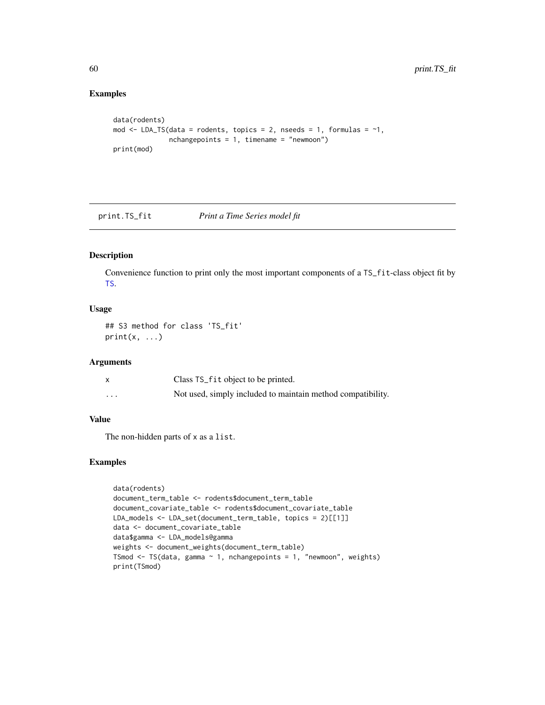## Examples

```
data(rodents)
mod \leq LDA_TS(data = rodents, topics = 2, nseeds = 1, formulas = \sim1,
              nchangepoints = 1, timename = "newmoon")print(mod)
```
print.TS\_fit *Print a Time Series model fit*

## Description

Convenience function to print only the most important components of a TS\_fit-class object fit by [TS](#page-80-0).

## Usage

```
## S3 method for class 'TS_fit'
print(x, \ldots)
```
## Arguments

|          | Class TS_fit object to be printed.                          |
|----------|-------------------------------------------------------------|
| $\cdots$ | Not used, simply included to maintain method compatibility. |

## Value

The non-hidden parts of x as a list.

```
data(rodents)
document_term_table <- rodents$document_term_table
document_covariate_table <- rodents$document_covariate_table
LDA_models <- LDA_set(document_term_table, topics = 2)[[1]]
data <- document_covariate_table
data$gamma <- LDA_models@gamma
weights <- document_weights(document_term_table)
TSmod \leq TS(data, gamma \sim 1, nchangepoints = 1, "newmoon", weights)
print(TSmod)
```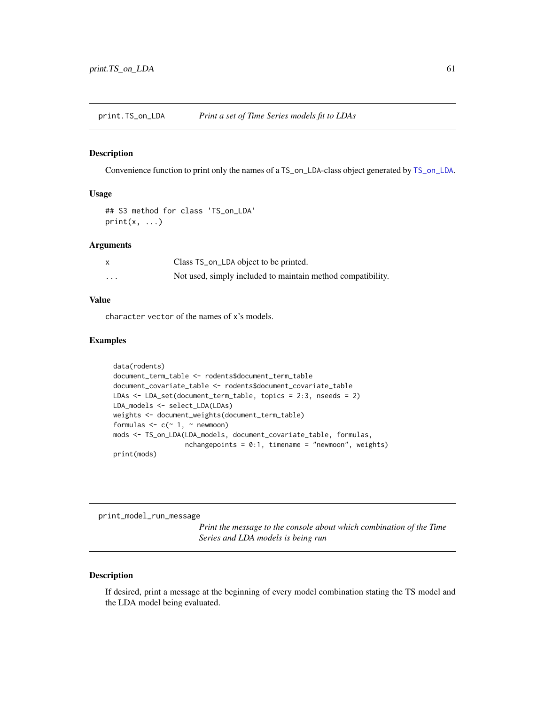print.TS\_on\_LDA *Print a set of Time Series models fit to LDAs*

#### Description

Convenience function to print only the names of a TS\_on\_LDA-class object generated by [TS\\_on\\_LDA](#page-85-0).

### Usage

```
## S3 method for class 'TS_on_LDA'
print(x, \ldots)
```
#### Arguments

|          | Class TS_on_LDA object to be printed.                       |
|----------|-------------------------------------------------------------|
| $\cdots$ | Not used, simply included to maintain method compatibility. |

### Value

character vector of the names of x's models.

### Examples

```
data(rodents)
document_term_table <- rodents$document_term_table
document_covariate_table <- rodents$document_covariate_table
LDAs <- LDA_set(document_term_table, topics = 2:3, nseeds = 2)
LDA_models <- select_LDA(LDAs)
weights <- document_weights(document_term_table)
formulas \leq c (\leq 1, \leq newmoon)
mods <- TS_on_LDA(LDA_models, document_covariate_table, formulas,
                  nchangepoints = 0:1, timename = "newmoon", weights)
print(mods)
```
print\_model\_run\_message

*Print the message to the console about which combination of the Time Series and LDA models is being run*

### Description

If desired, print a message at the beginning of every model combination stating the TS model and the LDA model being evaluated.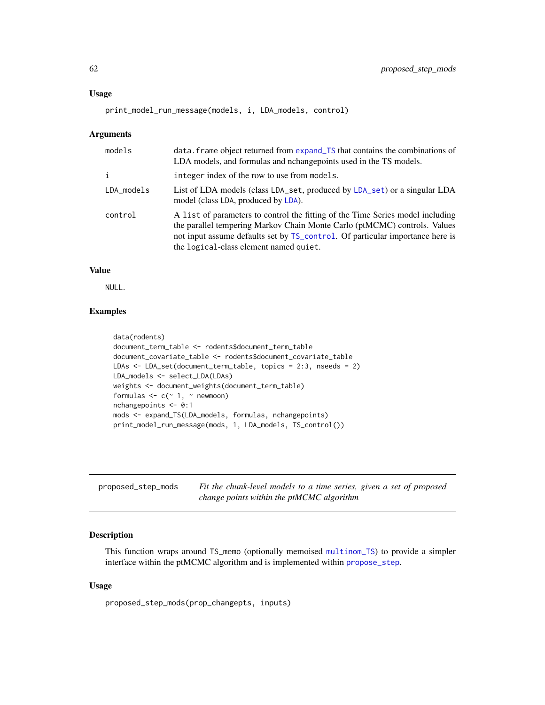#### Usage

print\_model\_run\_message(models, i, LDA\_models, control)

#### Arguments

| models     | data. frame object returned from expand_TS that contains the combinations of<br>LDA models, and formulas and nchangepoints used in the TS models.                                                                                                                                      |
|------------|----------------------------------------------------------------------------------------------------------------------------------------------------------------------------------------------------------------------------------------------------------------------------------------|
| i          | integer index of the row to use from models.                                                                                                                                                                                                                                           |
| LDA_models | List of LDA models (class LDA_set, produced by LDA_set) or a singular LDA<br>model (class LDA, produced by LDA).                                                                                                                                                                       |
| control    | A list of parameters to control the fitting of the Time Series model including<br>the parallel tempering Markov Chain Monte Carlo (ptMCMC) controls. Values<br>not input assume defaults set by TS_control. Of particular importance here is<br>the logical-class element named quiet. |

## Value

NULL.

## Examples

```
data(rodents)
document_term_table <- rodents$document_term_table
document_covariate_table <- rodents$document_covariate_table
LDAs <- LDA_set(document_term_table, topics = 2:3, nseeds = 2)
LDA_models <- select_LDA(LDAs)
weights <- document_weights(document_term_table)
formulas \leq c (\leq 1, \leq newmoon)
nchangepoints <- 0:1
mods <- expand_TS(LDA_models, formulas, nchangepoints)
print_model_run_message(mods, 1, LDA_models, TS_control())
```

| proposed_step_mods | Fit the chunk-level models to a time series, given a set of proposed |
|--------------------|----------------------------------------------------------------------|
|                    | change points within the ptMCMC algorithm                            |

## Description

This function wraps around TS\_memo (optionally memoised [multinom\\_TS](#page-33-0)) to provide a simpler interface within the ptMCMC algorithm and is implemented within [propose\\_step](#page-74-0).

### Usage

proposed\_step\_mods(prop\_changepts, inputs)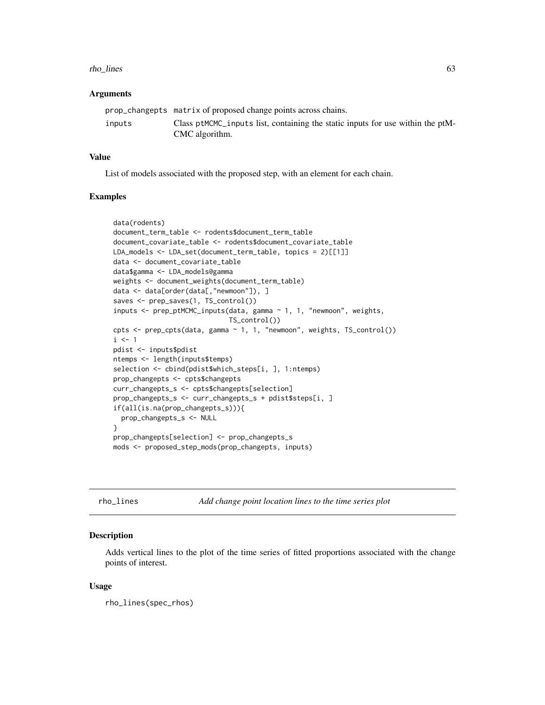#### rho\_lines 63

### Arguments

|        | prop_changepts matrix of proposed change points across chains.                 |
|--------|--------------------------------------------------------------------------------|
| inputs | Class ptMCMC inputs list, containing the static inputs for use within the ptM- |
|        | CMC algorithm.                                                                 |

## Value

List of models associated with the proposed step, with an element for each chain.

#### Examples

```
data(rodents)
document_term_table <- rodents$document_term_table
document_covariate_table <- rodents$document_covariate_table
LDA_models <- LDA_set(document_term_table, topics = 2)[[1]]
data <- document_covariate_table
data$gamma <- LDA_models@gamma
weights <- document_weights(document_term_table)
data <- data[order(data[,"newmoon"]), ]
saves <- prep_saves(1, TS_control())
inputs <- prep_ptMCMC_inputs(data, gamma ~ 1, 1, "newmoon", weights,
                             TS_control())
cpts <- prep_cpts(data, gamma ~ 1, 1, "newmoon", weights, TS_control())
i \leq 1pdist <- inputs$pdist
ntemps <- length(inputs$temps)
selection <- cbind(pdist$which_steps[i, ], 1:ntemps)
prop_changepts <- cpts$changepts
curr_changepts_s <- cpts$changepts[selection]
prop_changepts_s <- curr_changepts_s + pdist$steps[i, ]
if(all(is.na(prop_changepts_s))){
  prop_changepts_s <- NULL
}
prop_changepts[selection] <- prop_changepts_s
mods <- proposed_step_mods(prop_changepts, inputs)
```
rho\_lines *Add change point location lines to the time series plot*

#### Description

Adds vertical lines to the plot of the time series of fitted proportions associated with the change points of interest.

### Usage

rho\_lines(spec\_rhos)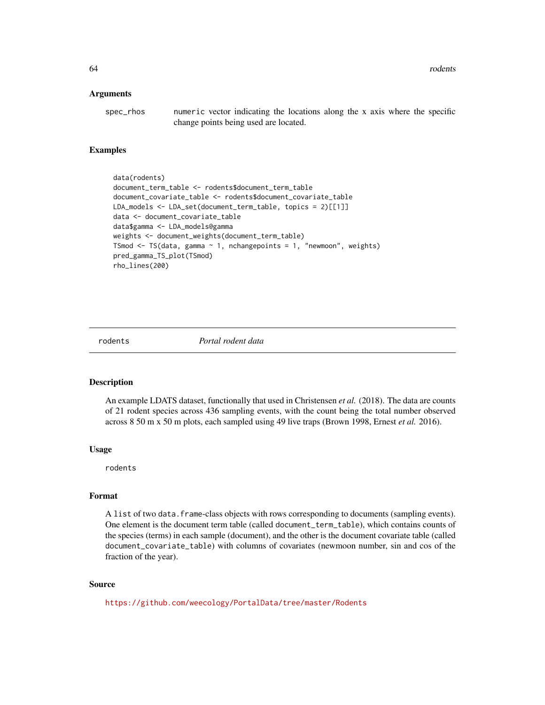#### Arguments

| spec_rhos | numeric vector indicating the locations along the x axis where the specific |
|-----------|-----------------------------------------------------------------------------|
|           | change points being used are located.                                       |

#### Examples

```
data(rodents)
document_term_table <- rodents$document_term_table
document_covariate_table <- rodents$document_covariate_table
LDA_models <- LDA_set(document_term_table, topics = 2)[[1]]
data <- document_covariate_table
data$gamma <- LDA_models@gamma
weights <- document_weights(document_term_table)
TSmod <- TS(data, gamma ~ 1, nchangepoints = 1, "newmoon", weights)
pred_gamma_TS_plot(TSmod)
rho_lines(200)
```
rodents *Portal rodent data*

### Description

An example LDATS dataset, functionally that used in Christensen *et al.* (2018). The data are counts of 21 rodent species across 436 sampling events, with the count being the total number observed across 8 50 m x 50 m plots, each sampled using 49 live traps (Brown 1998, Ernest *et al.* 2016).

### Usage

rodents

#### Format

A list of two data.frame-class objects with rows corresponding to documents (sampling events). One element is the document term table (called document\_term\_table), which contains counts of the species (terms) in each sample (document), and the other is the document covariate table (called document\_covariate\_table) with columns of covariates (newmoon number, sin and cos of the fraction of the year).

#### Source

<https://github.com/weecology/PortalData/tree/master/Rodents>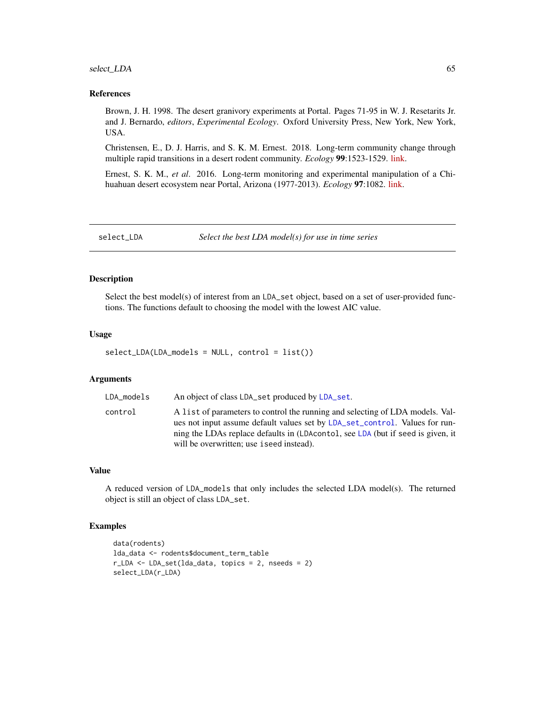## select\_LDA 65

#### References

Brown, J. H. 1998. The desert granivory experiments at Portal. Pages 71-95 in W. J. Resetarits Jr. and J. Bernardo, *editors*, *Experimental Ecology*. Oxford University Press, New York, New York, USA.

Christensen, E., D. J. Harris, and S. K. M. Ernest. 2018. Long-term community change through multiple rapid transitions in a desert rodent community. *Ecology* 99:1523-1529. [link.](https://doi.org/10.1002/ecy.2373)

Ernest, S. K. M., *et al*. 2016. Long-term monitoring and experimental manipulation of a Chihuahuan desert ecosystem near Portal, Arizona (1977-2013). *Ecology* 97:1082. [link.](https://doi.org/10.1890/15-2115.1)

<span id="page-64-0"></span>select\_LDA *Select the best LDA model(s) for use in time series*

## **Description**

Select the best model(s) of interest from an LDA\_set object, based on a set of user-provided functions. The functions default to choosing the model with the lowest AIC value.

#### Usage

```
select_LDA(LDA_models = NULL, control = list())
```
### Arguments

| LDA models | An object of class LDA_set produced by LDA_set.                                                                                                                                                                                                                                             |
|------------|---------------------------------------------------------------------------------------------------------------------------------------------------------------------------------------------------------------------------------------------------------------------------------------------|
| control    | A list of parameters to control the running and selecting of LDA models. Val-<br>ues not input assume default values set by LDA_set_control. Values for run-<br>ning the LDAs replace defaults in (LDAcontol, see LDA (but if seed is given, it<br>will be overwritten; use iseed instead). |

### Value

A reduced version of LDA\_models that only includes the selected LDA model(s). The returned object is still an object of class LDA\_set.

```
data(rodents)
lda_data <- rodents$document_term_table
r_LDA <- LDA_set(lda_data, topics = 2, nseeds = 2)
select_LDA(r_LDA)
```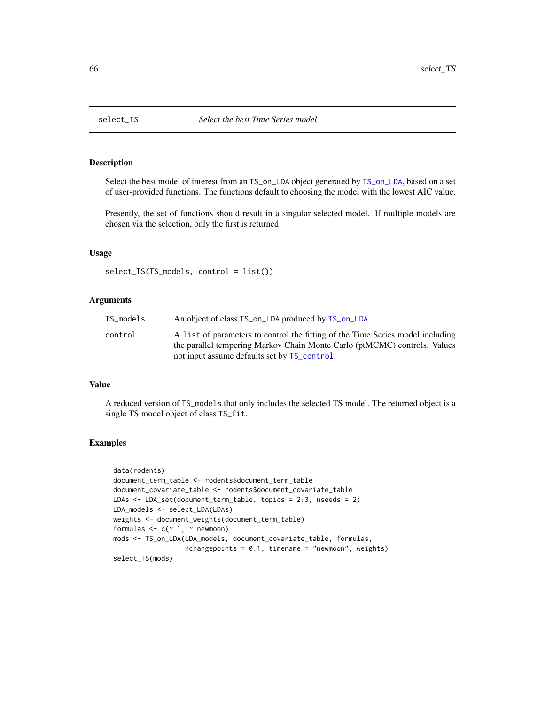<span id="page-65-0"></span>

### Description

Select the best model of interest from an TS\_on\_LDA object generated by [TS\\_on\\_LDA](#page-85-0), based on a set of user-provided functions. The functions default to choosing the model with the lowest AIC value.

Presently, the set of functions should result in a singular selected model. If multiple models are chosen via the selection, only the first is returned.

### Usage

```
select_TS(TS_models, control = list())
```
#### Arguments

| TS models | An object of class TS_on_LDA produced by TS_on_LDA.                                                                                                         |
|-----------|-------------------------------------------------------------------------------------------------------------------------------------------------------------|
| control   | A list of parameters to control the fitting of the Time Series model including<br>the parallel tempering Markov Chain Monte Carlo (ptMCMC) controls. Values |
|           | not input assume defaults set by TS_control.                                                                                                                |

#### Value

A reduced version of TS\_models that only includes the selected TS model. The returned object is a single TS model object of class TS\_fit.

```
data(rodents)
document_term_table <- rodents$document_term_table
document_covariate_table <- rodents$document_covariate_table
LDAs <- LDA_set(document_term_table, topics = 2:3, nseeds = 2)
LDA_models <- select_LDA(LDAs)
weights <- document_weights(document_term_table)
formulas \leq c (\leq 1, \leq newmoon)
mods <- TS_on_LDA(LDA_models, document_covariate_table, formulas,
                  nchangepoints = 0:1, timename = "newmoon", weights)
select_TS(mods)
```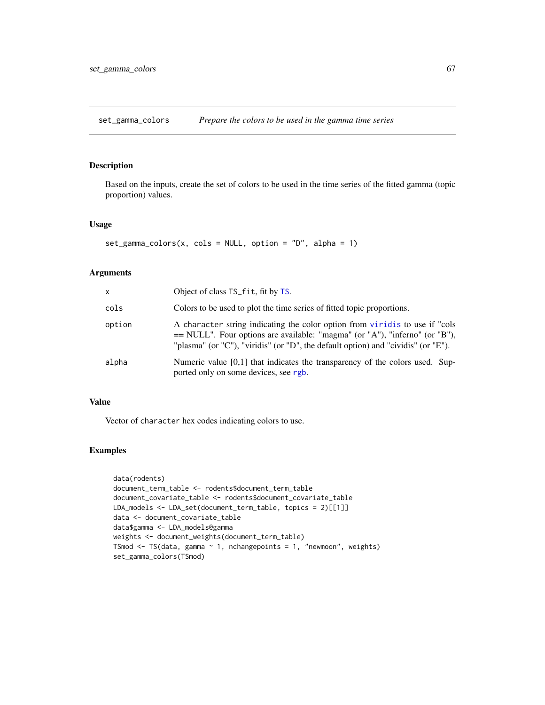<span id="page-66-0"></span>set\_gamma\_colors *Prepare the colors to be used in the gamma time series*

## Description

Based on the inputs, create the set of colors to be used in the time series of the fitted gamma (topic proportion) values.

### Usage

```
set\_gamma\_colors(x, \text{cols} = NULL, \text{option} = "D", \text{ alpha} = 1)
```
#### Arguments

| x      | Object of class TS_fit, fit by TS.                                                                                                                                                                                                                |
|--------|---------------------------------------------------------------------------------------------------------------------------------------------------------------------------------------------------------------------------------------------------|
| cols   | Colors to be used to plot the time series of fitted topic proportions.                                                                                                                                                                            |
| option | A character string indicating the color option from viridis to use if "cols<br>$==$ NULL". Four options are available: "magma" (or "A"), "inferno" (or "B"),<br>"plasma" (or "C"), "viridis" (or "D", the default option) and "cividis" (or "E"). |
| alpha  | Numeric value $[0,1]$ that indicates the transparency of the colors used. Sup-<br>ported only on some devices, see rgb.                                                                                                                           |

## Value

Vector of character hex codes indicating colors to use.

```
data(rodents)
document_term_table <- rodents$document_term_table
document_covariate_table <- rodents$document_covariate_table
LDA_models <- LDA_set(document_term_table, topics = 2)[[1]]
data <- document_covariate_table
data$gamma <- LDA_models@gamma
weights <- document_weights(document_term_table)
TSmod \leq TS(data, gamma \sim 1, nchangepoints = 1, "newmoon", weights)
set_gamma_colors(TSmod)
```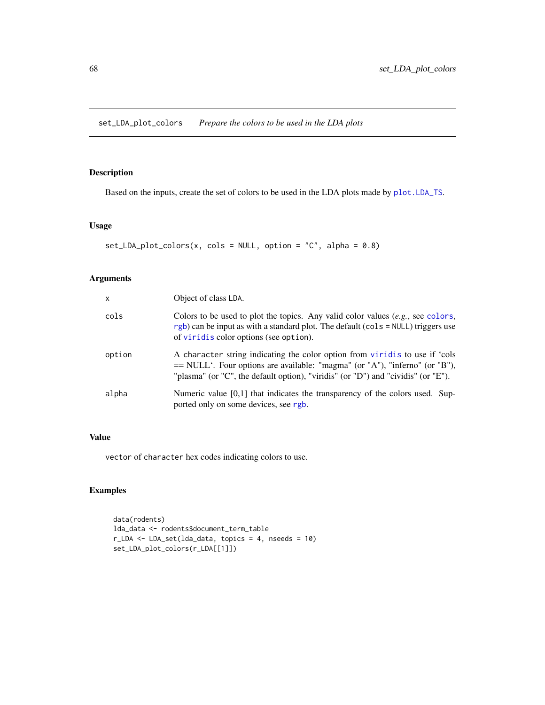<span id="page-67-0"></span>set\_LDA\_plot\_colors *Prepare the colors to be used in the LDA plots*

### Description

Based on the inputs, create the set of colors to be used in the LDA plots made by [plot.LDA\\_TS](#page-43-0).

### Usage

```
set\_LDA_plot\_colors(x, \text{cols} = NULL, \text{option} = "C", \text{ alpha} = 0.8)
```
## Arguments

| $\mathsf{x}$ | Object of class LDA.                                                                                                                                                                                                                             |
|--------------|--------------------------------------------------------------------------------------------------------------------------------------------------------------------------------------------------------------------------------------------------|
| cols         | Colors to be used to plot the topics. Any valid color values $(e.g.,\, see\, colors,$<br>$rgb$ ) can be input as with a standard plot. The default (cols = NULL) triggers use<br>of viridis color options (see option).                          |
| option       | A character string indicating the color option from viridis to use if 'cols<br>$=$ NULL'. Four options are available: "magma" (or "A"), "inferno" (or "B"),<br>"plasma" (or "C", the default option), "viridis" (or "D") and "cividis" (or "E"). |
| alpha        | Numeric value [0,1] that indicates the transparency of the colors used. Sup-<br>ported only on some devices, see rgb.                                                                                                                            |

# Value

vector of character hex codes indicating colors to use.

```
data(rodents)
lda_data <- rodents$document_term_table
r_LDA <- LDA_set(lda_data, topics = 4, nseeds = 10)
set_LDA_plot_colors(r_LDA[[1]])
```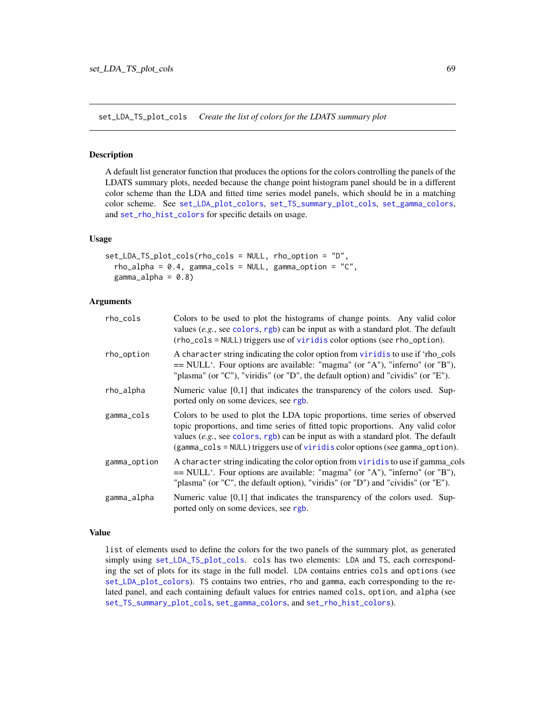<span id="page-68-0"></span>set\_LDA\_TS\_plot\_cols *Create the list of colors for the LDATS summary plot*

### Description

A default list generator function that produces the options for the colors controlling the panels of the LDATS summary plots, needed because the change point histogram panel should be in a different color scheme than the LDA and fitted time series model panels, which should be in a matching color scheme. See [set\\_LDA\\_plot\\_colors](#page-67-0), [set\\_TS\\_summary\\_plot\\_cols](#page-70-0), [set\\_gamma\\_colors](#page-66-0), and [set\\_rho\\_hist\\_colors](#page-69-0) for specific details on usage.

### Usage

```
set_LDA_TS_plot_cols(rho_cols = NULL, rho_option = "D",
  rho\_alpha = 0.4, gamma_cols = NULL, gamma_option = "C",
  gamma_alpha = 0.8)
```
### Arguments

| rho_cols     | Colors to be used to plot the histograms of change points. Any valid color<br>values $(e.g., see colors, rgb)$ can be input as with a standard plot. The default<br>(rho_cols = NULL) triggers use of viridis color options (see rho_option).                                                                                          |
|--------------|----------------------------------------------------------------------------------------------------------------------------------------------------------------------------------------------------------------------------------------------------------------------------------------------------------------------------------------|
| rho_option   | A character string indicating the color option from viridis to use if 'rho_cols<br>== NULL'. Four options are available: "magma" (or "A"), "inferno" (or "B"),<br>"plasma" (or "C"), "viridis" (or "D", the default option) and "cividis" (or "E").                                                                                    |
| rho_alpha    | Numeric value $[0,1]$ that indicates the transparency of the colors used. Sup-<br>ported only on some devices, see rgb.                                                                                                                                                                                                                |
| gamma_cols   | Colors to be used to plot the LDA topic proportions, time series of observed<br>topic proportions, and time series of fitted topic proportions. Any valid color<br>values $(e.g., see colors, rgb)$ can be input as with a standard plot. The default<br>(gamma_cols = NULL) triggers use of viridis color options (see gamma_option). |
| gamma_option | A character string indicating the color option from viridis to use if gamma_cols<br>== NULL'. Four options are available: "magma" (or "A"), "inferno" (or "B"),<br>"plasma" (or "C", the default option), "viridis" (or "D") and "cividis" (or "E").                                                                                   |
| gamma_alpha  | Numeric value $[0,1]$ that indicates the transparency of the colors used. Sup-<br>ported only on some devices, see rgb.                                                                                                                                                                                                                |

### Value

list of elements used to define the colors for the two panels of the summary plot, as generated simply using [set\\_LDA\\_TS\\_plot\\_cols](#page-68-0). cols has two elements: LDA and TS, each corresponding the set of plots for its stage in the full model. LDA contains entries cols and options (see [set\\_LDA\\_plot\\_colors](#page-67-0)). TS contains two entries, rho and gamma, each corresponding to the related panel, and each containing default values for entries named cols, option, and alpha (see [set\\_TS\\_summary\\_plot\\_cols](#page-70-0), [set\\_gamma\\_colors](#page-66-0), and [set\\_rho\\_hist\\_colors](#page-69-0)).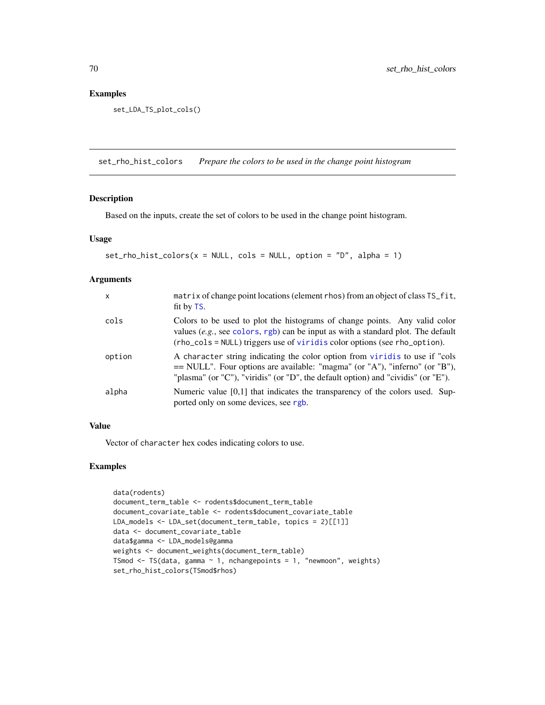## Examples

set\_LDA\_TS\_plot\_cols()

<span id="page-69-0"></span>set\_rho\_hist\_colors *Prepare the colors to be used in the change point histogram*

## Description

Based on the inputs, create the set of colors to be used in the change point histogram.

### Usage

```
set_rho_hist_colors(x = NULL, cols = NULL, option = "D", alpha = 1)
```
## Arguments

| $\mathsf{x}$ | matrix of change point locations (element rhos) from an object of class TS_fit,<br>fit by TS.                                                                                                                                                    |
|--------------|--------------------------------------------------------------------------------------------------------------------------------------------------------------------------------------------------------------------------------------------------|
| cols         | Colors to be used to plot the histograms of change points. Any valid color<br>values $(e.g., see colors, rgb)$ can be input as with a standard plot. The default<br>(rho_cols = NULL) triggers use of viridis color options (see rho_option).    |
| option       | A character string indicating the color option from viridis to use if "cols"<br>== NULL". Four options are available: "magma" (or "A"), "inferno" (or "B"),<br>"plasma" (or "C"), "viridis" (or "D", the default option) and "cividis" (or "E"). |
| alpha        | Numeric value $[0,1]$ that indicates the transparency of the colors used. Sup-<br>ported only on some devices, see rgb.                                                                                                                          |

### Value

Vector of character hex codes indicating colors to use.

```
data(rodents)
document_term_table <- rodents$document_term_table
document_covariate_table <- rodents$document_covariate_table
LDA_models <- LDA_set(document_term_table, topics = 2)[[1]]
data <- document_covariate_table
data$gamma <- LDA_models@gamma
weights <- document_weights(document_term_table)
TSmod \leq TS(data, gamma \sim 1, nchangepoints = 1, "newmoon", weights)
set_rho_hist_colors(TSmod$rhos)
```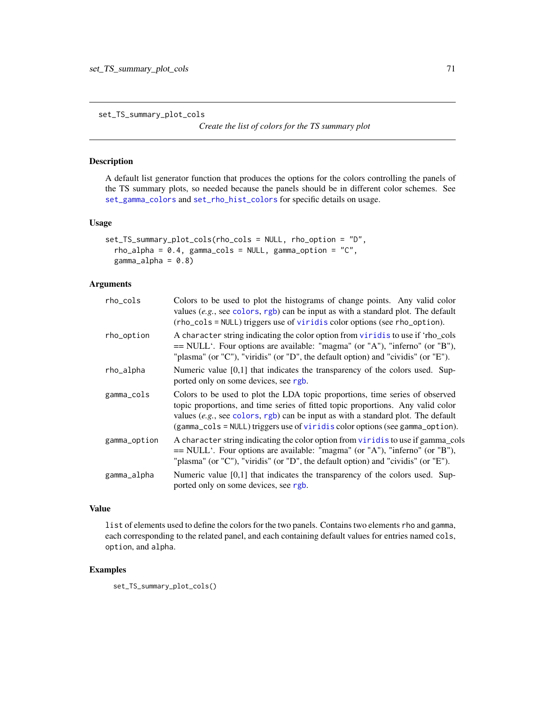<span id="page-70-0"></span>set\_TS\_summary\_plot\_cols

*Create the list of colors for the TS summary plot*

## Description

A default list generator function that produces the options for the colors controlling the panels of the TS summary plots, so needed because the panels should be in different color schemes. See [set\\_gamma\\_colors](#page-66-0) and [set\\_rho\\_hist\\_colors](#page-69-0) for specific details on usage.

#### Usage

```
set_TS_summary_plot_cols(rho_cols = NULL, rho_option = "D",
  rho\_alpha = 0.4, gamma\_cos = NULL, gamma\_option = "C",gamma_a1pha = 0.8
```
### Arguments

| rho_cols     | Colors to be used to plot the histograms of change points. Any valid color<br>values (e.g., see colors, rgb) can be input as with a standard plot. The default<br>(rho_cols = NULL) triggers use of viridis color options (see rho_option).                                                                                          |
|--------------|--------------------------------------------------------------------------------------------------------------------------------------------------------------------------------------------------------------------------------------------------------------------------------------------------------------------------------------|
| rho_option   | A character string indicating the color option from viridis to use if 'rho_cols<br>$=$ NULL'. Four options are available: "magma" (or "A"), "inferno" (or "B"),<br>"plasma" (or "C"), "viridis" (or "D", the default option) and "cividis" (or "E").                                                                                 |
| rho_alpha    | Numeric value $[0,1]$ that indicates the transparency of the colors used. Sup-<br>ported only on some devices, see rgb.                                                                                                                                                                                                              |
| gamma_cols   | Colors to be used to plot the LDA topic proportions, time series of observed<br>topic proportions, and time series of fitted topic proportions. Any valid color<br>values (e.g., see colors, rgb) can be input as with a standard plot. The default<br>(gamma_cols = NULL) triggers use of viridis color options (see gamma_option). |
| gamma_option | A character string indicating the color option from viridis to use if gamma_cols<br>== NULL'. Four options are available: "magma" (or "A"), "inferno" (or "B"),<br>"plasma" (or "C"), "viridis" (or "D", the default option) and "cividis" (or "E").                                                                                 |
| gamma_alpha  | Numeric value $[0,1]$ that indicates the transparency of the colors used. Sup-<br>ported only on some devices, see rgb.                                                                                                                                                                                                              |

### Value

list of elements used to define the colors for the two panels. Contains two elements rho and gamma, each corresponding to the related panel, and each containing default values for entries named cols, option, and alpha.

### Examples

set\_TS\_summary\_plot\_cols()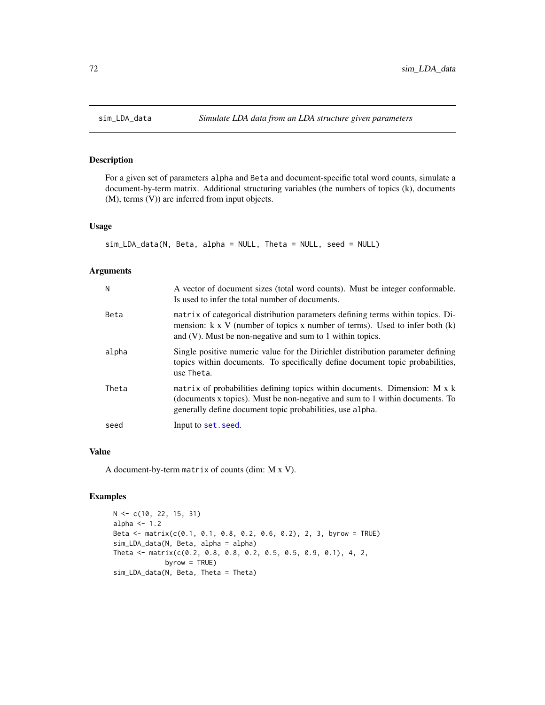# Description

For a given set of parameters alpha and Beta and document-specific total word counts, simulate a document-by-term matrix. Additional structuring variables (the numbers of topics (k), documents (M), terms (V)) are inferred from input objects.

### Usage

```
sim_LDA_data(N, Beta, alpha = NULL, Theta = NULL, seed = NULL)
```
### Arguments

| N     | A vector of document sizes (total word counts). Must be integer conformable.<br>Is used to infer the total number of documents.                                                                                                         |
|-------|-----------------------------------------------------------------------------------------------------------------------------------------------------------------------------------------------------------------------------------------|
| Beta  | matrix of categorical distribution parameters defining terms within topics. Di-<br>mension: $k \times V$ (number of topics x number of terms). Used to infer both $(k)$<br>and $(V)$ . Must be non-negative and sum to 1 within topics. |
| alpha | Single positive numeric value for the Dirichlet distribution parameter defining<br>topics within documents. To specifically define document topic probabilities,<br>use Theta.                                                          |
| Theta | matrix of probabilities defining topics within documents. Dimension: M x k<br>(documents x topics). Must be non-negative and sum to 1 within documents. To<br>generally define document topic probabilities, use alpha.                 |
| seed  | Input to set. seed.                                                                                                                                                                                                                     |

### Value

A document-by-term matrix of counts (dim: M x V).

```
N <- c(10, 22, 15, 31)
alpha <-1.2Beta <- matrix(c(0.1, 0.1, 0.8, 0.2, 0.6, 0.2), 2, 3, byrow = TRUE)
sim_LDA_data(N, Beta, alpha = alpha)
Theta <- matrix(c(0.2, 0.8, 0.8, 0.2, 0.5, 0.5, 0.9, 0.1), 4, 2,
            byrow = TRUE)
sim_LDA_data(N, Beta, Theta = Theta)
```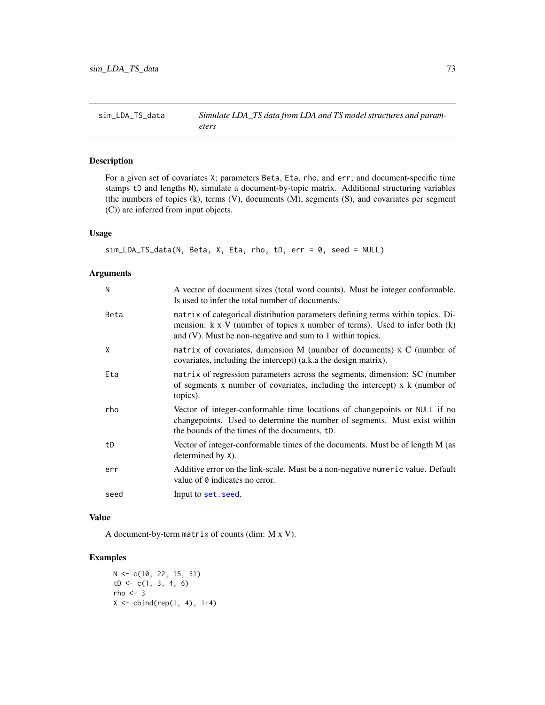<span id="page-72-0"></span>

For a given set of covariates X; parameters Beta, Eta, rho, and err; and document-specific time stamps tD and lengths N), simulate a document-by-topic matrix. Additional structuring variables (the numbers of topics (k), terms (V), documents (M), segments (S), and covariates per segment (C)) are inferred from input objects.

#### Usage

```
sim_LDA_TS_data(N, Beta, X, Eta, rho, tD, err = 0, seed = NULL)
```
## Arguments

| N    | A vector of document sizes (total word counts). Must be integer conformable.<br>Is used to infer the total number of documents.                                                                                                         |
|------|-----------------------------------------------------------------------------------------------------------------------------------------------------------------------------------------------------------------------------------------|
| Beta | matrix of categorical distribution parameters defining terms within topics. Di-<br>mension: $k \times V$ (number of topics x number of terms). Used to infer both $(k)$<br>and $(V)$ . Must be non-negative and sum to 1 within topics. |
| X    | matrix of covariates, dimension M (number of documents) x C (number of<br>covariates, including the intercept) (a.k.a the design matrix).                                                                                               |
| Eta  | matrix of regression parameters across the segments, dimension: SC (number<br>of segments $x$ number of covariates, including the intercept) $x$ $k$ (number of<br>topics).                                                             |
| rho  | Vector of integer-conformable time locations of changepoints or NULL if no<br>changepoints. Used to determine the number of segments. Must exist within<br>the bounds of the times of the documents, tD.                                |
| tD   | Vector of integer-conformable times of the documents. Must be of length M (as<br>determined by X).                                                                                                                                      |
| err  | Additive error on the link-scale. Must be a non-negative numeric value. Default<br>value of 0 indicates no error.                                                                                                                       |
| seed | Input to set. seed.                                                                                                                                                                                                                     |

## Value

A document-by-term matrix of counts (dim: M x V).

## Examples

N <- c(10, 22, 15, 31)  $tD \leftarrow c(1, 3, 4, 6)$  $rho < -3$  $X \leftarrow \text{cbind}(\text{rep}(1, 4), 1:4)$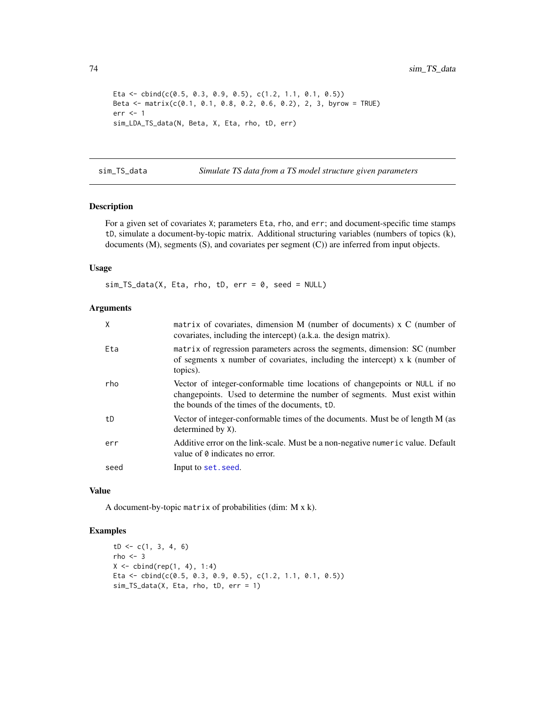```
Eta <- cbind(c(0.5, 0.3, 0.9, 0.5), c(1.2, 1.1, 0.1, 0.5))
Beta <- matrix(c(0.1, 0.1, 0.8, 0.2, 0.6, 0.2), 2, 3, byrow = TRUE)
err <- 1
sim_LDA_TS_data(N, Beta, X, Eta, rho, tD, err)
```
sim\_TS\_data *Simulate TS data from a TS model structure given parameters*

## Description

For a given set of covariates X; parameters Eta, rho, and err; and document-specific time stamps tD, simulate a document-by-topic matrix. Additional structuring variables (numbers of topics (k), documents (M), segments (S), and covariates per segment (C)) are inferred from input objects.

#### Usage

 $sim_TS_data(X, Eta, rho, tD, err = 0, seed = NULL)$ 

## Arguments

| X    | matrix of covariates, dimension M (number of documents) x C (number of<br>covariates, including the intercept) (a.k.a. the design matrix).                                                                |
|------|-----------------------------------------------------------------------------------------------------------------------------------------------------------------------------------------------------------|
| Eta  | matrix of regression parameters across the segments, dimension: SC (number<br>of segments x number of covariates, including the intercept) $x \, k$ (number of<br>topics).                                |
| rho  | Vector of integer-conformable time locations of changepoints or NULL if no<br>change points. Used to determine the number of segments. Must exist within<br>the bounds of the times of the documents, tD. |
| tD   | Vector of integer-conformable times of the documents. Must be of length M (as<br>determined by X).                                                                                                        |
| err  | Additive error on the link-scale. Must be a non-negative numeric value. Default<br>value of 0 indicates no error.                                                                                         |
| seed | Input to set. seed.                                                                                                                                                                                       |

## Value

A document-by-topic matrix of probabilities (dim: M x k).

```
tD \leftarrow c(1, 3, 4, 6)rho <-3X \le cbind(rep(1, 4), 1:4)
Eta <- cbind(c(0.5, 0.3, 0.9, 0.5), c(1.2, 1.1, 0.1, 0.5))
sim_TS_data(X, Eta, rho, tD, err = 1)
```
<span id="page-73-0"></span>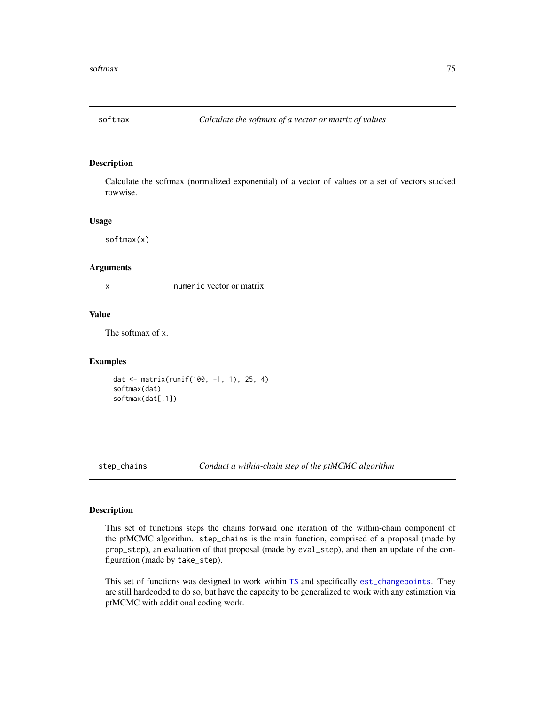<span id="page-74-0"></span>

Calculate the softmax (normalized exponential) of a vector of values or a set of vectors stacked rowwise.

#### Usage

softmax(x)

#### Arguments

x numeric vector or matrix

#### Value

The softmax of x.

## Examples

```
dat <- matrix(runif(100, -1, 1), 25, 4)
softmax(dat)
softmax(dat[,1])
```
step\_chains *Conduct a within-chain step of the ptMCMC algorithm*

#### Description

This set of functions steps the chains forward one iteration of the within-chain component of the ptMCMC algorithm. step\_chains is the main function, comprised of a proposal (made by prop\_step), an evaluation of that proposal (made by eval\_step), and then an update of the configuration (made by take\_step).

This set of functions was designed to work within [TS](#page-80-0) and specifically [est\\_changepoints](#page-15-0). They are still hardcoded to do so, but have the capacity to be generalized to work with any estimation via ptMCMC with additional coding work.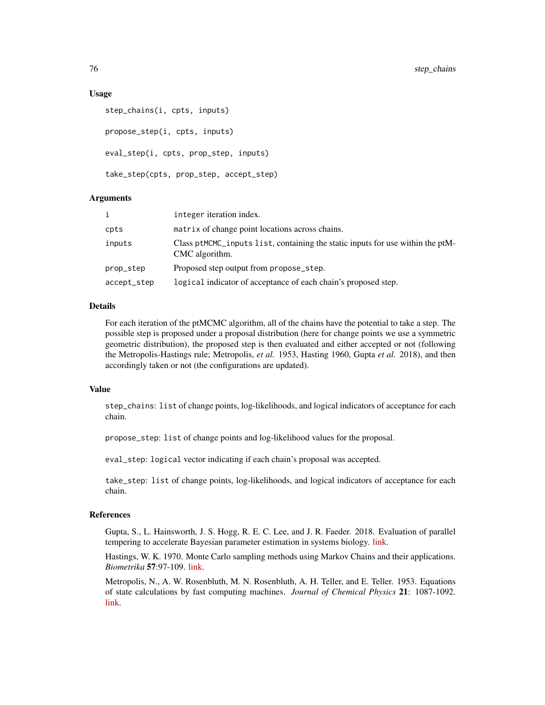#### Usage

```
step_chains(i, cpts, inputs)
propose_step(i, cpts, inputs)
eval_step(i, cpts, prop_step, inputs)
take_step(cpts, prop_step, accept_step)
```
#### Arguments

| $\mathbf{i}$ | integer iteration index.                                                                         |
|--------------|--------------------------------------------------------------------------------------------------|
| cpts         | matrix of change point locations across chains.                                                  |
| inputs       | Class ptMCMC_inputs list, containing the static inputs for use within the ptM-<br>CMC algorithm. |
| prop_step    | Proposed step output from propose_step.                                                          |
| accept_step  | logical indicator of acceptance of each chain's proposed step.                                   |

## **Details**

For each iteration of the ptMCMC algorithm, all of the chains have the potential to take a step. The possible step is proposed under a proposal distribution (here for change points we use a symmetric geometric distribution), the proposed step is then evaluated and either accepted or not (following the Metropolis-Hastings rule; Metropolis, *et al.* 1953, Hasting 1960, Gupta *et al.* 2018), and then accordingly taken or not (the configurations are updated).

#### Value

step\_chains: list of change points, log-likelihoods, and logical indicators of acceptance for each chain.

propose\_step: list of change points and log-likelihood values for the proposal.

eval\_step: logical vector indicating if each chain's proposal was accepted.

take\_step: list of change points, log-likelihoods, and logical indicators of acceptance for each chain.

## References

Gupta, S., L. Hainsworth, J. S. Hogg, R. E. C. Lee, and J. R. Faeder. 2018. Evaluation of parallel tempering to accelerate Bayesian parameter estimation in systems biology. [link.](https://arxiv.org/abs/1801.09831)

Hastings, W. K. 1970. Monte Carlo sampling methods using Markov Chains and their applications. *Biometrika* 57:97-109. [link.](https://doi.org/10.2307/2334940)

Metropolis, N., A. W. Rosenbluth, M. N. Rosenbluth, A. H. Teller, and E. Teller. 1953. Equations of state calculations by fast computing machines. *Journal of Chemical Physics* 21: 1087-1092. [link.](https://bayes.wustl.edu/Manual/EquationOfState.pdf)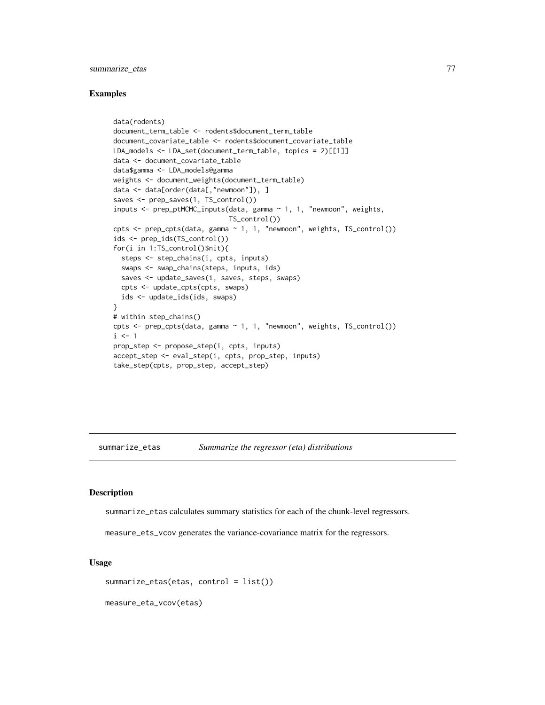## <span id="page-76-2"></span>summarize\_etas 77

#### Examples

```
data(rodents)
document_term_table <- rodents$document_term_table
document_covariate_table <- rodents$document_covariate_table
LDA_models <- LDA_set(document_term_table, topics = 2)[[1]]
data <- document_covariate_table
data$gamma <- LDA_models@gamma
weights <- document_weights(document_term_table)
data <- data[order(data[,"newmoon"]), ]
saves <- prep_saves(1, TS_control())
inputs <- prep_ptMCMC_inputs(data, gamma ~ 1, 1, "newmoon", weights,
                             TS_control())
cpts <- prep_cpts(data, gamma ~ 1, 1, "newmoon", weights, TS_control())
ids <- prep_ids(TS_control())
for(i in 1:TS_control()$nit){
  steps <- step_chains(i, cpts, inputs)
  swaps <- swap_chains(steps, inputs, ids)
 saves <- update_saves(i, saves, steps, swaps)
 cpts <- update_cpts(cpts, swaps)
 ids <- update_ids(ids, swaps)
}
# within step_chains()
cpts <- prep_cpts(data, gamma ~ 1, 1, "newmoon", weights, TS_control())
i \leq -1prop_step <- propose_step(i, cpts, inputs)
accept_step <- eval_step(i, cpts, prop_step, inputs)
take_step(cpts, prop_step, accept_step)
```
<span id="page-76-0"></span>summarize\_etas *Summarize the regressor (eta) distributions*

#### <span id="page-76-1"></span>Description

summarize\_etas calculates summary statistics for each of the chunk-level regressors.

measure\_ets\_vcov generates the variance-covariance matrix for the regressors.

## Usage

summarize\_etas(etas, control = list())

measure\_eta\_vcov(etas)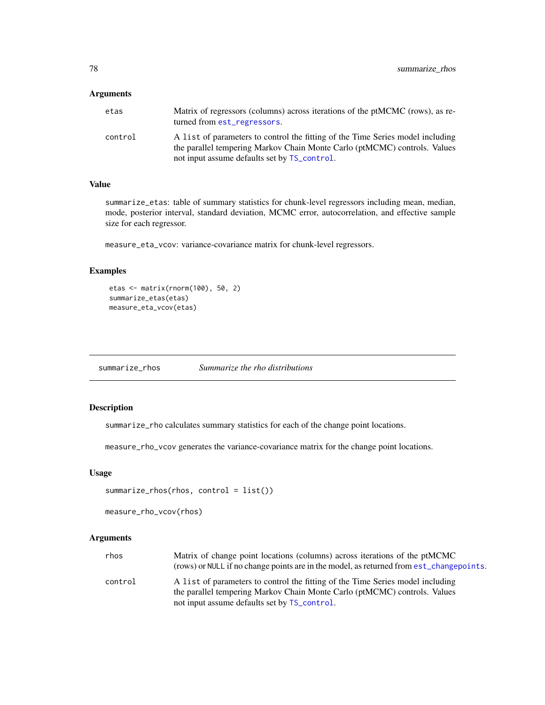## <span id="page-77-2"></span>Arguments

| etas    | Matrix of regressors (columns) across iterations of the ptMCMC (rows), as re-<br>turned from est_regressors.                                                |
|---------|-------------------------------------------------------------------------------------------------------------------------------------------------------------|
| control | A list of parameters to control the fitting of the Time Series model including<br>the parallel tempering Markov Chain Monte Carlo (ptMCMC) controls. Values |
|         | not input assume defaults set by TS_control.                                                                                                                |

## Value

summarize\_etas: table of summary statistics for chunk-level regressors including mean, median, mode, posterior interval, standard deviation, MCMC error, autocorrelation, and effective sample size for each regressor.

measure\_eta\_vcov: variance-covariance matrix for chunk-level regressors.

## Examples

```
etas <- matrix(rnorm(100), 50, 2)
summarize_etas(etas)
measure_eta_vcov(etas)
```
<span id="page-77-0"></span>summarize\_rhos *Summarize the rho distributions*

## <span id="page-77-1"></span>Description

summarize\_rho calculates summary statistics for each of the change point locations.

measure\_rho\_vcov generates the variance-covariance matrix for the change point locations.

## Usage

```
summarize_rhos(rhos, control = list())
```

```
measure_rho_vcov(rhos)
```
## Arguments

| rhos    | Matrix of change point locations (columns) across iterations of the ptMCMC              |
|---------|-----------------------------------------------------------------------------------------|
|         | (rows) or NULL if no change points are in the model, as returned from est_changepoints. |
| control | A list of parameters to control the fitting of the Time Series model including          |
|         | the parallel tempering Markov Chain Monte Carlo (ptMCMC) controls. Values               |
|         | not input assume defaults set by TS_control.                                            |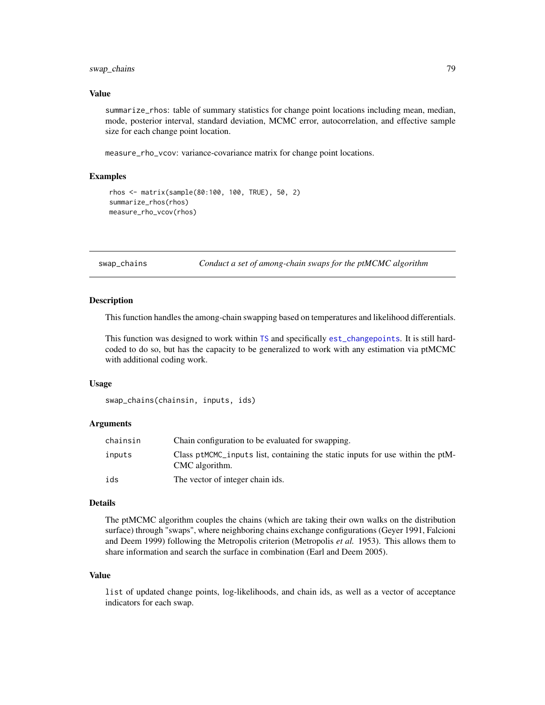## <span id="page-78-0"></span>swap\_chains 79

#### Value

summarize\_rhos: table of summary statistics for change point locations including mean, median, mode, posterior interval, standard deviation, MCMC error, autocorrelation, and effective sample size for each change point location.

measure\_rho\_vcov: variance-covariance matrix for change point locations.

## Examples

```
rhos <- matrix(sample(80:100, 100, TRUE), 50, 2)
summarize_rhos(rhos)
measure_rho_vcov(rhos)
```
swap\_chains *Conduct a set of among-chain swaps for the ptMCMC algorithm*

#### Description

This function handles the among-chain swapping based on temperatures and likelihood differentials.

This function was designed to work within [TS](#page-80-0) and specifically [est\\_changepoints](#page-15-0). It is still hardcoded to do so, but has the capacity to be generalized to work with any estimation via ptMCMC with additional coding work.

#### Usage

```
swap_chains(chainsin, inputs, ids)
```
## Arguments

| chainsin | Chain configuration to be evaluated for swapping.                                                |
|----------|--------------------------------------------------------------------------------------------------|
| inputs   | Class ptMCMC_inputs list, containing the static inputs for use within the ptM-<br>CMC algorithm. |
| ids      | The vector of integer chain ids.                                                                 |

#### Details

The ptMCMC algorithm couples the chains (which are taking their own walks on the distribution surface) through "swaps", where neighboring chains exchange configurations (Geyer 1991, Falcioni and Deem 1999) following the Metropolis criterion (Metropolis *et al.* 1953). This allows them to share information and search the surface in combination (Earl and Deem 2005).

#### Value

list of updated change points, log-likelihoods, and chain ids, as well as a vector of acceptance indicators for each swap.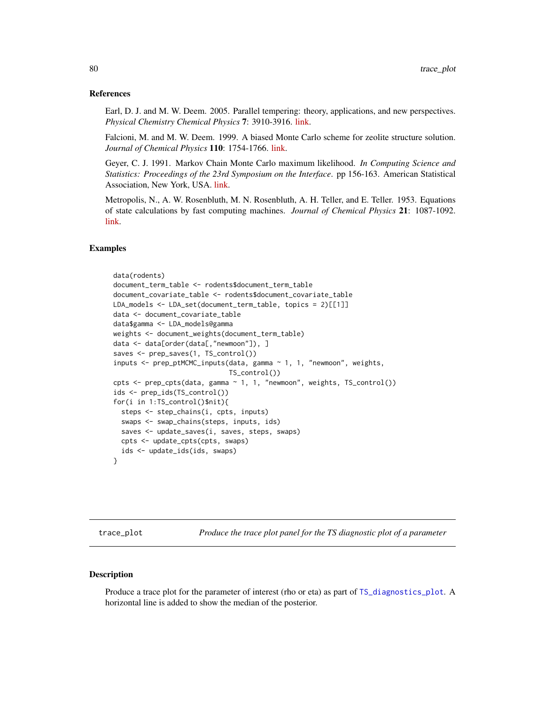#### <span id="page-79-0"></span>References

Earl, D. J. and M. W. Deem. 2005. Parallel tempering: theory, applications, and new perspectives. *Physical Chemistry Chemical Physics* 7: 3910-3916. [link.](https://rsc.li/2XkxPCm)

Falcioni, M. and M. W. Deem. 1999. A biased Monte Carlo scheme for zeolite structure solution. *Journal of Chemical Physics* 110: 1754-1766. [link.](https://aip.scitation.org/doi/10.1063/1.477812)

Geyer, C. J. 1991. Markov Chain Monte Carlo maximum likelihood. *In Computing Science and Statistics: Proceedings of the 23rd Symposium on the Interface*. pp 156-163. American Statistical Association, New York, USA. [link.](https://www.stat.umn.edu/geyer/f05/8931/c.pdf)

Metropolis, N., A. W. Rosenbluth, M. N. Rosenbluth, A. H. Teller, and E. Teller. 1953. Equations of state calculations by fast computing machines. *Journal of Chemical Physics* 21: 1087-1092. [link.](https://bayes.wustl.edu/Manual/EquationOfState.pdf)

### Examples

```
data(rodents)
document_term_table <- rodents$document_term_table
document_covariate_table <- rodents$document_covariate_table
LDA_models <- LDA_set(document_term_table, topics = 2)[[1]]
data <- document_covariate_table
data$gamma <- LDA_models@gamma
weights <- document_weights(document_term_table)
data <- data[order(data[,"newmoon"]), ]
saves <- prep_saves(1, TS_control())
inputs <- prep_ptMCMC_inputs(data, gamma ~ 1, 1, "newmoon", weights,
                             TS_control())
cpts <- prep_cpts(data, gamma ~ 1, 1, "newmoon", weights, TS_control())
ids <- prep_ids(TS_control())
for(i in 1:TS_control()$nit){
  steps <- step_chains(i, cpts, inputs)
  swaps <- swap_chains(steps, inputs, ids)
  saves <- update_saves(i, saves, steps, swaps)
  cpts <- update_cpts(cpts, swaps)
  ids <- update_ids(ids, swaps)
}
```
trace\_plot *Produce the trace plot panel for the TS diagnostic plot of a parameter*

#### Description

Produce a trace plot for the parameter of interest (rho or eta) as part of [TS\\_diagnostics\\_plot](#page-84-0). A horizontal line is added to show the median of the posterior.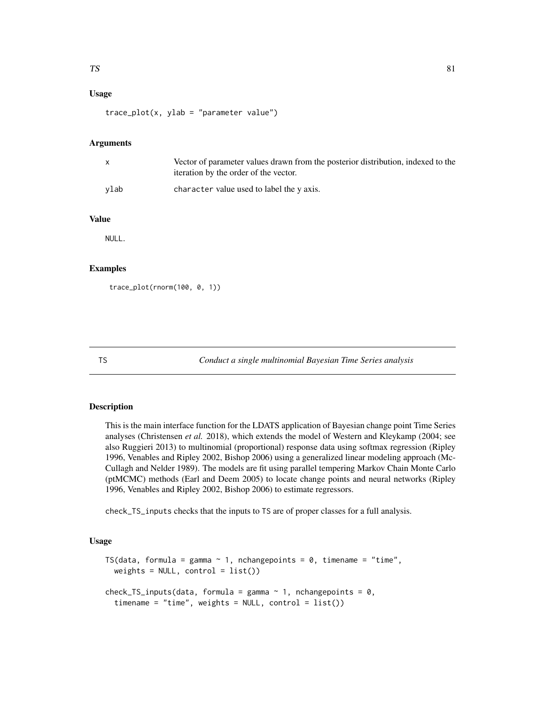## <span id="page-80-1"></span>Usage

 $trace\_plot(x, ylab = "parameter value")$ 

#### Arguments

|      | Vector of parameter values drawn from the posterior distribution, indexed to the<br>iteration by the order of the vector. |
|------|---------------------------------------------------------------------------------------------------------------------------|
| vlab | character value used to label the y axis.                                                                                 |

## Value

NULL.

## Examples

```
trace_plot(rnorm(100, 0, 1))
```
<span id="page-80-0"></span>

TS *Conduct a single multinomial Bayesian Time Series analysis*

## Description

This is the main interface function for the LDATS application of Bayesian change point Time Series analyses (Christensen *et al.* 2018), which extends the model of Western and Kleykamp (2004; see also Ruggieri 2013) to multinomial (proportional) response data using softmax regression (Ripley 1996, Venables and Ripley 2002, Bishop 2006) using a generalized linear modeling approach (Mc-Cullagh and Nelder 1989). The models are fit using parallel tempering Markov Chain Monte Carlo (ptMCMC) methods (Earl and Deem 2005) to locate change points and neural networks (Ripley 1996, Venables and Ripley 2002, Bishop 2006) to estimate regressors.

check\_TS\_inputs checks that the inputs to TS are of proper classes for a full analysis.

#### Usage

```
TS(data, formula = gamma \sim 1, nchangepoints = 0, timename = "time".
  weights = NULL, control = list()check_TS_inputs(data, formula = gamma \sim 1, nchangepoints = 0,
  timename = "time", weights = NULL, control = list()
```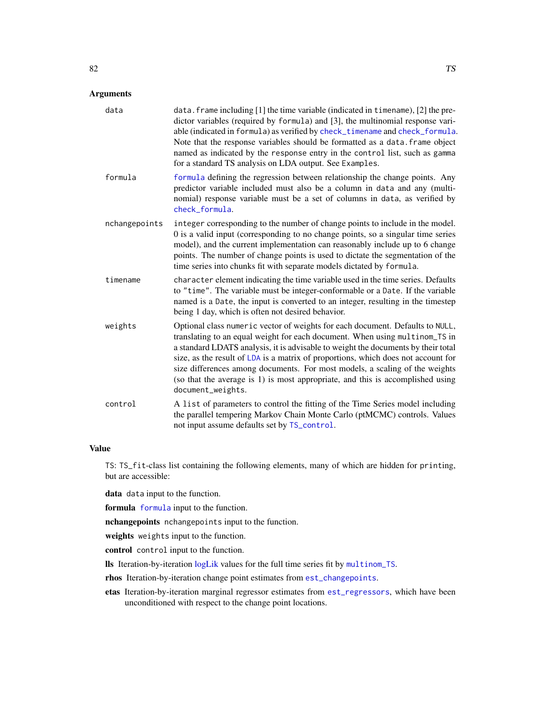## <span id="page-81-0"></span>Arguments

| data          | data. frame including [1] the time variable (indicated in timename), [2] the pre-<br>dictor variables (required by formula) and [3], the multinomial response vari-<br>able (indicated in formula) as verified by check_timename and check_formula.<br>Note that the response variables should be formatted as a data. frame object<br>named as indicated by the response entry in the control list, such as gamma<br>for a standard TS analysis on LDA output. See Examples.                                                |
|---------------|------------------------------------------------------------------------------------------------------------------------------------------------------------------------------------------------------------------------------------------------------------------------------------------------------------------------------------------------------------------------------------------------------------------------------------------------------------------------------------------------------------------------------|
| formula       | formula defining the regression between relationship the change points. Any<br>predictor variable included must also be a column in data and any (multi-<br>nomial) response variable must be a set of columns in data, as verified by<br>check_formula.                                                                                                                                                                                                                                                                     |
| nchangepoints | integer corresponding to the number of change points to include in the model.<br>0 is a valid input (corresponding to no change points, so a singular time series<br>model), and the current implementation can reasonably include up to 6 change<br>points. The number of change points is used to dictate the segmentation of the<br>time series into chunks fit with separate models dictated by formula.                                                                                                                 |
| timename      | character element indicating the time variable used in the time series. Defaults<br>to "time". The variable must be integer-conformable or a Date. If the variable<br>named is a Date, the input is converted to an integer, resulting in the timestep<br>being 1 day, which is often not desired behavior.                                                                                                                                                                                                                  |
| weights       | Optional class numeric vector of weights for each document. Defaults to NULL,<br>translating to an equal weight for each document. When using multinom_TS in<br>a standard LDATS analysis, it is advisable to weight the documents by their total<br>size, as the result of LDA is a matrix of proportions, which does not account for<br>size differences among documents. For most models, a scaling of the weights<br>(so that the average is 1) is most appropriate, and this is accomplished using<br>document_weights. |
| control       | A list of parameters to control the fitting of the Time Series model including<br>the parallel tempering Markov Chain Monte Carlo (ptMCMC) controls. Values<br>not input assume defaults set by TS_control.                                                                                                                                                                                                                                                                                                                  |

#### Value

TS: TS\_fit-class list containing the following elements, many of which are hidden for printing, but are accessible:

data data input to the function.

formula [formula](#page-0-0) input to the function.

nchangepoints nchangepoints input to the function.

weights weights input to the function.

control control input to the function.

lls Iteration-by-iteration [logLik](#page-29-0) values for the full time series fit by [multinom\\_TS](#page-33-0).

rhos Iteration-by-iteration change point estimates from [est\\_changepoints](#page-15-0).

etas Iteration-by-iteration marginal regressor estimates from [est\\_regressors](#page-17-0), which have been unconditioned with respect to the change point locations.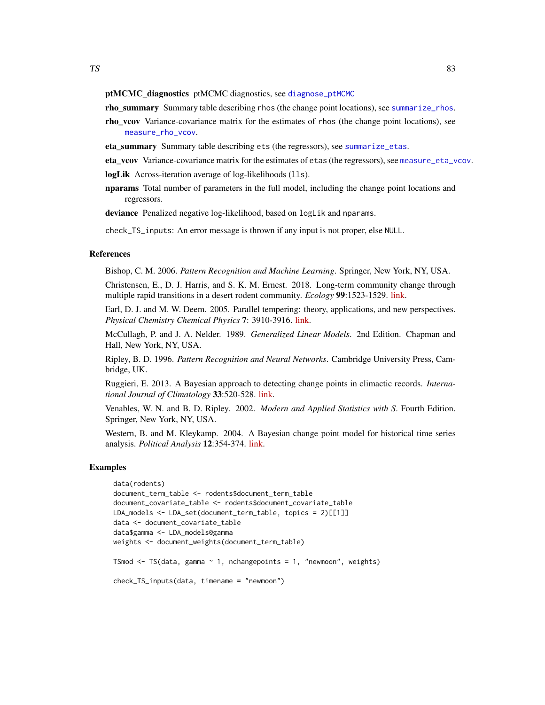#### <span id="page-82-0"></span>ptMCMC\_diagnostics ptMCMC diagnostics, see [diagnose\\_ptMCMC](#page-13-0)

rho\_summary Summary table describing rhos (the change point locations), see [summarize\\_rhos](#page-77-0).

- rho\_vcov Variance-covariance matrix for the estimates of rhos (the change point locations), see [measure\\_rho\\_vcov](#page-77-1).
- eta\_summary Summary table describing ets (the regressors), see [summarize\\_etas](#page-76-0).
- eta vcov Variance-covariance matrix for the estimates of etas (the regressors), see [measure\\_eta\\_vcov](#page-76-1).

logLik Across-iteration average of log-likelihoods (11s).

**nparams** Total number of parameters in the full model, including the change point locations and regressors.

deviance Penalized negative log-likelihood, based on logLik and nparams.

check\_TS\_inputs: An error message is thrown if any input is not proper, else NULL.

## References

Bishop, C. M. 2006. *Pattern Recognition and Machine Learning*. Springer, New York, NY, USA.

Christensen, E., D. J. Harris, and S. K. M. Ernest. 2018. Long-term community change through multiple rapid transitions in a desert rodent community. *Ecology* 99:1523-1529. [link.](https://doi.org/10.1002/ecy.2373)

Earl, D. J. and M. W. Deem. 2005. Parallel tempering: theory, applications, and new perspectives. *Physical Chemistry Chemical Physics* 7: 3910-3916. [link.](https://doi.org/10.1039/B509983H)

McCullagh, P. and J. A. Nelder. 1989. *Generalized Linear Models*. 2nd Edition. Chapman and Hall, New York, NY, USA.

Ripley, B. D. 1996. *Pattern Recognition and Neural Networks*. Cambridge University Press, Cambridge, UK.

Ruggieri, E. 2013. A Bayesian approach to detecting change points in climactic records. *International Journal of Climatology* 33:520-528. [link.](https://doi.org/10.1002/joc.3447)

Venables, W. N. and B. D. Ripley. 2002. *Modern and Applied Statistics with S*. Fourth Edition. Springer, New York, NY, USA.

Western, B. and M. Kleykamp. 2004. A Bayesian change point model for historical time series analysis. *Political Analysis* 12:354-374. [link.](https://doi.org/10.1093/pan/mph023)

```
data(rodents)
document_term_table <- rodents$document_term_table
document_covariate_table <- rodents$document_covariate_table
LDA_models <- LDA_set(document_term_table, topics = 2)[[1]]
data <- document_covariate_table
data$gamma <- LDA_models@gamma
weights <- document_weights(document_term_table)
TSmod \leq TS(data, gamma \sim 1, nchangepoints = 1, "newmoon", weights)
check_TS_inputs(data, timename = "newmoon")
```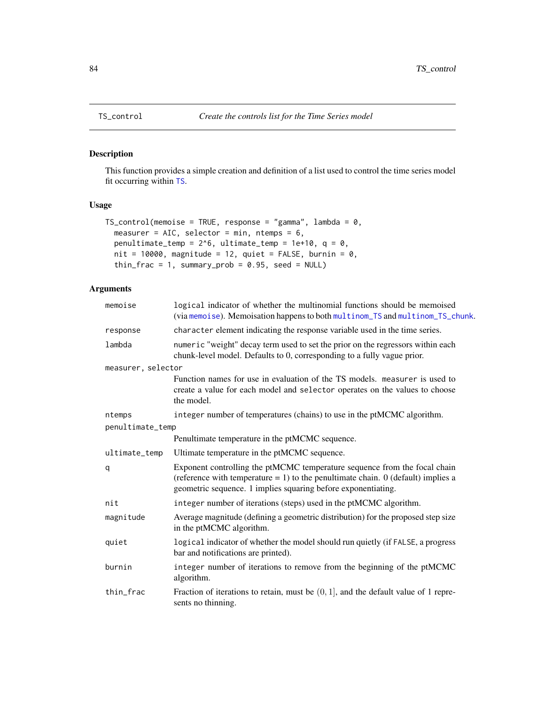This function provides a simple creation and definition of a list used to control the time series model fit occurring within [TS](#page-80-0).

# Usage

```
TS_control(memoise = TRUE, response = "gamma", lambda = 0,
 measurer = AIC, selector = min, ntemps = 6,
 penultimate_temp = 2^6, ultimate_temp = 1e+10, q = 0,
 nit = 10000, magnitude = 12, quiet = FALSE, burnin = 0,
  thin_frac = 1, summary_prob = 0.95, seed = NULL)
```
## Arguments

| memoise            | logical indicator of whether the multinomial functions should be memoised<br>(via memoise). Memoisation happens to both multinom_TS and multinom_TS_chunk.                                                                        |
|--------------------|-----------------------------------------------------------------------------------------------------------------------------------------------------------------------------------------------------------------------------------|
| response           | character element indicating the response variable used in the time series.                                                                                                                                                       |
| lambda             | numeric "weight" decay term used to set the prior on the regressors within each<br>chunk-level model. Defaults to 0, corresponding to a fully vague prior.                                                                        |
| measurer, selector |                                                                                                                                                                                                                                   |
|                    | Function names for use in evaluation of the TS models. measurer is used to<br>create a value for each model and selector operates on the values to choose<br>the model.                                                           |
| ntemps             | integer number of temperatures (chains) to use in the ptMCMC algorithm.                                                                                                                                                           |
| penultimate_temp   |                                                                                                                                                                                                                                   |
|                    | Penultimate temperature in the ptMCMC sequence.                                                                                                                                                                                   |
| ultimate_temp      | Ultimate temperature in the ptMCMC sequence.                                                                                                                                                                                      |
| q                  | Exponent controlling the ptMCMC temperature sequence from the focal chain<br>(reference with temperature $= 1$ ) to the penultimate chain. 0 (default) implies a<br>geometric sequence. 1 implies squaring before exponentiating. |
| nit                | integer number of iterations (steps) used in the ptMCMC algorithm.                                                                                                                                                                |
| magnitude          | Average magnitude (defining a geometric distribution) for the proposed step size<br>in the ptMCMC algorithm.                                                                                                                      |
| quiet              | logical indicator of whether the model should run quietly (if FALSE, a progress<br>bar and notifications are printed).                                                                                                            |
| burnin             | integer number of iterations to remove from the beginning of the ptMCMC<br>algorithm.                                                                                                                                             |
| thin_frac          | Fraction of iterations to retain, must be $(0, 1]$ , and the default value of 1 repre-<br>sents no thinning.                                                                                                                      |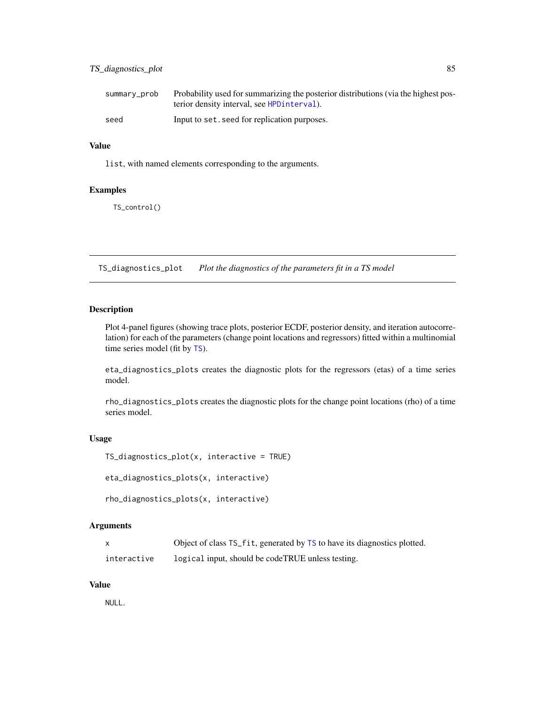## <span id="page-84-1"></span>TS\_diagnostics\_plot 85

| summary_prob | Probability used for summarizing the posterior distributions (via the highest pos- |
|--------------|------------------------------------------------------------------------------------|
|              | terior density interval, see HPD interval).                                        |
| seed         | Input to set, seed for replication purposes.                                       |

#### Value

list, with named elements corresponding to the arguments.

## Examples

TS\_control()

<span id="page-84-0"></span>TS\_diagnostics\_plot *Plot the diagnostics of the parameters fit in a TS model*

## Description

Plot 4-panel figures (showing trace plots, posterior ECDF, posterior density, and iteration autocorrelation) for each of the parameters (change point locations and regressors) fitted within a multinomial time series model (fit by [TS](#page-80-0)).

eta\_diagnostics\_plots creates the diagnostic plots for the regressors (etas) of a time series model.

rho\_diagnostics\_plots creates the diagnostic plots for the change point locations (rho) of a time series model.

## Usage

```
TS_diagnostics_plot(x, interactive = TRUE)
```

```
eta_diagnostics_plots(x, interactive)
```

```
rho_diagnostics_plots(x, interactive)
```
#### Arguments

|             | Object of class TS_fit, generated by TS to have its diagnostics plotted. |
|-------------|--------------------------------------------------------------------------|
| interactive | logical input, should be codeTRUE unless testing.                        |

#### Value

NULL.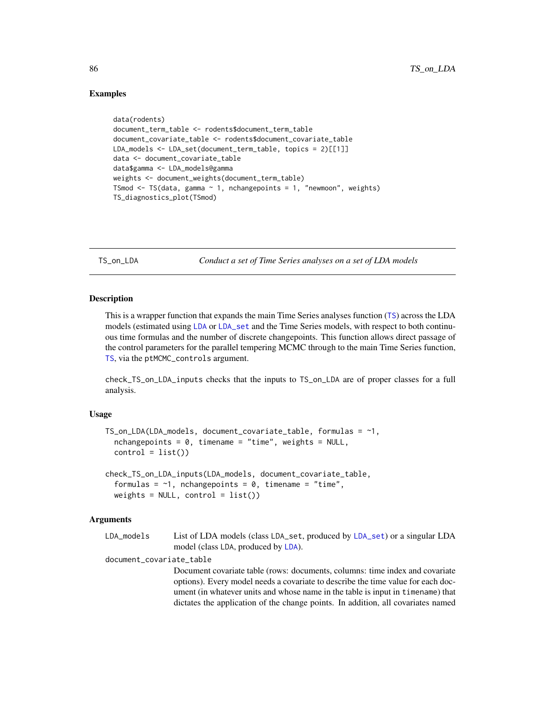## Examples

```
data(rodents)
document_term_table <- rodents$document_term_table
document_covariate_table <- rodents$document_covariate_table
LDA_models <- LDA_set(document_term_table, topics = 2)[[1]]
data <- document_covariate_table
data$gamma <- LDA_models@gamma
weights <- document_weights(document_term_table)
TSmod \leq TS(data, gamma \sim 1, nchangepoints = 1, "newmoon", weights)
TS_diagnostics_plot(TSmod)
```
TS\_on\_LDA *Conduct a set of Time Series analyses on a set of LDA models*

#### Description

This is a wrapper function that expands the main Time Series analyses function ([TS](#page-80-0)) across the LDA models (estimated using [LDA](#page-0-0) or [LDA\\_set](#page-22-0) and the Time Series models, with respect to both continuous time formulas and the number of discrete changepoints. This function allows direct passage of the control parameters for the parallel tempering MCMC through to the main Time Series function, [TS](#page-80-0), via the ptMCMC\_controls argument.

check\_TS\_on\_LDA\_inputs checks that the inputs to TS\_on\_LDA are of proper classes for a full analysis.

#### Usage

```
TS\_on\_LDA(LDA_models, document\_covariate_table, formulas = ~1,nchangepoints = 0, timename = "time", weights = NULL,
  control = list()check_TS_on_LDA_inputs(LDA_models, document_covariate_table,
  formulas = \sim1, nchangepoints = 0, timename = "time",
  weights = NULL, control = list()
```
#### Arguments

| LDA models | List of LDA models (class LDA_set, produced by LDA_set) or a singular LDA |
|------------|---------------------------------------------------------------------------|
|            | model (class LDA, produced by LDA).                                       |

document\_covariate\_table

Document covariate table (rows: documents, columns: time index and covariate options). Every model needs a covariate to describe the time value for each document (in whatever units and whose name in the table is input in timename) that dictates the application of the change points. In addition, all covariates named

<span id="page-85-0"></span>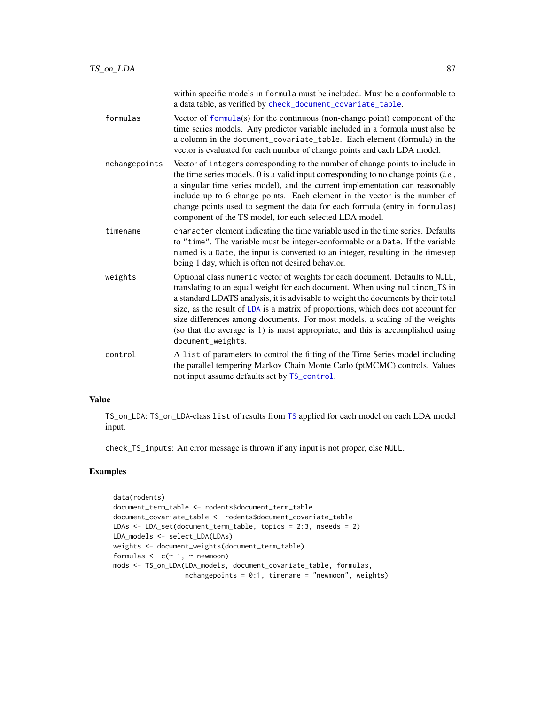<span id="page-86-0"></span>

|               | within specific models in formula must be included. Must be a conformable to<br>a data table, as verified by check_document_covariate_table.                                                                                                                                                                                                                                                                                                                                                                                 |
|---------------|------------------------------------------------------------------------------------------------------------------------------------------------------------------------------------------------------------------------------------------------------------------------------------------------------------------------------------------------------------------------------------------------------------------------------------------------------------------------------------------------------------------------------|
| formulas      | Vector of $formula(s)$ for the continuous (non-change point) component of the<br>time series models. Any predictor variable included in a formula must also be<br>a column in the document_covariate_table. Each element (formula) in the<br>vector is evaluated for each number of change points and each LDA model.                                                                                                                                                                                                        |
| nchangepoints | Vector of integers corresponding to the number of change points to include in<br>the time series models. $0$ is a valid input corresponding to no change points ( <i>i.e.</i> ,<br>a singular time series model), and the current implementation can reasonably<br>include up to 6 change points. Each element in the vector is the number of<br>change points used to segment the data for each formula (entry in formulas)<br>component of the TS model, for each selected LDA model.                                      |
| timename      | character element indicating the time variable used in the time series. Defaults<br>to "time". The variable must be integer-conformable or a Date. If the variable<br>named is a Date, the input is converted to an integer, resulting in the timestep<br>being 1 day, which is often not desired behavior.                                                                                                                                                                                                                  |
| weights       | Optional class numeric vector of weights for each document. Defaults to NULL,<br>translating to an equal weight for each document. When using multinom_TS in<br>a standard LDATS analysis, it is advisable to weight the documents by their total<br>size, as the result of LDA is a matrix of proportions, which does not account for<br>size differences among documents. For most models, a scaling of the weights<br>(so that the average is 1) is most appropriate, and this is accomplished using<br>document_weights. |
| control       | A list of parameters to control the fitting of the Time Series model including<br>the parallel tempering Markov Chain Monte Carlo (ptMCMC) controls. Values<br>not input assume defaults set by TS_control.                                                                                                                                                                                                                                                                                                                  |

# Value

TS\_on\_LDA: TS\_on\_LDA-class list of results from [TS](#page-80-0) applied for each model on each LDA model input.

check\_TS\_inputs: An error message is thrown if any input is not proper, else NULL.

```
data(rodents)
document_term_table <- rodents$document_term_table
document_covariate_table <- rodents$document_covariate_table
LDAs <- LDA_set(document_term_table, topics = 2:3, nseeds = 2)
LDA_models <- select_LDA(LDAs)
weights <- document_weights(document_term_table)
formulas \leq c (\leq 1, \leq newmoon)
mods <- TS_on_LDA(LDA_models, document_covariate_table, formulas,
                  nchangepoints = 0:1, timename = "newmoon", weights)
```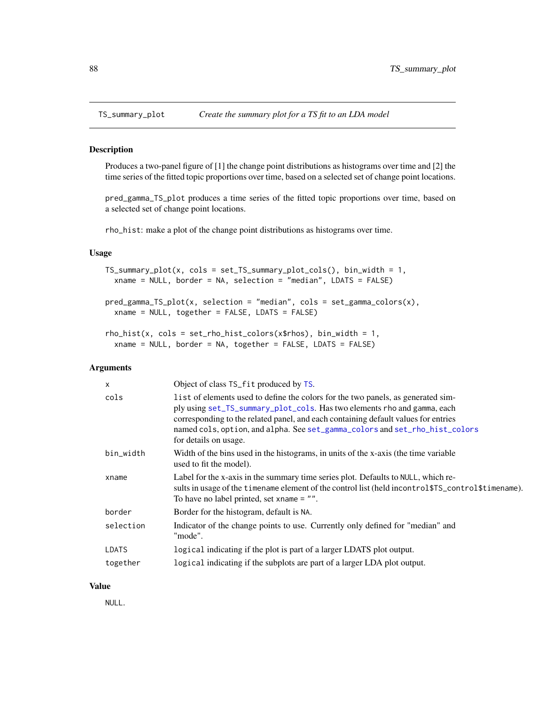<span id="page-87-0"></span>

Produces a two-panel figure of [1] the change point distributions as histograms over time and [2] the time series of the fitted topic proportions over time, based on a selected set of change point locations.

pred\_gamma\_TS\_plot produces a time series of the fitted topic proportions over time, based on a selected set of change point locations.

rho\_hist: make a plot of the change point distributions as histograms over time.

## Usage

```
TS\_summary\_plot(x, \text{cols} = set\_TS\_summary\_plot\_cols(), \text{bin\_width} = 1,xname = NULL, border = NA, selection = "median", LDATS = FALSE)
```

```
pred_gamma_TS_plot(x, selection = "median", cols = set_gamma_colors(x),
 xname = NULL, together = FALSE, LDATS = FALSE)
```

```
rho\_hist(x, \text{cols} = set\_rho\_hist\_colors(x*rhos), bin\_width = 1,xname = NULL, border = NA, together = FALSE, LDATS = FALSE)
```
## Arguments

| $\times$  | Object of class TS_fit produced by TS.                                                                                                                                                                                                                                                                                                                     |
|-----------|------------------------------------------------------------------------------------------------------------------------------------------------------------------------------------------------------------------------------------------------------------------------------------------------------------------------------------------------------------|
| cols      | list of elements used to define the colors for the two panels, as generated sim-<br>ply using set_TS_summary_plot_cols. Has two elements rho and gamma, each<br>corresponding to the related panel, and each containing default values for entries<br>named cols, option, and alpha. See set_gamma_colors and set_rho_hist_colors<br>for details on usage. |
| bin_width | Width of the bins used in the histograms, in units of the x-axis (the time variable<br>used to fit the model).                                                                                                                                                                                                                                             |
| xname     | Label for the x-axis in the summary time series plot. Defaults to NULL, which re-<br>sults in usage of the timename element of the control list (held incontrol \$TS_control \$timename).<br>To have no label printed, set xname $=$ "".                                                                                                                   |
| border    | Border for the histogram, default is NA.                                                                                                                                                                                                                                                                                                                   |
| selection | Indicator of the change points to use. Currently only defined for "median" and<br>"mode".                                                                                                                                                                                                                                                                  |
| LDATS     | logical indicating if the plot is part of a larger LDATS plot output.                                                                                                                                                                                                                                                                                      |
| together  | logical indicating if the subplots are part of a larger LDA plot output.                                                                                                                                                                                                                                                                                   |

#### Value

NULL.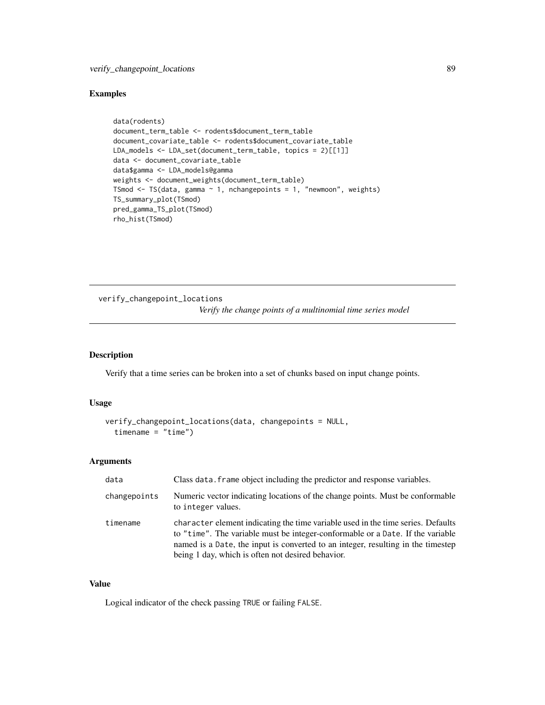## <span id="page-88-0"></span>Examples

```
data(rodents)
document_term_table <- rodents$document_term_table
document_covariate_table <- rodents$document_covariate_table
LDA_models <- LDA_set(document_term_table, topics = 2)[[1]]
data <- document_covariate_table
data$gamma <- LDA_models@gamma
weights <- document_weights(document_term_table)
TSmod \leq TS(data, gamma \sim 1, nchangepoints = 1, "newmoon", weights)
TS_summary_plot(TSmod)
pred_gamma_TS_plot(TSmod)
rho_hist(TSmod)
```
verify\_changepoint\_locations *Verify the change points of a multinomial time series model*

#### Description

Verify that a time series can be broken into a set of chunks based on input change points.

## Usage

```
verify_changepoint_locations(data, changepoints = NULL,
  timename = "time")
```
## Arguments

| data         | Class data. frame object including the predictor and response variables.                                                                                                                                                                                                                                    |
|--------------|-------------------------------------------------------------------------------------------------------------------------------------------------------------------------------------------------------------------------------------------------------------------------------------------------------------|
| changepoints | Numeric vector indicating locations of the change points. Must be conformable<br>to integer values.                                                                                                                                                                                                         |
| timename     | character element indicating the time variable used in the time series. Defaults<br>to "time". The variable must be integer-conformable or a Date. If the variable<br>named is a Date, the input is converted to an integer, resulting in the timestep<br>being 1 day, which is often not desired behavior. |

## Value

Logical indicator of the check passing TRUE or failing FALSE.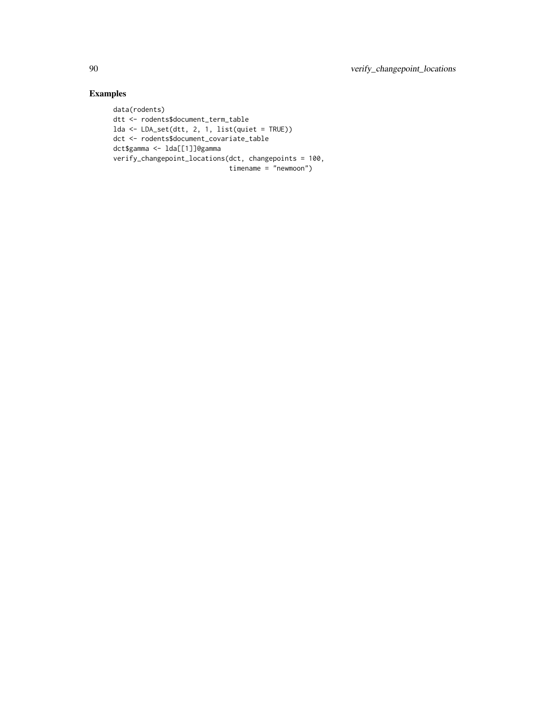```
data(rodents)
dtt <- rodents$document_term_table
lda <- LDA_set(dtt, 2, 1, list(quiet = TRUE))
dct <- rodents$document_covariate_table
dct$gamma <- lda[[1]]@gamma
verify_changepoint_locations(dct, changepoints = 100,
                            timename = "newmoon")
```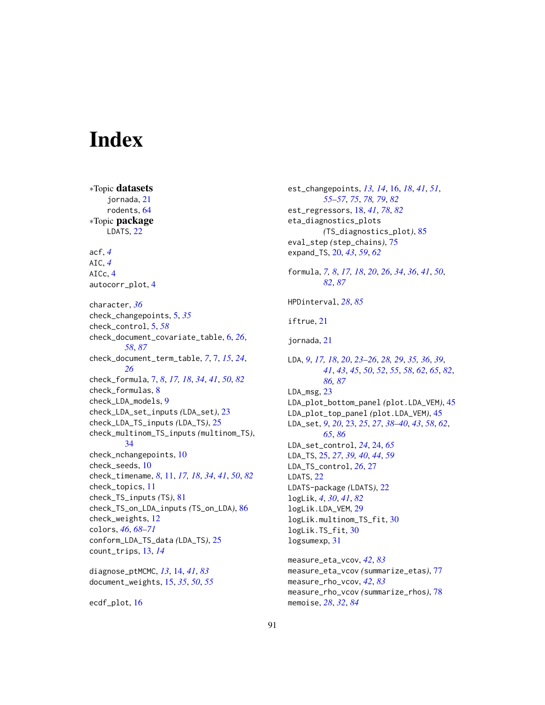# **Index**

∗Topic datasets jornada, [21](#page-20-0) rodents, [64](#page-63-0) ∗Topic package LDATS, [22](#page-21-0) acf, *[4](#page-3-0)* AIC, *[4](#page-3-0)* AICc, [4](#page-3-0) autocorr\_plot, [4](#page-3-0) character, *[36](#page-35-1)* check\_changepoints, [5,](#page-4-0) *[35](#page-34-0)* check\_control, [5,](#page-4-0) *[58](#page-57-0)* check\_document\_covariate\_table, [6,](#page-5-1) *[26](#page-25-0)*, *[58](#page-57-0)*, *[87](#page-86-0)* check\_document\_term\_table, *[7](#page-6-1)*, [7,](#page-6-1) *[15](#page-14-0)*, *[24](#page-23-0)*, *[26](#page-25-0)* check\_formula, [7,](#page-6-1) *[8](#page-7-0)*, *[17,](#page-16-0) [18](#page-17-1)*, *[34](#page-33-1)*, *[41](#page-40-0)*, *[50](#page-49-0)*, *[82](#page-81-0)* check\_formulas, [8](#page-7-0) check\_LDA\_models, [9](#page-8-0) check\_LDA\_set\_inputs *(*LDA\_set*)*, [23](#page-22-1) check\_LDA\_TS\_inputs *(*LDA\_TS*)*, [25](#page-24-0) check\_multinom\_TS\_inputs *(*multinom\_TS*)*, [34](#page-33-1) check\_nchangepoints, [10](#page-9-0) check\_seeds, [10](#page-9-0) check\_timename, *[8](#page-7-0)*, [11,](#page-10-1) *[17,](#page-16-0) [18](#page-17-1)*, *[34](#page-33-1)*, *[41](#page-40-0)*, *[50](#page-49-0)*, *[82](#page-81-0)* check\_topics, [11](#page-10-1) check\_TS\_inputs *(*TS*)*, [81](#page-80-1) check\_TS\_on\_LDA\_inputs *(*TS\_on\_LDA*)*, [86](#page-85-0) check\_weights, [12](#page-11-0) colors, *[46](#page-45-0)*, *[68](#page-67-0)[–71](#page-70-1)* conform\_LDA\_TS\_data *(*LDA\_TS*)*, [25](#page-24-0) count\_trips, [13,](#page-12-0) *[14](#page-13-1)*

diagnose\_ptMCMC, *[13](#page-12-0)*, [14,](#page-13-1) *[41](#page-40-0)*, *[83](#page-82-0)* document\_weights, [15,](#page-14-0) *[35](#page-34-0)*, *[50](#page-49-0)*, *[55](#page-54-0)*

ecdf\_plot, [16](#page-15-1)

est\_changepoints, *[13,](#page-12-0) [14](#page-13-1)*, [16,](#page-15-1) *[18](#page-17-1)*, *[41](#page-40-0)*, *[51](#page-50-0)*, *[55](#page-54-0)[–57](#page-56-0)*, *[75](#page-74-0)*, *[78,](#page-77-2) [79](#page-78-0)*, *[82](#page-81-0)* est\_regressors, [18,](#page-17-1) *[41](#page-40-0)*, *[78](#page-77-2)*, *[82](#page-81-0)* eta\_diagnostics\_plots *(*TS\_diagnostics\_plot*)*, [85](#page-84-1) eval\_step *(*step\_chains*)*, [75](#page-74-0) expand\_TS, [20,](#page-19-0) *[43](#page-42-0)*, *[59](#page-58-0)*, *[62](#page-61-0)* formula, *[7,](#page-6-1) [8](#page-7-0)*, *[17,](#page-16-0) [18](#page-17-1)*, *[20](#page-19-0)*, *[26](#page-25-0)*, *[34](#page-33-1)*, *[36](#page-35-1)*, *[41](#page-40-0)*, *[50](#page-49-0)*, *[82](#page-81-0)*, *[87](#page-86-0)* HPDinterval, *[28](#page-27-0)*, *[85](#page-84-1)* iftrue, [21](#page-20-0) jornada, [21](#page-20-0) LDA, *[9](#page-8-0)*, *[17,](#page-16-0) [18](#page-17-1)*, *[20](#page-19-0)*, *[23](#page-22-1)[–26](#page-25-0)*, *[28,](#page-27-0) [29](#page-28-0)*, *[35,](#page-34-0) [36](#page-35-1)*, *[39](#page-38-0)*, *[41](#page-40-0)*, *[43](#page-42-0)*, *[45](#page-44-0)*, *[50](#page-49-0)*, *[52](#page-51-0)*, *[55](#page-54-0)*, *[58](#page-57-0)*, *[62](#page-61-0)*, *[65](#page-64-0)*, *[82](#page-81-0)*, *[86,](#page-85-0) [87](#page-86-0)* LDA\_msg, [23](#page-22-1) LDA\_plot\_bottom\_panel *(*plot.LDA\_VEM*)*, [45](#page-44-0) LDA\_plot\_top\_panel *(*plot.LDA\_VEM*)*, [45](#page-44-0) LDA\_set, *[9](#page-8-0)*, *[20](#page-19-0)*, [23,](#page-22-1) *[25](#page-24-0)*, *[27](#page-26-0)*, *[38](#page-37-0)[–40](#page-39-0)*, *[43](#page-42-0)*, *[58](#page-57-0)*, *[62](#page-61-0)*, *[65](#page-64-0)*, *[86](#page-85-0)* LDA\_set\_control, *[24](#page-23-0)*, [24,](#page-23-0) *[65](#page-64-0)* LDA\_TS, [25,](#page-24-0) *[27](#page-26-0)*, *[39,](#page-38-0) [40](#page-39-0)*, *[44](#page-43-0)*, *[59](#page-58-0)* LDA\_TS\_control, *[26](#page-25-0)*, [27](#page-26-0) LDATS, [22](#page-21-0) LDATS-package *(*LDATS*)*, [22](#page-21-0) logLik, *[4](#page-3-0)*, *[30](#page-29-1)*, *[41](#page-40-0)*, *[82](#page-81-0)* logLik.LDA\_VEM, [29](#page-28-0) logLik.multinom\_TS\_fit, [30](#page-29-1) logLik.TS\_fit, [30](#page-29-1) logsumexp, [31](#page-30-0) measure\_eta\_vcov, *[42](#page-41-0)*, *[83](#page-82-0)* measure\_eta\_vcov *(*summarize\_etas*)*, [77](#page-76-2) measure\_rho\_vcov, *[42](#page-41-0)*, *[83](#page-82-0)*

measure\_rho\_vcov *(*summarize\_rhos*)*, [78](#page-77-2)

memoise, *[28](#page-27-0)*, *[32](#page-31-0)*, *[84](#page-83-1)*